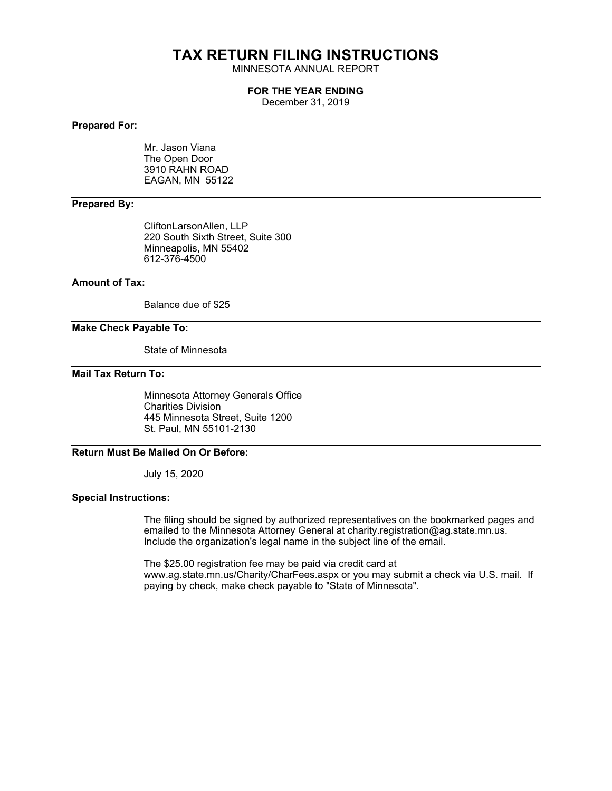# **TAX RETURN FILING INSTRUCTIONS**

MINNESOTA ANNUAL REPORT

#### **FOR THE YEAR ENDING**

December 31, 2019

#### **Prepared For:**

Mr. Jason Viana The Open Door 3910 RAHN ROAD EAGAN, MN 55122

#### **Prepared By:**

CliftonLarsonAllen, LLP 220 South Sixth Street, Suite 300 Minneapolis, MN 55402 612-376-4500

#### **Amount of Tax:**

Balance due of \$25

#### **Make Check Payable To:**

State of Minnesota

#### **Mail Tax Return To:**

Minnesota Attorney Generals Office Charities Division 445 Minnesota Street, Suite 1200 St. Paul, MN 55101-2130

#### **Return Must Be Mailed On Or Before:**

July 15, 2020

#### **Special Instructions:**

The filing should be signed by authorized representatives on the bookmarked pages and emailed to the Minnesota Attorney General at charity.registration@ag.state.mn.us. Include the organization's legal name in the subject line of the email.

The \$25.00 registration fee may be paid via credit card at www.ag.state.mn.us/Charity/CharFees.aspx or you may submit a check via U.S. mail. If paying by check, make check payable to "State of Minnesota".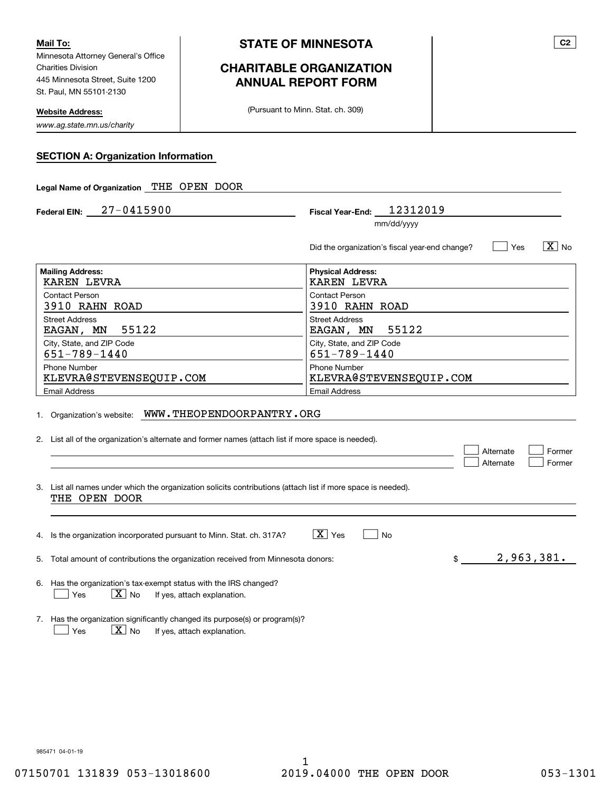Minnesota Attorney General's Office Charities Division 445 Minnesota Street, Suite 1200 St. Paul, MN 55101-2130 **Mail To:**

**Website Address:**

*www.ag.state.mn.us/charity*

# **CHARITABLE ORGANIZATION ANNUAL REPORT FORM**

(Pursuant to Minn. Stat. ch. 309)

| <b>SECTION A: Organization Information</b> |
|--------------------------------------------|
|--------------------------------------------|

| Legal Name of Organization THE OPEN DOOR                                                                                                   |                                                                                  |  |  |
|--------------------------------------------------------------------------------------------------------------------------------------------|----------------------------------------------------------------------------------|--|--|
| Federal EIN: $27 - 0415900$                                                                                                                | Fiscal Year-End: 12312019                                                        |  |  |
|                                                                                                                                            | mm/dd/yyyy                                                                       |  |  |
|                                                                                                                                            | $\boxed{\text{X}}$ No<br>∣ Yes<br>Did the organization's fiscal year-end change? |  |  |
| <b>Mailing Address:</b><br><b>KAREN LEVRA</b>                                                                                              | <b>Physical Address:</b><br><b>KAREN LEVRA</b>                                   |  |  |
| Contact Person<br>3910 RAHN ROAD                                                                                                           | Contact Person<br>3910 RAHN ROAD                                                 |  |  |
| <b>Street Address</b><br>55122<br>EAGAN, MN                                                                                                | <b>Street Address</b><br>55122<br>EAGAN, MN                                      |  |  |
| City, State, and ZIP Code<br>$651 - 789 - 1440$                                                                                            | City, State, and ZIP Code<br>651-789-1440                                        |  |  |
| <b>Phone Number</b><br>KLEVRA@STEVENSEQUIP.COM                                                                                             | <b>Phone Number</b><br>KLEVRA@STEVENSEQUIP.COM                                   |  |  |
| <b>Email Address</b>                                                                                                                       | <b>Email Address</b>                                                             |  |  |
| 1. Organization's website: WWW.THEOPENDOORPANTRY.ORG                                                                                       |                                                                                  |  |  |
| 2. List all of the organization's alternate and former names (attach list if more space is needed).                                        | Alternate<br>Former<br>Alternate<br>Former                                       |  |  |
| 3. List all names under which the organization solicits contributions (attach list if more space is needed).<br>THE OPEN DOOR              |                                                                                  |  |  |
|                                                                                                                                            |                                                                                  |  |  |
| 4. Is the organization incorporated pursuant to Minn. Stat. ch. 317A?                                                                      | $ \mathbf{X} $ Yes<br>No                                                         |  |  |
| 5. Total amount of contributions the organization received from Minnesota donors:                                                          | 2,963,381.<br>\$                                                                 |  |  |
| 6. Has the organization's tax-exempt status with the IRS changed?<br>$\boxed{\text{X}}$ No<br>Yes<br>If yes, attach explanation.           |                                                                                  |  |  |
| 7. Has the organization significantly changed its purpose(s) or program(s)?<br>$\boxed{\text{X}}$ No<br>If yes, attach explanation.<br>Yes |                                                                                  |  |  |

985471 04-01-19

**C2**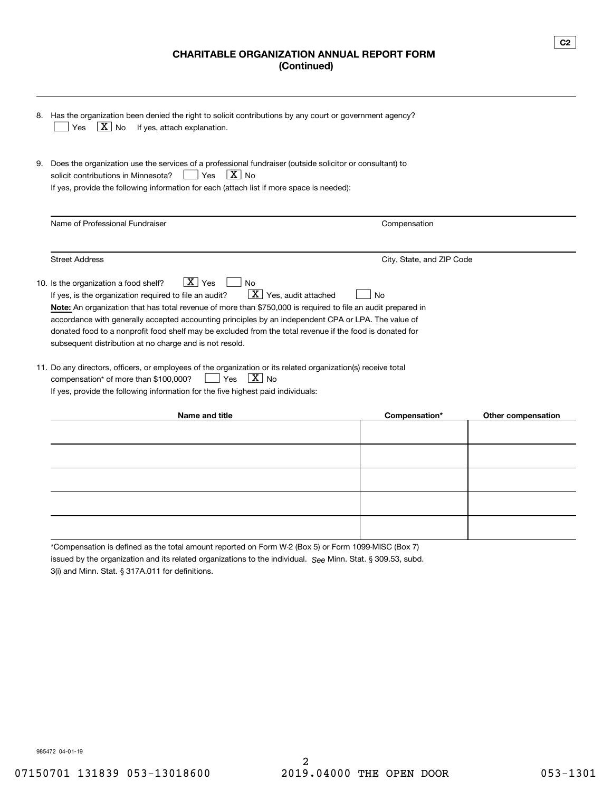## **CHARITABLE ORGANIZATION ANNUAL REPORT FORM (Continued)**

| 8. | Has the organization been denied the right to solicit contributions by any court or government agency?<br>$ X $ No<br>If yes, attach explanation.<br>Yes                                                                                                                                                                                                                                                                                                                                                                                                                   |                           |                    |  |
|----|----------------------------------------------------------------------------------------------------------------------------------------------------------------------------------------------------------------------------------------------------------------------------------------------------------------------------------------------------------------------------------------------------------------------------------------------------------------------------------------------------------------------------------------------------------------------------|---------------------------|--------------------|--|
| 9. | Does the organization use the services of a professional fundraiser (outside solicitor or consultant) to<br>$ X _{\text{No}}$<br>solicit contributions in Minnesota?<br>Yes<br>If yes, provide the following information for each (attach list if more space is needed):                                                                                                                                                                                                                                                                                                   |                           |                    |  |
|    | Name of Professional Fundraiser                                                                                                                                                                                                                                                                                                                                                                                                                                                                                                                                            | Compensation              |                    |  |
|    | <b>Street Address</b>                                                                                                                                                                                                                                                                                                                                                                                                                                                                                                                                                      | City, State, and ZIP Code |                    |  |
|    | $\overline{X}$ Yes<br>10. Is the organization a food shelf?<br><b>No</b><br>$\mathbf{X}$ Yes, audit attached<br>If yes, is the organization required to file an audit?<br>Nο<br>Note: An organization that has total revenue of more than \$750,000 is required to file an audit prepared in<br>accordance with generally accepted accounting principles by an independent CPA or LPA. The value of<br>donated food to a nonprofit food shelf may be excluded from the total revenue if the food is donated for<br>subsequent distribution at no charge and is not resold. |                           |                    |  |
|    | 11. Do any directors, officers, or employees of the organization or its related organization(s) receive total<br>$X _{\text{No}}$<br>compensation* of more than \$100,000?<br>Yes<br>If yes, provide the following information for the five highest paid individuals:                                                                                                                                                                                                                                                                                                      |                           |                    |  |
|    | Name and title                                                                                                                                                                                                                                                                                                                                                                                                                                                                                                                                                             | Compensation*             | Other compensation |  |
|    |                                                                                                                                                                                                                                                                                                                                                                                                                                                                                                                                                                            |                           |                    |  |
|    |                                                                                                                                                                                                                                                                                                                                                                                                                                                                                                                                                                            |                           |                    |  |

issued by the organization and its related organizations to the individual. S<sub>ee</sub> Minn. Stat. § 309.53, subd. \*Compensation is defined as the total amount reported on Form W-2 (Box 5) or Form 1099-MISC (Box 7)

3(i) and Minn. Stat. § 317A.011 for definitions.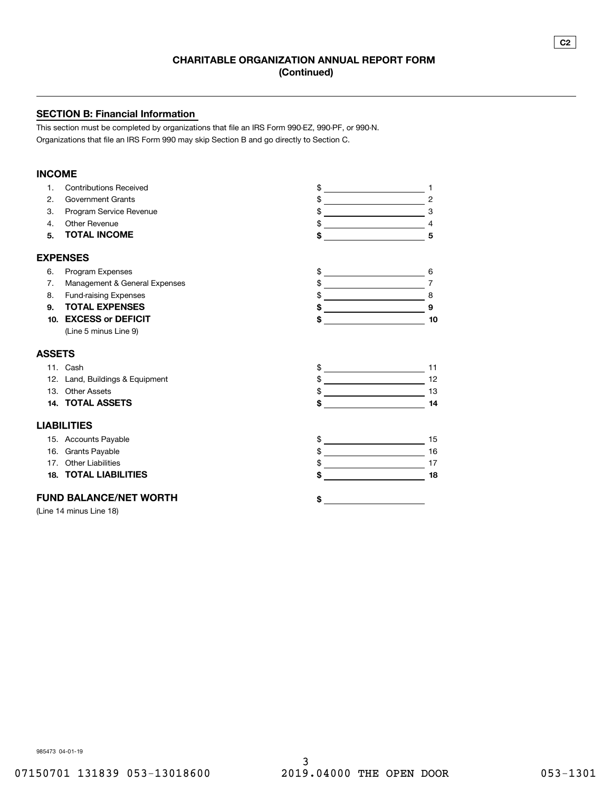#### **SECTION B: Financial Information**

This section must be completed by organizations that file an IRS Form 990-EZ, 990-PF, or 990-N. Organizations that file an IRS Form 990 may skip Section B and go directly to Section C.

#### **INCOME**

| $\mathbf{1}$ . | <b>Contributions Received</b>   | \$                                                                                                                                 |
|----------------|---------------------------------|------------------------------------------------------------------------------------------------------------------------------------|
| 2.             | <b>Government Grants</b>        | \$<br>$\overline{c}$<br><u> 1989 - Johann Stoff, fransk politik (</u>                                                              |
| 3.             | Program Service Revenue         | \$<br>3                                                                                                                            |
| 4.             | Other Revenue                   | \$                                                                                                                                 |
| 5.             | <b>TOTAL INCOME</b>             | \$<br>5                                                                                                                            |
|                | <b>EXPENSES</b>                 |                                                                                                                                    |
| 6.             | Program Expenses                | \$<br>6<br><u> 1989 - Johann Barn, mars eta bainar eta idazlea (</u>                                                               |
| 7.             | Management & General Expenses   | \$<br>$\overline{7}$<br>the control of the control of the control of                                                               |
| 8.             | <b>Fund-raising Expenses</b>    | \$<br>8<br><u> Alexandria de la contrada de la contrada de la contrada de la contrada de la contrada de la contrada de la c</u>    |
| 9.             | <b>TOTAL EXPENSES</b>           | \$<br>9                                                                                                                            |
| 10.            | <b>EXCESS or DEFICIT</b>        | \$<br>10                                                                                                                           |
|                | (Line 5 minus Line 9)           |                                                                                                                                    |
| <b>ASSETS</b>  |                                 |                                                                                                                                    |
|                | 11. Cash                        | \$<br>11<br><u> 1989 - Johann Barn, mars ann an t-</u>                                                                             |
|                | 12. Land, Buildings & Equipment | \$<br>12<br><u> 1980 - Johann Barbara, martxa a</u>                                                                                |
|                | 13. Other Assets                | 13                                                                                                                                 |
|                | <b>14. TOTAL ASSETS</b>         | \$<br>14<br>$\overline{\phantom{a}}$                                                                                               |
|                | <b>LIABILITIES</b>              |                                                                                                                                    |
|                | 15. Accounts Payable            | \$<br>15<br><u> 1989 - Johann Barn, mars ann an t-Aonaich an t-Aonaich an t-Aonaich an t-Aonaich an t-Aonaich ann an t-Aonaich</u> |
|                | 16. Grants Payable              | 16<br><u> 1989 - Johann Barnett, fransk politik (</u>                                                                              |
| 17.            | <b>Other Liabilities</b>        | 17                                                                                                                                 |
| 18.            | <b>TOTAL LIABILITIES</b>        | \$<br>18                                                                                                                           |
|                | <b>FUND BALANCE/NET WORTH</b>   | \$                                                                                                                                 |
|                | (Line 14 minus Line 18)         |                                                                                                                                    |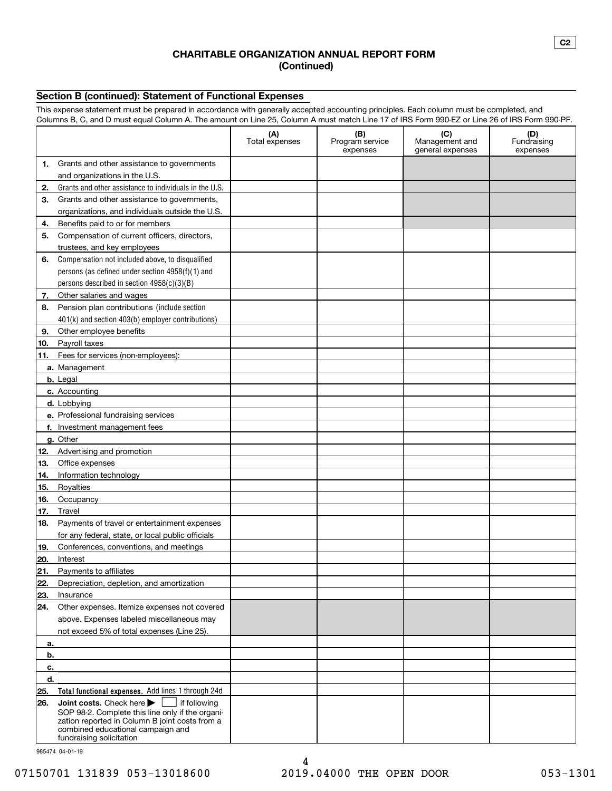#### **CHARITABLE ORGANIZATION ANNUAL REPORT FORM (Continued)**

#### **Section B (continued): Statement of Functional Expenses**

This expense statement must be prepared in accordance with generally accepted accounting principles. Each column must be completed, and Columns B, C, and D must equal Column A. The amount on Line 25, Column A must match Line 17 of IRS Form 990-EZ or Line 26 of IRS Form 990-PF.

|            |                                                                                                                                                                                                                | (A)<br>Total expenses | (B)<br>Program service<br>expenses | (C)<br>Management and<br>general expenses | (D)<br>Fundraising<br>expenses |
|------------|----------------------------------------------------------------------------------------------------------------------------------------------------------------------------------------------------------------|-----------------------|------------------------------------|-------------------------------------------|--------------------------------|
| 1.         | Grants and other assistance to governments                                                                                                                                                                     |                       |                                    |                                           |                                |
|            | and organizations in the U.S.                                                                                                                                                                                  |                       |                                    |                                           |                                |
| 2.         | Grants and other assistance to individuals in the U.S.                                                                                                                                                         |                       |                                    |                                           |                                |
| З.         | Grants and other assistance to governments,                                                                                                                                                                    |                       |                                    |                                           |                                |
|            | organizations, and individuals outside the U.S.                                                                                                                                                                |                       |                                    |                                           |                                |
| 4.         | Benefits paid to or for members                                                                                                                                                                                |                       |                                    |                                           |                                |
| 5.         | Compensation of current officers, directors,                                                                                                                                                                   |                       |                                    |                                           |                                |
|            | trustees, and key employees                                                                                                                                                                                    |                       |                                    |                                           |                                |
| 6.         | Compensation not included above, to disqualified                                                                                                                                                               |                       |                                    |                                           |                                |
|            | persons (as defined under section 4958(f)(1) and                                                                                                                                                               |                       |                                    |                                           |                                |
|            | persons described in section 4958(c)(3)(B)                                                                                                                                                                     |                       |                                    |                                           |                                |
|            | 7. Other salaries and wages                                                                                                                                                                                    |                       |                                    |                                           |                                |
| 8.         | Pension plan contributions (include section                                                                                                                                                                    |                       |                                    |                                           |                                |
|            | 401(k) and section 403(b) employer contributions)                                                                                                                                                              |                       |                                    |                                           |                                |
| 9.         | Other employee benefits                                                                                                                                                                                        |                       |                                    |                                           |                                |
| 10.        | Payroll taxes                                                                                                                                                                                                  |                       |                                    |                                           |                                |
| 11.        | Fees for services (non-employees):                                                                                                                                                                             |                       |                                    |                                           |                                |
|            | a. Management                                                                                                                                                                                                  |                       |                                    |                                           |                                |
|            | b. Legal                                                                                                                                                                                                       |                       |                                    |                                           |                                |
|            | c. Accounting                                                                                                                                                                                                  |                       |                                    |                                           |                                |
|            | d. Lobbying                                                                                                                                                                                                    |                       |                                    |                                           |                                |
|            | e. Professional fundraising services                                                                                                                                                                           |                       |                                    |                                           |                                |
|            | f. Investment management fees                                                                                                                                                                                  |                       |                                    |                                           |                                |
|            | g. Other                                                                                                                                                                                                       |                       |                                    |                                           |                                |
| 12.        | Advertising and promotion                                                                                                                                                                                      |                       |                                    |                                           |                                |
| 13.        | Office expenses                                                                                                                                                                                                |                       |                                    |                                           |                                |
| 14.        | Information technology                                                                                                                                                                                         |                       |                                    |                                           |                                |
| 15.        | Royalties                                                                                                                                                                                                      |                       |                                    |                                           |                                |
| 16.<br>17. | Occupancy<br>Travel                                                                                                                                                                                            |                       |                                    |                                           |                                |
| 18.        |                                                                                                                                                                                                                |                       |                                    |                                           |                                |
|            | Payments of travel or entertainment expenses<br>for any federal, state, or local public officials                                                                                                              |                       |                                    |                                           |                                |
| 19.        | Conferences, conventions, and meetings                                                                                                                                                                         |                       |                                    |                                           |                                |
| 20.        | Interest                                                                                                                                                                                                       |                       |                                    |                                           |                                |
| 21.        | Payments to affiliates                                                                                                                                                                                         |                       |                                    |                                           |                                |
| 22.        | Depreciation, depletion, and amortization                                                                                                                                                                      |                       |                                    |                                           |                                |
| 23.        | Insurance                                                                                                                                                                                                      |                       |                                    |                                           |                                |
|            | 24. Other expenses. Itemize expenses not covered                                                                                                                                                               |                       |                                    |                                           |                                |
|            | above. Expenses labeled miscellaneous may                                                                                                                                                                      |                       |                                    |                                           |                                |
|            | not exceed 5% of total expenses (Line 25).                                                                                                                                                                     |                       |                                    |                                           |                                |
| а.         |                                                                                                                                                                                                                |                       |                                    |                                           |                                |
| b.         |                                                                                                                                                                                                                |                       |                                    |                                           |                                |
| c.         |                                                                                                                                                                                                                |                       |                                    |                                           |                                |
| d.         |                                                                                                                                                                                                                |                       |                                    |                                           |                                |
| 25.        | Total functional expenses. Add lines 1 through 24d                                                                                                                                                             |                       |                                    |                                           |                                |
| 26.        | Joint costs. Check here<br>if following<br>SOP 98-2. Complete this line only if the organi-<br>zation reported in Column B joint costs from a<br>combined educational campaign and<br>fundraising solicitation |                       |                                    |                                           |                                |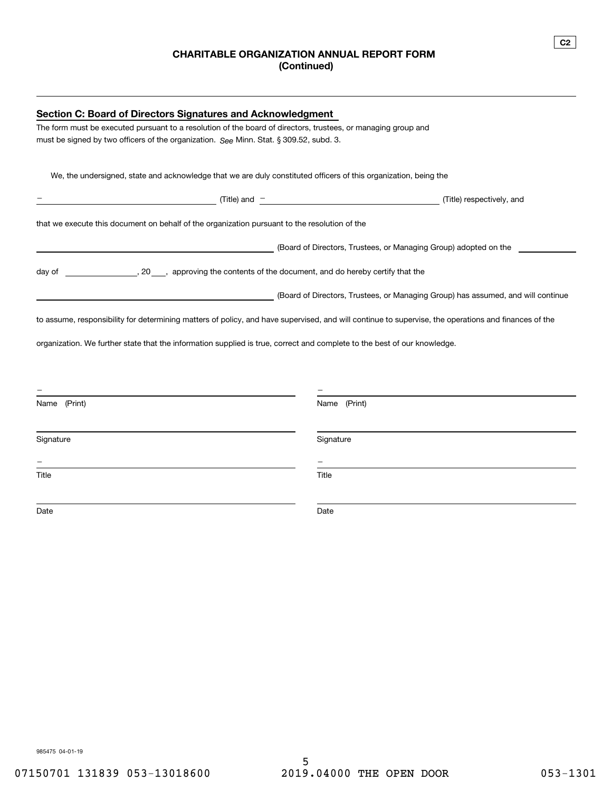## **CHARITABLE ORGANIZATION ANNUAL REPORT FORM (Continued)**

| The form must be executed pursuant to a resolution of the board of directors, trustees, or managing group and<br>must be signed by two officers of the organization. See Minn. Stat. § 309.52, subd. 3.<br>We, the undersigned, state and acknowledge that we are duly constituted officers of this organization, being the<br>$\overline{\phantom{a}}$ (Title) and $\overline{\phantom{a}}$<br>(Title) respectively, and<br>that we execute this document on behalf of the organization pursuant to the resolution of the<br>(Board of Directors, Trustees, or Managing Group) adopted on the<br>(Board of Directors, Trustees, or Managing Group) has assumed, and will continue<br><u> 1989 - Johann Barn, mars ann an t-Amhainn an t-Amhainn an t-Amhainn an t-Amhainn an t-Amhainn an t-Amhainn an</u><br>to assume, responsibility for determining matters of policy, and have supervised, and will continue to supervise, the operations and finances of the<br>organization. We further state that the information supplied is true, correct and complete to the best of our knowledge.<br>Name (Print)<br>Name (Print)<br>Signature<br>Signature<br>Title<br>Title<br>Date<br>Date | <b>Section C: Board of Directors Signatures and Acknowledgment</b> |  |  |  |
|---------------------------------------------------------------------------------------------------------------------------------------------------------------------------------------------------------------------------------------------------------------------------------------------------------------------------------------------------------------------------------------------------------------------------------------------------------------------------------------------------------------------------------------------------------------------------------------------------------------------------------------------------------------------------------------------------------------------------------------------------------------------------------------------------------------------------------------------------------------------------------------------------------------------------------------------------------------------------------------------------------------------------------------------------------------------------------------------------------------------------------------------------------------------------------------------|--------------------------------------------------------------------|--|--|--|
|                                                                                                                                                                                                                                                                                                                                                                                                                                                                                                                                                                                                                                                                                                                                                                                                                                                                                                                                                                                                                                                                                                                                                                                             |                                                                    |  |  |  |
|                                                                                                                                                                                                                                                                                                                                                                                                                                                                                                                                                                                                                                                                                                                                                                                                                                                                                                                                                                                                                                                                                                                                                                                             |                                                                    |  |  |  |
|                                                                                                                                                                                                                                                                                                                                                                                                                                                                                                                                                                                                                                                                                                                                                                                                                                                                                                                                                                                                                                                                                                                                                                                             |                                                                    |  |  |  |
|                                                                                                                                                                                                                                                                                                                                                                                                                                                                                                                                                                                                                                                                                                                                                                                                                                                                                                                                                                                                                                                                                                                                                                                             |                                                                    |  |  |  |
|                                                                                                                                                                                                                                                                                                                                                                                                                                                                                                                                                                                                                                                                                                                                                                                                                                                                                                                                                                                                                                                                                                                                                                                             |                                                                    |  |  |  |
|                                                                                                                                                                                                                                                                                                                                                                                                                                                                                                                                                                                                                                                                                                                                                                                                                                                                                                                                                                                                                                                                                                                                                                                             |                                                                    |  |  |  |
|                                                                                                                                                                                                                                                                                                                                                                                                                                                                                                                                                                                                                                                                                                                                                                                                                                                                                                                                                                                                                                                                                                                                                                                             |                                                                    |  |  |  |
|                                                                                                                                                                                                                                                                                                                                                                                                                                                                                                                                                                                                                                                                                                                                                                                                                                                                                                                                                                                                                                                                                                                                                                                             |                                                                    |  |  |  |
|                                                                                                                                                                                                                                                                                                                                                                                                                                                                                                                                                                                                                                                                                                                                                                                                                                                                                                                                                                                                                                                                                                                                                                                             |                                                                    |  |  |  |
|                                                                                                                                                                                                                                                                                                                                                                                                                                                                                                                                                                                                                                                                                                                                                                                                                                                                                                                                                                                                                                                                                                                                                                                             |                                                                    |  |  |  |
|                                                                                                                                                                                                                                                                                                                                                                                                                                                                                                                                                                                                                                                                                                                                                                                                                                                                                                                                                                                                                                                                                                                                                                                             |                                                                    |  |  |  |
|                                                                                                                                                                                                                                                                                                                                                                                                                                                                                                                                                                                                                                                                                                                                                                                                                                                                                                                                                                                                                                                                                                                                                                                             |                                                                    |  |  |  |
|                                                                                                                                                                                                                                                                                                                                                                                                                                                                                                                                                                                                                                                                                                                                                                                                                                                                                                                                                                                                                                                                                                                                                                                             |                                                                    |  |  |  |
|                                                                                                                                                                                                                                                                                                                                                                                                                                                                                                                                                                                                                                                                                                                                                                                                                                                                                                                                                                                                                                                                                                                                                                                             |                                                                    |  |  |  |
|                                                                                                                                                                                                                                                                                                                                                                                                                                                                                                                                                                                                                                                                                                                                                                                                                                                                                                                                                                                                                                                                                                                                                                                             |                                                                    |  |  |  |
|                                                                                                                                                                                                                                                                                                                                                                                                                                                                                                                                                                                                                                                                                                                                                                                                                                                                                                                                                                                                                                                                                                                                                                                             |                                                                    |  |  |  |
|                                                                                                                                                                                                                                                                                                                                                                                                                                                                                                                                                                                                                                                                                                                                                                                                                                                                                                                                                                                                                                                                                                                                                                                             |                                                                    |  |  |  |
|                                                                                                                                                                                                                                                                                                                                                                                                                                                                                                                                                                                                                                                                                                                                                                                                                                                                                                                                                                                                                                                                                                                                                                                             |                                                                    |  |  |  |
|                                                                                                                                                                                                                                                                                                                                                                                                                                                                                                                                                                                                                                                                                                                                                                                                                                                                                                                                                                                                                                                                                                                                                                                             |                                                                    |  |  |  |
|                                                                                                                                                                                                                                                                                                                                                                                                                                                                                                                                                                                                                                                                                                                                                                                                                                                                                                                                                                                                                                                                                                                                                                                             |                                                                    |  |  |  |
|                                                                                                                                                                                                                                                                                                                                                                                                                                                                                                                                                                                                                                                                                                                                                                                                                                                                                                                                                                                                                                                                                                                                                                                             |                                                                    |  |  |  |
|                                                                                                                                                                                                                                                                                                                                                                                                                                                                                                                                                                                                                                                                                                                                                                                                                                                                                                                                                                                                                                                                                                                                                                                             |                                                                    |  |  |  |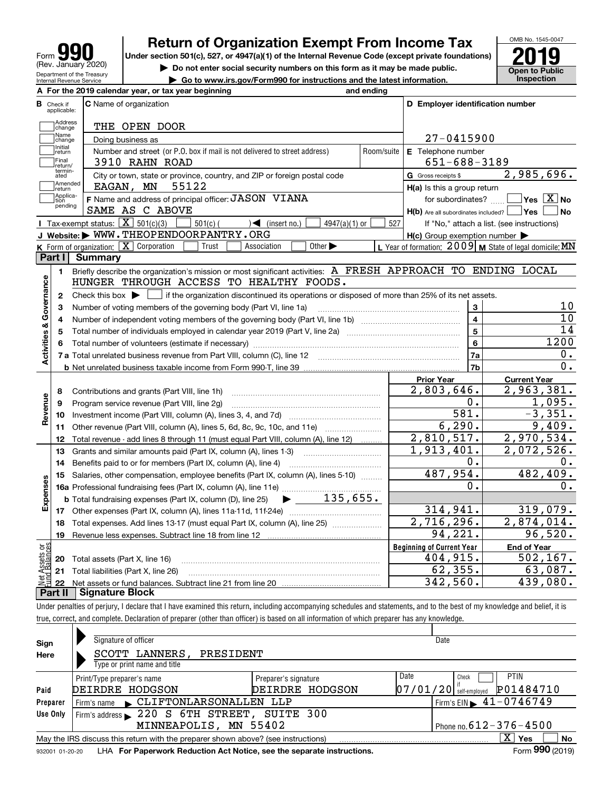

# **Return of Organization Exempt From Income Tax**

Under section 501(c), 527, or 4947(a)(1) of the Internal Revenue Code (except private foundations) **2019** 

**| Do not enter social security numbers on this form as it may be made public.**

**| Go to www.irs.gov/Form990 for instructions and the latest information. Inspection**



|                         |                   | A For the 2019 calendar year, or tax year beginning                                                                                                 | and ending |                                                     |                                                                 |
|-------------------------|-------------------|-----------------------------------------------------------------------------------------------------------------------------------------------------|------------|-----------------------------------------------------|-----------------------------------------------------------------|
| В<br>Check if           | applicable:       | <b>C</b> Name of organization                                                                                                                       |            | D Employer identification number                    |                                                                 |
|                         | Address<br>change | THE OPEN DOOR                                                                                                                                       |            |                                                     |                                                                 |
|                         | Name<br>change    | Doing business as                                                                                                                                   |            | $27 - 0415900$                                      |                                                                 |
|                         | Initial<br>return | Number and street (or P.O. box if mail is not delivered to street address)                                                                          | Room/suite | E Telephone number                                  |                                                                 |
|                         | Final<br>return/  | 3910 RAHN ROAD                                                                                                                                      |            | 651-688-3189                                        |                                                                 |
|                         | termin-<br>ated   | City or town, state or province, country, and ZIP or foreign postal code                                                                            |            | G Gross receipts \$                                 | 2,985,696.                                                      |
|                         | Amended<br>return | 55122<br>EAGAN, MN                                                                                                                                  |            | H(a) Is this a group return                         |                                                                 |
|                         | Applica-<br>tion  | F Name and address of principal officer: JASON VIANA                                                                                                |            | for subordinates?                                   | $\overline{\mathsf{Yes} \mathrel{\hspace{0.5pt}\mathsf{X}}}$ No |
|                         | pending           | SAME AS C ABOVE                                                                                                                                     |            | $H(b)$ Are all subordinates included? $\Box$ Yes    | No                                                              |
|                         |                   | Tax-exempt status: $\boxed{\mathbf{X}}$ 501(c)(3)<br>$\mathcal{A}$ (insert no.)<br>$501(c)$ (<br>$4947(a)(1)$ or                                    | 527        |                                                     | If "No," attach a list. (see instructions)                      |
|                         |                   | J Website: WWW.THEOPENDOORPANTRY.ORG                                                                                                                |            | $H(c)$ Group exemption number $\blacktriangleright$ |                                                                 |
|                         |                   | K Form of organization: $X$ Corporation<br>Trust<br>Other $\blacktriangleright$<br>Association                                                      |            |                                                     | L Year of formation: 2009 M State of legal domicile: MN         |
| Part I                  |                   | <b>Summary</b>                                                                                                                                      |            |                                                     |                                                                 |
|                         | 1.                | Briefly describe the organization's mission or most significant activities: A FRESH APPROACH TO ENDING LOCAL                                        |            |                                                     |                                                                 |
|                         |                   | HUNGER THROUGH ACCESS TO HEALTHY FOODS.                                                                                                             |            |                                                     |                                                                 |
| Activities & Governance | $\mathbf{2}$      | Check this box $\blacktriangleright$ $\blacksquare$ if the organization discontinued its operations or disposed of more than 25% of its net assets. |            |                                                     |                                                                 |
|                         | 3                 | Number of voting members of the governing body (Part VI, line 1a)                                                                                   |            | 3                                                   | 10                                                              |
|                         | 4                 |                                                                                                                                                     |            | $\overline{\mathbf{4}}$                             | 10                                                              |
|                         | 5                 |                                                                                                                                                     |            | $5\phantom{a}$                                      | 14                                                              |
|                         | 6                 |                                                                                                                                                     |            | $6\phantom{a}$                                      | 1200                                                            |
|                         |                   |                                                                                                                                                     |            | 7a                                                  | $\mathbf 0$ .                                                   |
|                         |                   |                                                                                                                                                     |            | 7b                                                  | 0.                                                              |
|                         |                   |                                                                                                                                                     |            | <b>Prior Year</b>                                   | <b>Current Year</b>                                             |
|                         | 8                 | Contributions and grants (Part VIII, line 1h)                                                                                                       |            | 2,803,646.                                          | 2,963,381.                                                      |
| Revenue                 | 9                 | Program service revenue (Part VIII, line 2g)                                                                                                        |            | 0.                                                  | 1,095.                                                          |
|                         | 10                |                                                                                                                                                     |            | $\overline{581}$ .<br>6, 290.                       | $-3,351.$<br>9,409.                                             |
|                         | 11                | Other revenue (Part VIII, column (A), lines 5, 6d, 8c, 9c, 10c, and 11e)                                                                            |            |                                                     |                                                                 |
|                         | 12                | Total revenue - add lines 8 through 11 (must equal Part VIII, column (A), line 12)                                                                  |            | 2,810,517.                                          | 2,970,534.                                                      |
|                         | 13                | Grants and similar amounts paid (Part IX, column (A), lines 1-3)                                                                                    |            | 1,913,401.<br>0.                                    | $\overline{2,072,526}$ .<br>0.                                  |
|                         | 14                | Benefits paid to or for members (Part IX, column (A), line 4)                                                                                       |            | 487,954.                                            | 482, 409.                                                       |
| Expenses                | 15                | Salaries, other compensation, employee benefits (Part IX, column (A), lines 5-10)                                                                   |            | о.                                                  | 0.                                                              |
|                         |                   | $\blacktriangleright$ 135,655.                                                                                                                      |            |                                                     |                                                                 |
|                         |                   | <b>b</b> Total fundraising expenses (Part IX, column (D), line 25)                                                                                  |            | 314,941.                                            | 319,079.                                                        |
|                         |                   |                                                                                                                                                     |            | $\overline{2,716,296}$ .                            | 2,874,014.                                                      |
|                         | 18                | Total expenses. Add lines 13-17 (must equal Part IX, column (A), line 25) [                                                                         |            | 94, 221.                                            | 96,520.                                                         |
|                         | 19                |                                                                                                                                                     |            | <b>Beginning of Current Year</b>                    | <b>End of Year</b>                                              |
| äğ                      |                   |                                                                                                                                                     |            | 404,915.                                            | 502, 167.                                                       |
| <b>Ssets</b><br>Balanc  |                   | <b>20</b> Total assets (Part X, line 16)                                                                                                            |            | 62, 355.                                            | 63,087.                                                         |
|                         |                   | 21 Total liabilities (Part X, line 26)                                                                                                              |            | 342,560.                                            | 439,080.                                                        |
| Part II                 | 22                | <b>Signature Block</b>                                                                                                                              |            |                                                     |                                                                 |

Under penalties of perjury, I declare that I have examined this return, including accompanying schedules and statements, and to the best of my knowledge and belief, it is true, correct, and complete. Declaration of preparer (other than officer) is based on all information of which preparer has any knowledge.

| Sign     | Signature of officer                                                                                                    |                              |      | Date                                        |  |  |
|----------|-------------------------------------------------------------------------------------------------------------------------|------------------------------|------|---------------------------------------------|--|--|
| Here     | SCOTT LANNERS,<br>PRESIDENT                                                                                             |                              |      |                                             |  |  |
|          | Type or print name and title                                                                                            |                              |      |                                             |  |  |
|          | Print/Type preparer's name                                                                                              | Preparer's signature         | Date | <b>PTIN</b><br>Check                        |  |  |
| Paid     | DEIRDRE HODGSON                                                                                                         | DEIRDRE HODGSON              |      | P01484710<br>$07/01/20$ self-employed       |  |  |
| Preparer | Firm's name CLIFTONLARSONALLEN LLP                                                                                      |                              |      | Firm's EIN $\blacktriangleright$ 41-0746749 |  |  |
| Use Only | Firm's address 220 S 6TH STREET, SUITE 300                                                                              |                              |      |                                             |  |  |
|          | MINNEAPOLIS, MN 55402                                                                                                   | Phone no. $612 - 376 - 4500$ |      |                                             |  |  |
|          | $\mathbf{x}$<br><b>No</b><br>∣ Yes<br>May the IRS discuss this return with the preparer shown above? (see instructions) |                              |      |                                             |  |  |
|          | Form 990 (2019)<br>LHA For Paperwork Reduction Act Notice, see the separate instructions.<br>932001 01-20-20            |                              |      |                                             |  |  |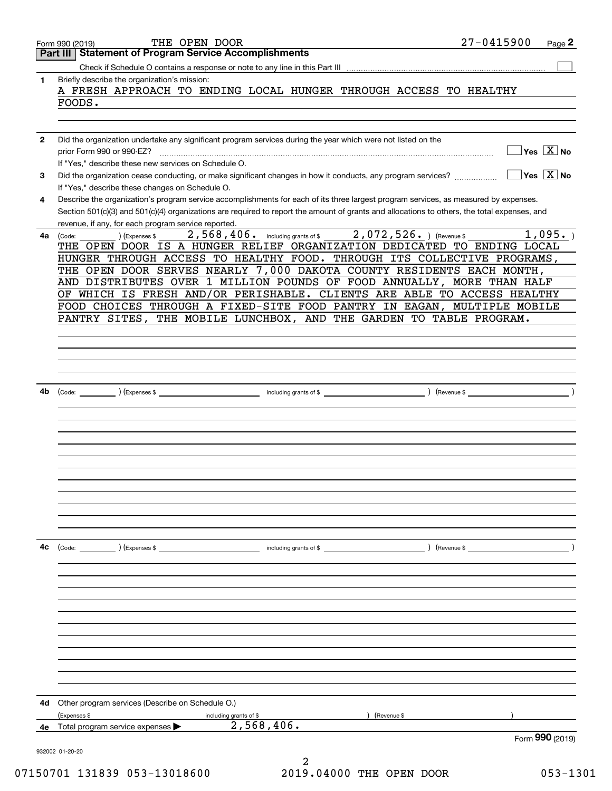|              | THE OPEN DOOR<br>Form 990 (2019)                                                                                                                                                                    | $27 - 0415900$<br>Page 2               |
|--------------|-----------------------------------------------------------------------------------------------------------------------------------------------------------------------------------------------------|----------------------------------------|
|              | <b>Statement of Program Service Accomplishments</b><br>Part III                                                                                                                                     |                                        |
|              |                                                                                                                                                                                                     |                                        |
| 1            | Briefly describe the organization's mission:<br>A FRESH APPROACH TO ENDING LOCAL HUNGER THROUGH ACCESS TO HEALTHY                                                                                   |                                        |
|              | FOODS.                                                                                                                                                                                              |                                        |
|              |                                                                                                                                                                                                     |                                        |
| $\mathbf{2}$ | Did the organization undertake any significant program services during the year which were not listed on the                                                                                        |                                        |
|              | prior Form 990 or 990-EZ?                                                                                                                                                                           | $\sqrt{}$ Yes $\sqrt{}$ X $\sqrt{}$ No |
| З            | If "Yes," describe these new services on Schedule O.<br>Did the organization cease conducting, or make significant changes in how it conducts, any program services?                                | $\sqrt{}$ Yes $\sqrt{X}$ No            |
|              | If "Yes," describe these changes on Schedule O.                                                                                                                                                     |                                        |
| 4            | Describe the organization's program service accomplishments for each of its three largest program services, as measured by expenses.                                                                |                                        |
|              | Section 501(c)(3) and 501(c)(4) organizations are required to report the amount of grants and allocations to others, the total expenses, and<br>revenue, if any, for each program service reported. |                                        |
| 4a           | 2,568,406. including grants of \$2,072,526. ) (Revenue \$<br>) (Expenses \$<br>(Code:                                                                                                               | 1,095.                                 |
|              | THE OPEN DOOR IS A HUNGER RELIEF ORGANIZATION DEDICATED TO ENDING LOCAL                                                                                                                             |                                        |
|              | HUNGER THROUGH ACCESS TO HEALTHY FOOD. THROUGH ITS COLLECTIVE PROGRAMS,                                                                                                                             |                                        |
|              | THE OPEN DOOR SERVES NEARLY 7,000 DAKOTA COUNTY RESIDENTS EACH MONTH,                                                                                                                               |                                        |
|              | AND DISTRIBUTES OVER 1 MILLION POUNDS OF FOOD ANNUALLY, MORE THAN HALF                                                                                                                              |                                        |
|              | OF WHICH IS FRESH AND/OR PERISHABLE. CLIENTS ARE ABLE TO ACCESS HEALTHY                                                                                                                             |                                        |
|              | FOOD CHOICES THROUGH A FIXED-SITE FOOD PANTRY IN EAGAN, MULTIPLE MOBILE                                                                                                                             |                                        |
|              | PANTRY SITES, THE MOBILE LUNCHBOX, AND THE GARDEN TO TABLE PROGRAM.                                                                                                                                 |                                        |
|              |                                                                                                                                                                                                     |                                        |
|              |                                                                                                                                                                                                     |                                        |
|              |                                                                                                                                                                                                     |                                        |
|              |                                                                                                                                                                                                     |                                        |
|              |                                                                                                                                                                                                     |                                        |
|              |                                                                                                                                                                                                     |                                        |
| 4b           |                                                                                                                                                                                                     |                                        |
|              |                                                                                                                                                                                                     |                                        |
|              |                                                                                                                                                                                                     |                                        |
|              |                                                                                                                                                                                                     |                                        |
|              |                                                                                                                                                                                                     |                                        |
|              |                                                                                                                                                                                                     |                                        |
|              |                                                                                                                                                                                                     |                                        |
|              |                                                                                                                                                                                                     |                                        |
|              |                                                                                                                                                                                                     |                                        |
|              |                                                                                                                                                                                                     |                                        |
|              |                                                                                                                                                                                                     |                                        |
|              |                                                                                                                                                                                                     |                                        |
|              |                                                                                                                                                                                                     |                                        |
| 4c           | (Code: ) (Expenses \$<br>including grants of \$                                                                                                                                                     | ) (Revenue \$                          |
|              |                                                                                                                                                                                                     |                                        |
|              |                                                                                                                                                                                                     |                                        |
|              |                                                                                                                                                                                                     |                                        |
|              |                                                                                                                                                                                                     |                                        |
|              |                                                                                                                                                                                                     |                                        |
|              |                                                                                                                                                                                                     |                                        |
|              |                                                                                                                                                                                                     |                                        |
|              |                                                                                                                                                                                                     |                                        |
|              |                                                                                                                                                                                                     |                                        |
|              |                                                                                                                                                                                                     |                                        |
|              |                                                                                                                                                                                                     |                                        |
|              |                                                                                                                                                                                                     |                                        |
|              |                                                                                                                                                                                                     |                                        |
| 4d           | Other program services (Describe on Schedule O.)                                                                                                                                                    |                                        |
|              | (Expenses \$<br>including grants of \$<br>(Revenue \$<br>2,568,406.                                                                                                                                 |                                        |
|              | 4e Total program service expenses >                                                                                                                                                                 |                                        |
|              | 932002 01-20-20                                                                                                                                                                                     | Form 990 (2019)                        |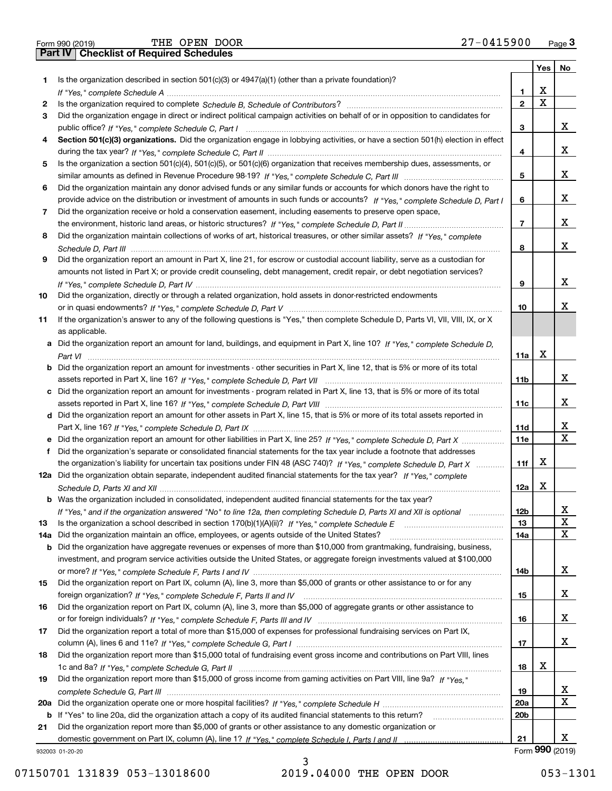|  | Form 990 (2019) |  |
|--|-----------------|--|

|     |                                                                                                                                                                                                                                                            |                 | Yes | No              |
|-----|------------------------------------------------------------------------------------------------------------------------------------------------------------------------------------------------------------------------------------------------------------|-----------------|-----|-----------------|
| 1   | Is the organization described in section $501(c)(3)$ or $4947(a)(1)$ (other than a private foundation)?                                                                                                                                                    |                 |     |                 |
|     |                                                                                                                                                                                                                                                            | 1               | х   |                 |
| 2   |                                                                                                                                                                                                                                                            | $\mathbf{2}$    | X   |                 |
| 3   | Did the organization engage in direct or indirect political campaign activities on behalf of or in opposition to candidates for                                                                                                                            |                 |     |                 |
|     |                                                                                                                                                                                                                                                            | 3               |     | x               |
| 4   | Section 501(c)(3) organizations. Did the organization engage in lobbying activities, or have a section 501(h) election in effect                                                                                                                           |                 |     |                 |
|     |                                                                                                                                                                                                                                                            | 4               |     | х               |
| 5   | Is the organization a section 501(c)(4), 501(c)(5), or 501(c)(6) organization that receives membership dues, assessments, or                                                                                                                               |                 |     |                 |
|     |                                                                                                                                                                                                                                                            | 5               |     | х               |
| 6   | Did the organization maintain any donor advised funds or any similar funds or accounts for which donors have the right to                                                                                                                                  |                 |     |                 |
|     | provide advice on the distribution or investment of amounts in such funds or accounts? If "Yes," complete Schedule D, Part I                                                                                                                               | 6               |     | х               |
| 7   | Did the organization receive or hold a conservation easement, including easements to preserve open space,                                                                                                                                                  |                 |     | х               |
|     |                                                                                                                                                                                                                                                            | $\overline{7}$  |     |                 |
| 8   | Did the organization maintain collections of works of art, historical treasures, or other similar assets? If "Yes," complete                                                                                                                               |                 |     | х               |
|     |                                                                                                                                                                                                                                                            | 8               |     |                 |
| 9   | Did the organization report an amount in Part X, line 21, for escrow or custodial account liability, serve as a custodian for<br>amounts not listed in Part X; or provide credit counseling, debt management, credit repair, or debt negotiation services? |                 |     |                 |
|     |                                                                                                                                                                                                                                                            | 9               |     | х               |
| 10  | Did the organization, directly or through a related organization, hold assets in donor-restricted endowments                                                                                                                                               |                 |     |                 |
|     |                                                                                                                                                                                                                                                            | 10              |     | х               |
| 11  | If the organization's answer to any of the following questions is "Yes," then complete Schedule D, Parts VI, VII, VIII, IX, or X                                                                                                                           |                 |     |                 |
|     | as applicable.                                                                                                                                                                                                                                             |                 |     |                 |
| a   | Did the organization report an amount for land, buildings, and equipment in Part X, line 10? If "Yes," complete Schedule D,                                                                                                                                |                 |     |                 |
|     |                                                                                                                                                                                                                                                            | 11a             | х   |                 |
|     | <b>b</b> Did the organization report an amount for investments - other securities in Part X, line 12, that is 5% or more of its total                                                                                                                      |                 |     |                 |
|     |                                                                                                                                                                                                                                                            | 11 <sub>b</sub> |     | х               |
|     | c Did the organization report an amount for investments - program related in Part X, line 13, that is 5% or more of its total                                                                                                                              |                 |     |                 |
|     |                                                                                                                                                                                                                                                            | 11c             |     | х               |
|     | d Did the organization report an amount for other assets in Part X, line 15, that is 5% or more of its total assets reported in                                                                                                                            |                 |     |                 |
|     |                                                                                                                                                                                                                                                            | 11d             |     | x               |
| е   | Did the organization report an amount for other liabilities in Part X, line 25? If "Yes," complete Schedule D, Part X                                                                                                                                      | <b>11e</b>      |     | X               |
| f   | Did the organization's separate or consolidated financial statements for the tax year include a footnote that addresses                                                                                                                                    |                 |     |                 |
|     | the organization's liability for uncertain tax positions under FIN 48 (ASC 740)? If "Yes," complete Schedule D, Part X                                                                                                                                     | 11f             | х   |                 |
|     | 12a Did the organization obtain separate, independent audited financial statements for the tax year? If "Yes," complete                                                                                                                                    |                 |     |                 |
|     |                                                                                                                                                                                                                                                            | 12a             | X   |                 |
|     | <b>b</b> Was the organization included in consolidated, independent audited financial statements for the tax year?                                                                                                                                         |                 |     |                 |
|     | If "Yes," and if the organization answered "No" to line 12a, then completing Schedule D, Parts XI and XII is optional                                                                                                                                      | 12 <sub>b</sub> |     |                 |
| 13  | Is the organization a school described in section $170(b)(1)(A)(ii)?$ If "Yes," complete Schedule E                                                                                                                                                        | 13              |     | X               |
| 14a | Did the organization maintain an office, employees, or agents outside of the United States?                                                                                                                                                                | 14a             |     | x               |
|     | b Did the organization have aggregate revenues or expenses of more than \$10,000 from grantmaking, fundraising, business,                                                                                                                                  |                 |     |                 |
|     | investment, and program service activities outside the United States, or aggregate foreign investments valued at \$100,000                                                                                                                                 |                 |     | x               |
|     | Did the organization report on Part IX, column (A), line 3, more than \$5,000 of grants or other assistance to or for any                                                                                                                                  | 14b             |     |                 |
| 15  |                                                                                                                                                                                                                                                            | 15              |     | X               |
| 16  | Did the organization report on Part IX, column (A), line 3, more than \$5,000 of aggregate grants or other assistance to                                                                                                                                   |                 |     |                 |
|     |                                                                                                                                                                                                                                                            | 16              |     | X               |
| 17  | Did the organization report a total of more than \$15,000 of expenses for professional fundraising services on Part IX,                                                                                                                                    |                 |     |                 |
|     |                                                                                                                                                                                                                                                            | 17              |     | x               |
| 18  | Did the organization report more than \$15,000 total of fundraising event gross income and contributions on Part VIII, lines                                                                                                                               |                 |     |                 |
|     |                                                                                                                                                                                                                                                            | 18              | x   |                 |
| 19  | Did the organization report more than \$15,000 of gross income from gaming activities on Part VIII, line 9a? If "Yes."                                                                                                                                     |                 |     |                 |
|     |                                                                                                                                                                                                                                                            | 19              |     | x               |
|     |                                                                                                                                                                                                                                                            | 20a             |     | x               |
|     | b If "Yes" to line 20a, did the organization attach a copy of its audited financial statements to this return?                                                                                                                                             | 20 <sub>b</sub> |     |                 |
| 21  | Did the organization report more than \$5,000 of grants or other assistance to any domestic organization or                                                                                                                                                |                 |     |                 |
|     |                                                                                                                                                                                                                                                            | 21              |     | х               |
|     | 932003 01-20-20                                                                                                                                                                                                                                            |                 |     | Form 990 (2019) |

932003 01-20-20

07150701 131839 053-13018600 2019.04000 THE OPEN DOOR 053-1301

3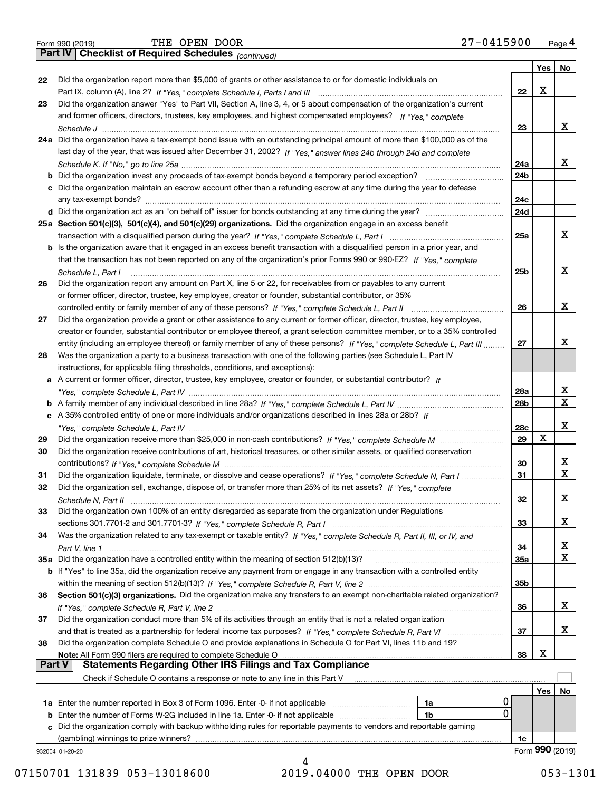|  | Form 990 (2019) |
|--|-----------------|

*(continued)*

|          |                                                                                                                                                                                 |                 | Yes | No              |
|----------|---------------------------------------------------------------------------------------------------------------------------------------------------------------------------------|-----------------|-----|-----------------|
| 22       | Did the organization report more than \$5,000 of grants or other assistance to or for domestic individuals on                                                                   |                 |     |                 |
|          |                                                                                                                                                                                 | 22              | X   |                 |
| 23       | Did the organization answer "Yes" to Part VII, Section A, line 3, 4, or 5 about compensation of the organization's current                                                      |                 |     |                 |
|          | and former officers, directors, trustees, key employees, and highest compensated employees? If "Yes," complete                                                                  |                 |     |                 |
|          |                                                                                                                                                                                 | 23              |     | x               |
|          | 24a Did the organization have a tax-exempt bond issue with an outstanding principal amount of more than \$100,000 as of the                                                     |                 |     |                 |
|          | last day of the year, that was issued after December 31, 2002? If "Yes," answer lines 24b through 24d and complete                                                              |                 |     |                 |
|          |                                                                                                                                                                                 | 24a             |     | x               |
|          | b Did the organization invest any proceeds of tax-exempt bonds beyond a temporary period exception?                                                                             | 24b             |     |                 |
|          | c Did the organization maintain an escrow account other than a refunding escrow at any time during the year to defease                                                          |                 |     |                 |
|          |                                                                                                                                                                                 | 24c             |     |                 |
|          | d Did the organization act as an "on behalf of" issuer for bonds outstanding at any time during the year?                                                                       | 24d             |     |                 |
|          | 25a Section 501(c)(3), 501(c)(4), and 501(c)(29) organizations. Did the organization engage in an excess benefit                                                                |                 |     |                 |
|          |                                                                                                                                                                                 | 25a             |     | x               |
|          | b Is the organization aware that it engaged in an excess benefit transaction with a disqualified person in a prior year, and                                                    |                 |     |                 |
|          | that the transaction has not been reported on any of the organization's prior Forms 990 or 990-EZ? If "Yes," complete                                                           |                 |     |                 |
|          | Schedule L. Part I                                                                                                                                                              | 25 <sub>b</sub> |     | x               |
| 26       | Did the organization report any amount on Part X, line 5 or 22, for receivables from or payables to any current                                                                 |                 |     |                 |
|          | or former officer, director, trustee, key employee, creator or founder, substantial contributor, or 35%                                                                         |                 |     |                 |
|          |                                                                                                                                                                                 | 26              |     | x               |
| 27       | Did the organization provide a grant or other assistance to any current or former officer, director, trustee, key employee,                                                     |                 |     |                 |
|          | creator or founder, substantial contributor or employee thereof, a grant selection committee member, or to a 35% controlled                                                     |                 |     |                 |
|          | entity (including an employee thereof) or family member of any of these persons? If "Yes," complete Schedule L, Part III                                                        | 27              |     | x               |
| 28       | Was the organization a party to a business transaction with one of the following parties (see Schedule L, Part IV                                                               |                 |     |                 |
|          | instructions, for applicable filing thresholds, conditions, and exceptions):                                                                                                    |                 |     |                 |
|          | a A current or former officer, director, trustee, key employee, creator or founder, or substantial contributor? If                                                              |                 |     |                 |
|          |                                                                                                                                                                                 | 28a             |     | х               |
|          |                                                                                                                                                                                 | 28 <sub>b</sub> |     | $\mathbf x$     |
|          | c A 35% controlled entity of one or more individuals and/or organizations described in lines 28a or 28b? If                                                                     |                 |     |                 |
|          |                                                                                                                                                                                 | 28c             |     | x               |
| 29       |                                                                                                                                                                                 | 29              | X   |                 |
| 30       | Did the organization receive contributions of art, historical treasures, or other similar assets, or qualified conservation                                                     |                 |     |                 |
|          |                                                                                                                                                                                 | 30              |     | x               |
| 31       | Did the organization liquidate, terminate, or dissolve and cease operations? If "Yes," complete Schedule N, Part I                                                              | 31              |     | $\mathbf X$     |
| 32       | Did the organization sell, exchange, dispose of, or transfer more than 25% of its net assets? If "Yes," complete                                                                |                 |     |                 |
|          |                                                                                                                                                                                 | 32              |     | х               |
| 33       | Did the organization own 100% of an entity disregarded as separate from the organization under Regulations                                                                      |                 |     |                 |
|          |                                                                                                                                                                                 | 33              |     | х               |
| 34       | Was the organization related to any tax-exempt or taxable entity? If "Yes," complete Schedule R, Part II, III, or IV, and                                                       |                 |     |                 |
|          |                                                                                                                                                                                 | 34              |     | х               |
|          | 35a Did the organization have a controlled entity within the meaning of section 512(b)(13)?                                                                                     | 35a             |     | X               |
|          | b If "Yes" to line 35a, did the organization receive any payment from or engage in any transaction with a controlled entity                                                     |                 |     |                 |
|          |                                                                                                                                                                                 | 35 <sub>b</sub> |     |                 |
| 36       | Section 501(c)(3) organizations. Did the organization make any transfers to an exempt non-charitable related organization?                                                      |                 |     |                 |
|          |                                                                                                                                                                                 | 36              |     | x               |
|          | Did the organization conduct more than 5% of its activities through an entity that is not a related organization                                                                |                 |     |                 |
| 37       |                                                                                                                                                                                 | 37              |     | x               |
|          |                                                                                                                                                                                 |                 |     |                 |
| 38       | Did the organization complete Schedule O and provide explanations in Schedule O for Part VI, lines 11b and 19?<br>Note: All Form 990 filers are required to complete Schedule O | 38              | X   |                 |
| ∣ Part V | <b>Statements Regarding Other IRS Filings and Tax Compliance</b>                                                                                                                |                 |     |                 |
|          | Check if Schedule O contains a response or note to any line in this Part V                                                                                                      |                 |     |                 |
|          |                                                                                                                                                                                 |                 |     |                 |
|          |                                                                                                                                                                                 |                 | Yes | No              |
|          | 1a<br>0                                                                                                                                                                         |                 |     |                 |
|          | <b>b</b> Enter the number of Forms W-2G included in line 1a. Enter -0- if not applicable <i>manumumumum</i><br>1b                                                               |                 |     |                 |
| c        | Did the organization comply with backup withholding rules for reportable payments to vendors and reportable gaming                                                              |                 |     |                 |
|          | (gambling) winnings to prize winners?                                                                                                                                           | 1c              |     | Form 990 (2019) |
|          | 932004 01-20-20<br>4                                                                                                                                                            |                 |     |                 |
|          |                                                                                                                                                                                 |                 |     |                 |

<sup>07150701 131839 053-13018600 2019.04000</sup> THE OPEN DOOR 053-1301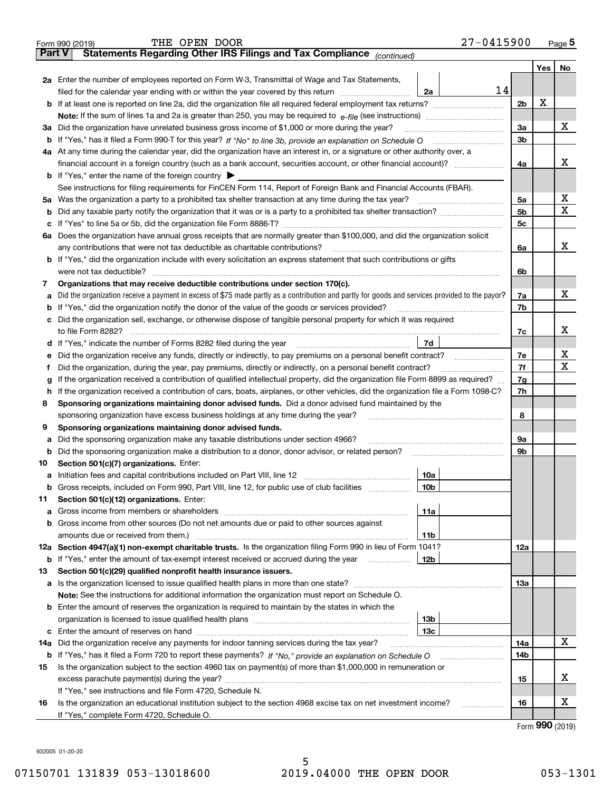|        | $27 - 0415900$<br>THE OPEN DOOR<br>Form 990 (2019)                                                                                                                                                                                    |                |     | Page $5$ |
|--------|---------------------------------------------------------------------------------------------------------------------------------------------------------------------------------------------------------------------------------------|----------------|-----|----------|
| Part V | Statements Regarding Other IRS Filings and Tax Compliance (continued)                                                                                                                                                                 |                |     |          |
|        |                                                                                                                                                                                                                                       |                | Yes | No       |
|        | 2a Enter the number of employees reported on Form W-3, Transmittal of Wage and Tax Statements,                                                                                                                                        |                |     |          |
|        | 14<br>filed for the calendar year ending with or within the year covered by this return<br>2a                                                                                                                                         |                |     |          |
|        | <b>b</b> If at least one is reported on line 2a, did the organization file all required federal employment tax returns?                                                                                                               | 2 <sub>b</sub> | X   |          |
|        |                                                                                                                                                                                                                                       |                |     |          |
|        | 3a Did the organization have unrelated business gross income of \$1,000 or more during the year?                                                                                                                                      | 3a             |     | x        |
|        |                                                                                                                                                                                                                                       | 3 <sub>b</sub> |     |          |
|        | 4a At any time during the calendar year, did the organization have an interest in, or a signature or other authority over, a                                                                                                          |                |     |          |
|        |                                                                                                                                                                                                                                       | 4a             |     | x        |
|        | <b>b</b> If "Yes," enter the name of the foreign country $\triangleright$                                                                                                                                                             |                |     |          |
|        | See instructions for filing requirements for FinCEN Form 114, Report of Foreign Bank and Financial Accounts (FBAR).                                                                                                                   |                |     |          |
|        |                                                                                                                                                                                                                                       | 5a             |     | х        |
|        |                                                                                                                                                                                                                                       | 5 <sub>b</sub> |     | x        |
|        |                                                                                                                                                                                                                                       | 5c             |     |          |
|        | 6a Does the organization have annual gross receipts that are normally greater than \$100,000, and did the organization solicit                                                                                                        |                |     |          |
|        | any contributions that were not tax deductible as charitable contributions?                                                                                                                                                           | 6a             |     | x        |
|        | <b>b</b> If "Yes," did the organization include with every solicitation an express statement that such contributions or gifts                                                                                                         |                |     |          |
|        | were not tax deductible?                                                                                                                                                                                                              | 6b             |     |          |
| 7      | Organizations that may receive deductible contributions under section 170(c).                                                                                                                                                         |                |     |          |
|        | a Did the organization receive a payment in excess of \$75 made partly as a contribution and partly for goods and services provided to the payor?                                                                                     | 7a             |     | х        |
|        | <b>b</b> If "Yes," did the organization notify the donor of the value of the goods or services provided?                                                                                                                              | 7b             |     |          |
|        | c Did the organization sell, exchange, or otherwise dispose of tangible personal property for which it was required                                                                                                                   |                |     | x        |
|        | to file Form 8282?                                                                                                                                                                                                                    | 7c             |     |          |
|        | 7d<br>d If "Yes," indicate the number of Forms 8282 filed during the year                                                                                                                                                             |                |     | х        |
| е      | Did the organization receive any funds, directly or indirectly, to pay premiums on a personal benefit contract?                                                                                                                       | 7e             |     | X        |
| Ť      | Did the organization, during the year, pay premiums, directly or indirectly, on a personal benefit contract?                                                                                                                          | 7f             |     |          |
| g      | If the organization received a contribution of qualified intellectual property, did the organization file Form 8899 as required?                                                                                                      | 7g             |     |          |
| h.     | If the organization received a contribution of cars, boats, airplanes, or other vehicles, did the organization file a Form 1098-C?                                                                                                    | 7h             |     |          |
| 8      | Sponsoring organizations maintaining donor advised funds. Did a donor advised fund maintained by the                                                                                                                                  |                |     |          |
|        | sponsoring organization have excess business holdings at any time during the year?                                                                                                                                                    | 8              |     |          |
| 9      | Sponsoring organizations maintaining donor advised funds.                                                                                                                                                                             |                |     |          |
| а      | Did the sponsoring organization make any taxable distributions under section 4966?                                                                                                                                                    | 9а<br>9b       |     |          |
| 10     | <b>b</b> Did the sponsoring organization make a distribution to a donor, donor advisor, or related person?<br>Section 501(c)(7) organizations. Enter:                                                                                 |                |     |          |
|        | 10a                                                                                                                                                                                                                                   |                |     |          |
|        | <b>b</b> Gross receipts, included on Form 990, Part VIII, line 12, for public use of club facilities <i>managerecipts</i> ,<br>10b                                                                                                    |                |     |          |
| 11     | Section 501(c)(12) organizations. Enter:                                                                                                                                                                                              |                |     |          |
| а      | 11a<br>Gross income from members or shareholders [111] [12] content in the state of the state of the state of the state of the state of the state of the state of the state of the state of the state of the state of the state of th |                |     |          |
|        | b Gross income from other sources (Do not net amounts due or paid to other sources against                                                                                                                                            |                |     |          |
|        | amounts due or received from them.)<br>11b                                                                                                                                                                                            |                |     |          |
|        | 12a Section 4947(a)(1) non-exempt charitable trusts. Is the organization filing Form 990 in lieu of Form 1041?                                                                                                                        | 12a            |     |          |
|        | <b>b</b> If "Yes," enter the amount of tax-exempt interest received or accrued during the year<br>12b                                                                                                                                 |                |     |          |
| 13     | Section 501(c)(29) qualified nonprofit health insurance issuers.                                                                                                                                                                      |                |     |          |
|        |                                                                                                                                                                                                                                       | 13а            |     |          |
|        | <b>Note:</b> See the instructions for additional information the organization must report on Schedule O.                                                                                                                              |                |     |          |
|        | <b>b</b> Enter the amount of reserves the organization is required to maintain by the states in which the                                                                                                                             |                |     |          |
|        | 13 <sub>b</sub>                                                                                                                                                                                                                       |                |     |          |
|        | 13с                                                                                                                                                                                                                                   |                |     |          |
| 14a    | Did the organization receive any payments for indoor tanning services during the tax year?                                                                                                                                            | 14a            |     | x        |
|        |                                                                                                                                                                                                                                       | 14b            |     |          |
| 15     | Is the organization subject to the section 4960 tax on payment(s) of more than \$1,000,000 in remuneration or                                                                                                                         |                |     |          |
|        |                                                                                                                                                                                                                                       | 15             |     | х        |
|        | If "Yes," see instructions and file Form 4720, Schedule N.                                                                                                                                                                            |                |     |          |
| 16     | Is the organization an educational institution subject to the section 4968 excise tax on net investment income?<br>.                                                                                                                  | 16             |     | х        |
|        | If "Yes," complete Form 4720, Schedule O.                                                                                                                                                                                             |                |     |          |
|        |                                                                                                                                                                                                                                       |                |     |          |

Form (2019) **990**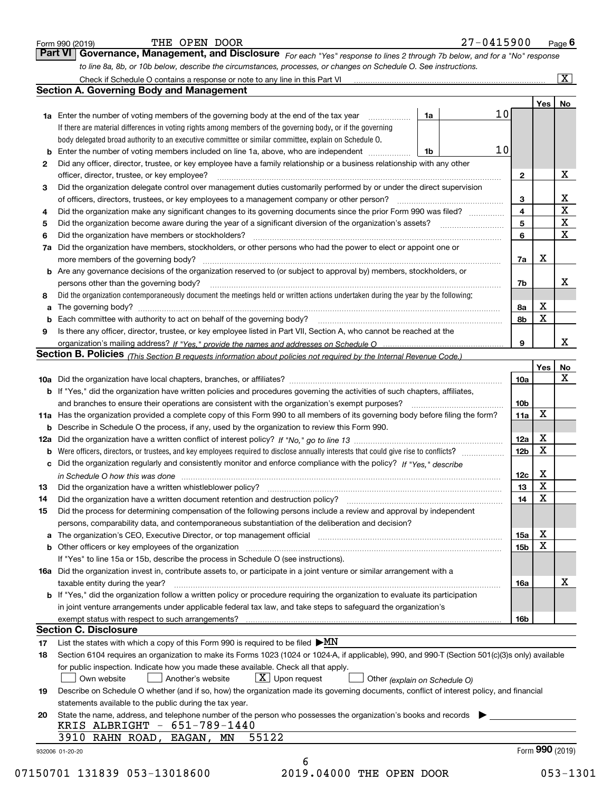| <b>Section A. Governing Body and Management</b><br>Yes<br>No<br>10<br>1a<br><b>1a</b> Enter the number of voting members of the governing body at the end of the tax year <i>manumum</i><br>If there are material differences in voting rights among members of the governing body, or if the governing<br>body delegated broad authority to an executive committee or similar committee, explain on Schedule O.<br>10<br><b>b</b> Enter the number of voting members included on line 1a, above, who are independent<br>1b<br>Did any officer, director, trustee, or key employee have a family relationship or a business relationship with any other<br>2<br>Х<br>officer, director, trustee, or key employee?<br>$\mathbf{2}$<br>Did the organization delegate control over management duties customarily performed by or under the direct supervision<br>з<br>$rac{X}{X}$<br>3<br>4<br>Did the organization make any significant changes to its governing documents since the prior Form 990 was filed?<br>4<br>5<br>5<br>6<br>Did the organization have members or stockholders?<br>6<br>7a Did the organization have members, stockholders, or other persons who had the power to elect or appoint one or<br>Х<br>7a<br><b>b</b> Are any governance decisions of the organization reserved to (or subject to approval by) members, stockholders, or<br>persons other than the governing body?<br>7b<br>Did the organization contemporaneously document the meetings held or written actions undertaken during the year by the following:<br>8<br>х<br>8а<br>а<br>$\mathbf x$<br>8b<br>Is there any officer, director, trustee, or key employee listed in Part VII, Section A, who cannot be reached at the<br>9<br>9<br>Section B. Policies (This Section B requests information about policies not required by the Internal Revenue Code.)<br>Yes<br>10a<br>b If "Yes," did the organization have written policies and procedures governing the activities of such chapters, affiliates,<br>and branches to ensure their operations are consistent with the organization's exempt purposes?<br>10 <sub>b</sub><br>X<br>11a<br>11a Has the organization provided a complete copy of this Form 990 to all members of its governing body before filing the form?<br><b>b</b> Describe in Schedule O the process, if any, used by the organization to review this Form 990.<br>х<br>12a<br>X<br>12 <sub>b</sub><br><b>b</b> Were officers, directors, or trustees, and key employees required to disclose annually interests that could give rise to conflicts?<br>c Did the organization regularly and consistently monitor and enforce compliance with the policy? If "Yes," describe<br>х<br>12c<br>in Schedule O how this was done manufactured and continuum control of the Schedule O how this was done manufactured and continuum control of the Schedule O how this was done<br>$\overline{\mathbf{x}}$<br>Did the organization have a written whistleblower policy?<br>13<br>13<br>X<br>14<br>Did the organization have a written document retention and destruction policy?<br>14<br>Did the process for determining compensation of the following persons include a review and approval by independent<br>15<br>persons, comparability data, and contemporaneous substantiation of the deliberation and decision?<br>x<br>a The organization's CEO, Executive Director, or top management official [11] [12] The organization's CEO, Executive Director, or top management official [12] [12] [12] [12] The organization's CEO, Executive Director, or t<br>15a<br>X<br>b Other officers or key employees of the organization manufactured content to the organization manufactured by Other officers or key employees of the organization manufactured content of the organization manufactured by Ot<br>15b<br>If "Yes" to line 15a or 15b, describe the process in Schedule O (see instructions).<br>16a Did the organization invest in, contribute assets to, or participate in a joint venture or similar arrangement with a<br>taxable entity during the year?<br>16a<br>b If "Yes," did the organization follow a written policy or procedure requiring the organization to evaluate its participation<br>in joint venture arrangements under applicable federal tax law, and take steps to safeguard the organization's<br>16b<br><b>Section C. Disclosure</b><br>List the states with which a copy of this Form 990 is required to be filed $\blacktriangleright MN$<br>Section 6104 requires an organization to make its Forms 1023 (1024 or 1024-A, if applicable), 990, and 990-T (Section 501(c)(3)s only) available<br>18<br>for public inspection. Indicate how you made these available. Check all that apply.<br>$\lfloor x \rfloor$ Upon request<br>Own website<br>Another's website<br>Other (explain on Schedule O)<br>Describe on Schedule O whether (and if so, how) the organization made its governing documents, conflict of interest policy, and financial<br>19<br>statements available to the public during the tax year.<br>State the name, address, and telephone number of the person who possesses the organization's books and records<br>20<br>KRIS ALBRIGHT - 651-789-1440<br>55122<br>3910<br>RAHN ROAD, EAGAN, MN<br>Form 990 (2019) |    | to line 8a, 8b, or 10b below, describe the circumstances, processes, or changes on Schedule O. See instructions. |  | $\overline{\mathbf{x}}$ |
|------------------------------------------------------------------------------------------------------------------------------------------------------------------------------------------------------------------------------------------------------------------------------------------------------------------------------------------------------------------------------------------------------------------------------------------------------------------------------------------------------------------------------------------------------------------------------------------------------------------------------------------------------------------------------------------------------------------------------------------------------------------------------------------------------------------------------------------------------------------------------------------------------------------------------------------------------------------------------------------------------------------------------------------------------------------------------------------------------------------------------------------------------------------------------------------------------------------------------------------------------------------------------------------------------------------------------------------------------------------------------------------------------------------------------------------------------------------------------------------------------------------------------------------------------------------------------------------------------------------------------------------------------------------------------------------------------------------------------------------------------------------------------------------------------------------------------------------------------------------------------------------------------------------------------------------------------------------------------------------------------------------------------------------------------------------------------------------------------------------------------------------------------------------------------------------------------------------------------------------------------------------------------------------------------------------------------------------------------------------------------------------------------------------------------------------------------------------------------------------------------------------------------------------------------------------------------------------------------------------------------------------------------------------------------------------------------------------------------------------------------------------------------------------------------------------------------------------------------------------------------------------------------------------------------------------------------------------------------------------------------------------------------------------------------------------------------------------------------------------------------------------------------------------------------------------------------------------------------------------------------------------------------------------------------------------------------------------------------------------------------------------------------------------------------------------------------------------------------------------------------------------------------------------------------------------------------------------------------------------------------------------------------------------------------------------------------------------------------------------------------------------------------------------------------------------------------------------------------------------------------------------------------------------------------------------------------------------------------------------------------------------------------------------------------------------------------------------------------------------------------------------------------------------------------------------------------------------------------------------------------------------------------------------------------------------------------------------------------------------------------------------------------------------------------------------------------------------------------------------------------------------------------------------------------------------------------------------------------------------------------------------------------------------------------------------------------------------------------------------------------------------------------------------------------------------------------------------------------------------------------------------------------------------------------------------------------------------------------------------------------------------------------------------------------------------------------------------------------------------------------------------------------------------------------------------------------------------------------------------------------------------------------------------|----|------------------------------------------------------------------------------------------------------------------|--|-------------------------|
|                                                                                                                                                                                                                                                                                                                                                                                                                                                                                                                                                                                                                                                                                                                                                                                                                                                                                                                                                                                                                                                                                                                                                                                                                                                                                                                                                                                                                                                                                                                                                                                                                                                                                                                                                                                                                                                                                                                                                                                                                                                                                                                                                                                                                                                                                                                                                                                                                                                                                                                                                                                                                                                                                                                                                                                                                                                                                                                                                                                                                                                                                                                                                                                                                                                                                                                                                                                                                                                                                                                                                                                                                                                                                                                                                                                                                                                                                                                                                                                                                                                                                                                                                                                                                                                                                                                                                                                                                                                                                                                                                                                                                                                                                                                                                                                                                                                                                                                                                                                                                                                                                                                                                                                                                                                                                          |    |                                                                                                                  |  |                         |
|                                                                                                                                                                                                                                                                                                                                                                                                                                                                                                                                                                                                                                                                                                                                                                                                                                                                                                                                                                                                                                                                                                                                                                                                                                                                                                                                                                                                                                                                                                                                                                                                                                                                                                                                                                                                                                                                                                                                                                                                                                                                                                                                                                                                                                                                                                                                                                                                                                                                                                                                                                                                                                                                                                                                                                                                                                                                                                                                                                                                                                                                                                                                                                                                                                                                                                                                                                                                                                                                                                                                                                                                                                                                                                                                                                                                                                                                                                                                                                                                                                                                                                                                                                                                                                                                                                                                                                                                                                                                                                                                                                                                                                                                                                                                                                                                                                                                                                                                                                                                                                                                                                                                                                                                                                                                                          |    |                                                                                                                  |  |                         |
|                                                                                                                                                                                                                                                                                                                                                                                                                                                                                                                                                                                                                                                                                                                                                                                                                                                                                                                                                                                                                                                                                                                                                                                                                                                                                                                                                                                                                                                                                                                                                                                                                                                                                                                                                                                                                                                                                                                                                                                                                                                                                                                                                                                                                                                                                                                                                                                                                                                                                                                                                                                                                                                                                                                                                                                                                                                                                                                                                                                                                                                                                                                                                                                                                                                                                                                                                                                                                                                                                                                                                                                                                                                                                                                                                                                                                                                                                                                                                                                                                                                                                                                                                                                                                                                                                                                                                                                                                                                                                                                                                                                                                                                                                                                                                                                                                                                                                                                                                                                                                                                                                                                                                                                                                                                                                          |    |                                                                                                                  |  |                         |
|                                                                                                                                                                                                                                                                                                                                                                                                                                                                                                                                                                                                                                                                                                                                                                                                                                                                                                                                                                                                                                                                                                                                                                                                                                                                                                                                                                                                                                                                                                                                                                                                                                                                                                                                                                                                                                                                                                                                                                                                                                                                                                                                                                                                                                                                                                                                                                                                                                                                                                                                                                                                                                                                                                                                                                                                                                                                                                                                                                                                                                                                                                                                                                                                                                                                                                                                                                                                                                                                                                                                                                                                                                                                                                                                                                                                                                                                                                                                                                                                                                                                                                                                                                                                                                                                                                                                                                                                                                                                                                                                                                                                                                                                                                                                                                                                                                                                                                                                                                                                                                                                                                                                                                                                                                                                                          |    |                                                                                                                  |  |                         |
|                                                                                                                                                                                                                                                                                                                                                                                                                                                                                                                                                                                                                                                                                                                                                                                                                                                                                                                                                                                                                                                                                                                                                                                                                                                                                                                                                                                                                                                                                                                                                                                                                                                                                                                                                                                                                                                                                                                                                                                                                                                                                                                                                                                                                                                                                                                                                                                                                                                                                                                                                                                                                                                                                                                                                                                                                                                                                                                                                                                                                                                                                                                                                                                                                                                                                                                                                                                                                                                                                                                                                                                                                                                                                                                                                                                                                                                                                                                                                                                                                                                                                                                                                                                                                                                                                                                                                                                                                                                                                                                                                                                                                                                                                                                                                                                                                                                                                                                                                                                                                                                                                                                                                                                                                                                                                          |    |                                                                                                                  |  |                         |
|                                                                                                                                                                                                                                                                                                                                                                                                                                                                                                                                                                                                                                                                                                                                                                                                                                                                                                                                                                                                                                                                                                                                                                                                                                                                                                                                                                                                                                                                                                                                                                                                                                                                                                                                                                                                                                                                                                                                                                                                                                                                                                                                                                                                                                                                                                                                                                                                                                                                                                                                                                                                                                                                                                                                                                                                                                                                                                                                                                                                                                                                                                                                                                                                                                                                                                                                                                                                                                                                                                                                                                                                                                                                                                                                                                                                                                                                                                                                                                                                                                                                                                                                                                                                                                                                                                                                                                                                                                                                                                                                                                                                                                                                                                                                                                                                                                                                                                                                                                                                                                                                                                                                                                                                                                                                                          |    |                                                                                                                  |  |                         |
|                                                                                                                                                                                                                                                                                                                                                                                                                                                                                                                                                                                                                                                                                                                                                                                                                                                                                                                                                                                                                                                                                                                                                                                                                                                                                                                                                                                                                                                                                                                                                                                                                                                                                                                                                                                                                                                                                                                                                                                                                                                                                                                                                                                                                                                                                                                                                                                                                                                                                                                                                                                                                                                                                                                                                                                                                                                                                                                                                                                                                                                                                                                                                                                                                                                                                                                                                                                                                                                                                                                                                                                                                                                                                                                                                                                                                                                                                                                                                                                                                                                                                                                                                                                                                                                                                                                                                                                                                                                                                                                                                                                                                                                                                                                                                                                                                                                                                                                                                                                                                                                                                                                                                                                                                                                                                          |    |                                                                                                                  |  |                         |
|                                                                                                                                                                                                                                                                                                                                                                                                                                                                                                                                                                                                                                                                                                                                                                                                                                                                                                                                                                                                                                                                                                                                                                                                                                                                                                                                                                                                                                                                                                                                                                                                                                                                                                                                                                                                                                                                                                                                                                                                                                                                                                                                                                                                                                                                                                                                                                                                                                                                                                                                                                                                                                                                                                                                                                                                                                                                                                                                                                                                                                                                                                                                                                                                                                                                                                                                                                                                                                                                                                                                                                                                                                                                                                                                                                                                                                                                                                                                                                                                                                                                                                                                                                                                                                                                                                                                                                                                                                                                                                                                                                                                                                                                                                                                                                                                                                                                                                                                                                                                                                                                                                                                                                                                                                                                                          |    |                                                                                                                  |  |                         |
|                                                                                                                                                                                                                                                                                                                                                                                                                                                                                                                                                                                                                                                                                                                                                                                                                                                                                                                                                                                                                                                                                                                                                                                                                                                                                                                                                                                                                                                                                                                                                                                                                                                                                                                                                                                                                                                                                                                                                                                                                                                                                                                                                                                                                                                                                                                                                                                                                                                                                                                                                                                                                                                                                                                                                                                                                                                                                                                                                                                                                                                                                                                                                                                                                                                                                                                                                                                                                                                                                                                                                                                                                                                                                                                                                                                                                                                                                                                                                                                                                                                                                                                                                                                                                                                                                                                                                                                                                                                                                                                                                                                                                                                                                                                                                                                                                                                                                                                                                                                                                                                                                                                                                                                                                                                                                          |    |                                                                                                                  |  |                         |
|                                                                                                                                                                                                                                                                                                                                                                                                                                                                                                                                                                                                                                                                                                                                                                                                                                                                                                                                                                                                                                                                                                                                                                                                                                                                                                                                                                                                                                                                                                                                                                                                                                                                                                                                                                                                                                                                                                                                                                                                                                                                                                                                                                                                                                                                                                                                                                                                                                                                                                                                                                                                                                                                                                                                                                                                                                                                                                                                                                                                                                                                                                                                                                                                                                                                                                                                                                                                                                                                                                                                                                                                                                                                                                                                                                                                                                                                                                                                                                                                                                                                                                                                                                                                                                                                                                                                                                                                                                                                                                                                                                                                                                                                                                                                                                                                                                                                                                                                                                                                                                                                                                                                                                                                                                                                                          |    |                                                                                                                  |  |                         |
|                                                                                                                                                                                                                                                                                                                                                                                                                                                                                                                                                                                                                                                                                                                                                                                                                                                                                                                                                                                                                                                                                                                                                                                                                                                                                                                                                                                                                                                                                                                                                                                                                                                                                                                                                                                                                                                                                                                                                                                                                                                                                                                                                                                                                                                                                                                                                                                                                                                                                                                                                                                                                                                                                                                                                                                                                                                                                                                                                                                                                                                                                                                                                                                                                                                                                                                                                                                                                                                                                                                                                                                                                                                                                                                                                                                                                                                                                                                                                                                                                                                                                                                                                                                                                                                                                                                                                                                                                                                                                                                                                                                                                                                                                                                                                                                                                                                                                                                                                                                                                                                                                                                                                                                                                                                                                          |    |                                                                                                                  |  |                         |
|                                                                                                                                                                                                                                                                                                                                                                                                                                                                                                                                                                                                                                                                                                                                                                                                                                                                                                                                                                                                                                                                                                                                                                                                                                                                                                                                                                                                                                                                                                                                                                                                                                                                                                                                                                                                                                                                                                                                                                                                                                                                                                                                                                                                                                                                                                                                                                                                                                                                                                                                                                                                                                                                                                                                                                                                                                                                                                                                                                                                                                                                                                                                                                                                                                                                                                                                                                                                                                                                                                                                                                                                                                                                                                                                                                                                                                                                                                                                                                                                                                                                                                                                                                                                                                                                                                                                                                                                                                                                                                                                                                                                                                                                                                                                                                                                                                                                                                                                                                                                                                                                                                                                                                                                                                                                                          |    |                                                                                                                  |  |                         |
|                                                                                                                                                                                                                                                                                                                                                                                                                                                                                                                                                                                                                                                                                                                                                                                                                                                                                                                                                                                                                                                                                                                                                                                                                                                                                                                                                                                                                                                                                                                                                                                                                                                                                                                                                                                                                                                                                                                                                                                                                                                                                                                                                                                                                                                                                                                                                                                                                                                                                                                                                                                                                                                                                                                                                                                                                                                                                                                                                                                                                                                                                                                                                                                                                                                                                                                                                                                                                                                                                                                                                                                                                                                                                                                                                                                                                                                                                                                                                                                                                                                                                                                                                                                                                                                                                                                                                                                                                                                                                                                                                                                                                                                                                                                                                                                                                                                                                                                                                                                                                                                                                                                                                                                                                                                                                          |    |                                                                                                                  |  | $\overline{\mathbf{x}}$ |
|                                                                                                                                                                                                                                                                                                                                                                                                                                                                                                                                                                                                                                                                                                                                                                                                                                                                                                                                                                                                                                                                                                                                                                                                                                                                                                                                                                                                                                                                                                                                                                                                                                                                                                                                                                                                                                                                                                                                                                                                                                                                                                                                                                                                                                                                                                                                                                                                                                                                                                                                                                                                                                                                                                                                                                                                                                                                                                                                                                                                                                                                                                                                                                                                                                                                                                                                                                                                                                                                                                                                                                                                                                                                                                                                                                                                                                                                                                                                                                                                                                                                                                                                                                                                                                                                                                                                                                                                                                                                                                                                                                                                                                                                                                                                                                                                                                                                                                                                                                                                                                                                                                                                                                                                                                                                                          |    |                                                                                                                  |  |                         |
|                                                                                                                                                                                                                                                                                                                                                                                                                                                                                                                                                                                                                                                                                                                                                                                                                                                                                                                                                                                                                                                                                                                                                                                                                                                                                                                                                                                                                                                                                                                                                                                                                                                                                                                                                                                                                                                                                                                                                                                                                                                                                                                                                                                                                                                                                                                                                                                                                                                                                                                                                                                                                                                                                                                                                                                                                                                                                                                                                                                                                                                                                                                                                                                                                                                                                                                                                                                                                                                                                                                                                                                                                                                                                                                                                                                                                                                                                                                                                                                                                                                                                                                                                                                                                                                                                                                                                                                                                                                                                                                                                                                                                                                                                                                                                                                                                                                                                                                                                                                                                                                                                                                                                                                                                                                                                          |    |                                                                                                                  |  |                         |
|                                                                                                                                                                                                                                                                                                                                                                                                                                                                                                                                                                                                                                                                                                                                                                                                                                                                                                                                                                                                                                                                                                                                                                                                                                                                                                                                                                                                                                                                                                                                                                                                                                                                                                                                                                                                                                                                                                                                                                                                                                                                                                                                                                                                                                                                                                                                                                                                                                                                                                                                                                                                                                                                                                                                                                                                                                                                                                                                                                                                                                                                                                                                                                                                                                                                                                                                                                                                                                                                                                                                                                                                                                                                                                                                                                                                                                                                                                                                                                                                                                                                                                                                                                                                                                                                                                                                                                                                                                                                                                                                                                                                                                                                                                                                                                                                                                                                                                                                                                                                                                                                                                                                                                                                                                                                                          |    |                                                                                                                  |  |                         |
|                                                                                                                                                                                                                                                                                                                                                                                                                                                                                                                                                                                                                                                                                                                                                                                                                                                                                                                                                                                                                                                                                                                                                                                                                                                                                                                                                                                                                                                                                                                                                                                                                                                                                                                                                                                                                                                                                                                                                                                                                                                                                                                                                                                                                                                                                                                                                                                                                                                                                                                                                                                                                                                                                                                                                                                                                                                                                                                                                                                                                                                                                                                                                                                                                                                                                                                                                                                                                                                                                                                                                                                                                                                                                                                                                                                                                                                                                                                                                                                                                                                                                                                                                                                                                                                                                                                                                                                                                                                                                                                                                                                                                                                                                                                                                                                                                                                                                                                                                                                                                                                                                                                                                                                                                                                                                          |    |                                                                                                                  |  | х                       |
|                                                                                                                                                                                                                                                                                                                                                                                                                                                                                                                                                                                                                                                                                                                                                                                                                                                                                                                                                                                                                                                                                                                                                                                                                                                                                                                                                                                                                                                                                                                                                                                                                                                                                                                                                                                                                                                                                                                                                                                                                                                                                                                                                                                                                                                                                                                                                                                                                                                                                                                                                                                                                                                                                                                                                                                                                                                                                                                                                                                                                                                                                                                                                                                                                                                                                                                                                                                                                                                                                                                                                                                                                                                                                                                                                                                                                                                                                                                                                                                                                                                                                                                                                                                                                                                                                                                                                                                                                                                                                                                                                                                                                                                                                                                                                                                                                                                                                                                                                                                                                                                                                                                                                                                                                                                                                          |    |                                                                                                                  |  |                         |
|                                                                                                                                                                                                                                                                                                                                                                                                                                                                                                                                                                                                                                                                                                                                                                                                                                                                                                                                                                                                                                                                                                                                                                                                                                                                                                                                                                                                                                                                                                                                                                                                                                                                                                                                                                                                                                                                                                                                                                                                                                                                                                                                                                                                                                                                                                                                                                                                                                                                                                                                                                                                                                                                                                                                                                                                                                                                                                                                                                                                                                                                                                                                                                                                                                                                                                                                                                                                                                                                                                                                                                                                                                                                                                                                                                                                                                                                                                                                                                                                                                                                                                                                                                                                                                                                                                                                                                                                                                                                                                                                                                                                                                                                                                                                                                                                                                                                                                                                                                                                                                                                                                                                                                                                                                                                                          |    |                                                                                                                  |  |                         |
|                                                                                                                                                                                                                                                                                                                                                                                                                                                                                                                                                                                                                                                                                                                                                                                                                                                                                                                                                                                                                                                                                                                                                                                                                                                                                                                                                                                                                                                                                                                                                                                                                                                                                                                                                                                                                                                                                                                                                                                                                                                                                                                                                                                                                                                                                                                                                                                                                                                                                                                                                                                                                                                                                                                                                                                                                                                                                                                                                                                                                                                                                                                                                                                                                                                                                                                                                                                                                                                                                                                                                                                                                                                                                                                                                                                                                                                                                                                                                                                                                                                                                                                                                                                                                                                                                                                                                                                                                                                                                                                                                                                                                                                                                                                                                                                                                                                                                                                                                                                                                                                                                                                                                                                                                                                                                          |    |                                                                                                                  |  |                         |
|                                                                                                                                                                                                                                                                                                                                                                                                                                                                                                                                                                                                                                                                                                                                                                                                                                                                                                                                                                                                                                                                                                                                                                                                                                                                                                                                                                                                                                                                                                                                                                                                                                                                                                                                                                                                                                                                                                                                                                                                                                                                                                                                                                                                                                                                                                                                                                                                                                                                                                                                                                                                                                                                                                                                                                                                                                                                                                                                                                                                                                                                                                                                                                                                                                                                                                                                                                                                                                                                                                                                                                                                                                                                                                                                                                                                                                                                                                                                                                                                                                                                                                                                                                                                                                                                                                                                                                                                                                                                                                                                                                                                                                                                                                                                                                                                                                                                                                                                                                                                                                                                                                                                                                                                                                                                                          |    |                                                                                                                  |  |                         |
|                                                                                                                                                                                                                                                                                                                                                                                                                                                                                                                                                                                                                                                                                                                                                                                                                                                                                                                                                                                                                                                                                                                                                                                                                                                                                                                                                                                                                                                                                                                                                                                                                                                                                                                                                                                                                                                                                                                                                                                                                                                                                                                                                                                                                                                                                                                                                                                                                                                                                                                                                                                                                                                                                                                                                                                                                                                                                                                                                                                                                                                                                                                                                                                                                                                                                                                                                                                                                                                                                                                                                                                                                                                                                                                                                                                                                                                                                                                                                                                                                                                                                                                                                                                                                                                                                                                                                                                                                                                                                                                                                                                                                                                                                                                                                                                                                                                                                                                                                                                                                                                                                                                                                                                                                                                                                          |    |                                                                                                                  |  | x                       |
|                                                                                                                                                                                                                                                                                                                                                                                                                                                                                                                                                                                                                                                                                                                                                                                                                                                                                                                                                                                                                                                                                                                                                                                                                                                                                                                                                                                                                                                                                                                                                                                                                                                                                                                                                                                                                                                                                                                                                                                                                                                                                                                                                                                                                                                                                                                                                                                                                                                                                                                                                                                                                                                                                                                                                                                                                                                                                                                                                                                                                                                                                                                                                                                                                                                                                                                                                                                                                                                                                                                                                                                                                                                                                                                                                                                                                                                                                                                                                                                                                                                                                                                                                                                                                                                                                                                                                                                                                                                                                                                                                                                                                                                                                                                                                                                                                                                                                                                                                                                                                                                                                                                                                                                                                                                                                          |    |                                                                                                                  |  |                         |
|                                                                                                                                                                                                                                                                                                                                                                                                                                                                                                                                                                                                                                                                                                                                                                                                                                                                                                                                                                                                                                                                                                                                                                                                                                                                                                                                                                                                                                                                                                                                                                                                                                                                                                                                                                                                                                                                                                                                                                                                                                                                                                                                                                                                                                                                                                                                                                                                                                                                                                                                                                                                                                                                                                                                                                                                                                                                                                                                                                                                                                                                                                                                                                                                                                                                                                                                                                                                                                                                                                                                                                                                                                                                                                                                                                                                                                                                                                                                                                                                                                                                                                                                                                                                                                                                                                                                                                                                                                                                                                                                                                                                                                                                                                                                                                                                                                                                                                                                                                                                                                                                                                                                                                                                                                                                                          |    |                                                                                                                  |  | No                      |
|                                                                                                                                                                                                                                                                                                                                                                                                                                                                                                                                                                                                                                                                                                                                                                                                                                                                                                                                                                                                                                                                                                                                                                                                                                                                                                                                                                                                                                                                                                                                                                                                                                                                                                                                                                                                                                                                                                                                                                                                                                                                                                                                                                                                                                                                                                                                                                                                                                                                                                                                                                                                                                                                                                                                                                                                                                                                                                                                                                                                                                                                                                                                                                                                                                                                                                                                                                                                                                                                                                                                                                                                                                                                                                                                                                                                                                                                                                                                                                                                                                                                                                                                                                                                                                                                                                                                                                                                                                                                                                                                                                                                                                                                                                                                                                                                                                                                                                                                                                                                                                                                                                                                                                                                                                                                                          |    |                                                                                                                  |  | $\mathbf{X}$            |
|                                                                                                                                                                                                                                                                                                                                                                                                                                                                                                                                                                                                                                                                                                                                                                                                                                                                                                                                                                                                                                                                                                                                                                                                                                                                                                                                                                                                                                                                                                                                                                                                                                                                                                                                                                                                                                                                                                                                                                                                                                                                                                                                                                                                                                                                                                                                                                                                                                                                                                                                                                                                                                                                                                                                                                                                                                                                                                                                                                                                                                                                                                                                                                                                                                                                                                                                                                                                                                                                                                                                                                                                                                                                                                                                                                                                                                                                                                                                                                                                                                                                                                                                                                                                                                                                                                                                                                                                                                                                                                                                                                                                                                                                                                                                                                                                                                                                                                                                                                                                                                                                                                                                                                                                                                                                                          |    |                                                                                                                  |  |                         |
|                                                                                                                                                                                                                                                                                                                                                                                                                                                                                                                                                                                                                                                                                                                                                                                                                                                                                                                                                                                                                                                                                                                                                                                                                                                                                                                                                                                                                                                                                                                                                                                                                                                                                                                                                                                                                                                                                                                                                                                                                                                                                                                                                                                                                                                                                                                                                                                                                                                                                                                                                                                                                                                                                                                                                                                                                                                                                                                                                                                                                                                                                                                                                                                                                                                                                                                                                                                                                                                                                                                                                                                                                                                                                                                                                                                                                                                                                                                                                                                                                                                                                                                                                                                                                                                                                                                                                                                                                                                                                                                                                                                                                                                                                                                                                                                                                                                                                                                                                                                                                                                                                                                                                                                                                                                                                          |    |                                                                                                                  |  |                         |
|                                                                                                                                                                                                                                                                                                                                                                                                                                                                                                                                                                                                                                                                                                                                                                                                                                                                                                                                                                                                                                                                                                                                                                                                                                                                                                                                                                                                                                                                                                                                                                                                                                                                                                                                                                                                                                                                                                                                                                                                                                                                                                                                                                                                                                                                                                                                                                                                                                                                                                                                                                                                                                                                                                                                                                                                                                                                                                                                                                                                                                                                                                                                                                                                                                                                                                                                                                                                                                                                                                                                                                                                                                                                                                                                                                                                                                                                                                                                                                                                                                                                                                                                                                                                                                                                                                                                                                                                                                                                                                                                                                                                                                                                                                                                                                                                                                                                                                                                                                                                                                                                                                                                                                                                                                                                                          |    |                                                                                                                  |  |                         |
|                                                                                                                                                                                                                                                                                                                                                                                                                                                                                                                                                                                                                                                                                                                                                                                                                                                                                                                                                                                                                                                                                                                                                                                                                                                                                                                                                                                                                                                                                                                                                                                                                                                                                                                                                                                                                                                                                                                                                                                                                                                                                                                                                                                                                                                                                                                                                                                                                                                                                                                                                                                                                                                                                                                                                                                                                                                                                                                                                                                                                                                                                                                                                                                                                                                                                                                                                                                                                                                                                                                                                                                                                                                                                                                                                                                                                                                                                                                                                                                                                                                                                                                                                                                                                                                                                                                                                                                                                                                                                                                                                                                                                                                                                                                                                                                                                                                                                                                                                                                                                                                                                                                                                                                                                                                                                          |    |                                                                                                                  |  |                         |
|                                                                                                                                                                                                                                                                                                                                                                                                                                                                                                                                                                                                                                                                                                                                                                                                                                                                                                                                                                                                                                                                                                                                                                                                                                                                                                                                                                                                                                                                                                                                                                                                                                                                                                                                                                                                                                                                                                                                                                                                                                                                                                                                                                                                                                                                                                                                                                                                                                                                                                                                                                                                                                                                                                                                                                                                                                                                                                                                                                                                                                                                                                                                                                                                                                                                                                                                                                                                                                                                                                                                                                                                                                                                                                                                                                                                                                                                                                                                                                                                                                                                                                                                                                                                                                                                                                                                                                                                                                                                                                                                                                                                                                                                                                                                                                                                                                                                                                                                                                                                                                                                                                                                                                                                                                                                                          |    |                                                                                                                  |  |                         |
|                                                                                                                                                                                                                                                                                                                                                                                                                                                                                                                                                                                                                                                                                                                                                                                                                                                                                                                                                                                                                                                                                                                                                                                                                                                                                                                                                                                                                                                                                                                                                                                                                                                                                                                                                                                                                                                                                                                                                                                                                                                                                                                                                                                                                                                                                                                                                                                                                                                                                                                                                                                                                                                                                                                                                                                                                                                                                                                                                                                                                                                                                                                                                                                                                                                                                                                                                                                                                                                                                                                                                                                                                                                                                                                                                                                                                                                                                                                                                                                                                                                                                                                                                                                                                                                                                                                                                                                                                                                                                                                                                                                                                                                                                                                                                                                                                                                                                                                                                                                                                                                                                                                                                                                                                                                                                          |    |                                                                                                                  |  |                         |
|                                                                                                                                                                                                                                                                                                                                                                                                                                                                                                                                                                                                                                                                                                                                                                                                                                                                                                                                                                                                                                                                                                                                                                                                                                                                                                                                                                                                                                                                                                                                                                                                                                                                                                                                                                                                                                                                                                                                                                                                                                                                                                                                                                                                                                                                                                                                                                                                                                                                                                                                                                                                                                                                                                                                                                                                                                                                                                                                                                                                                                                                                                                                                                                                                                                                                                                                                                                                                                                                                                                                                                                                                                                                                                                                                                                                                                                                                                                                                                                                                                                                                                                                                                                                                                                                                                                                                                                                                                                                                                                                                                                                                                                                                                                                                                                                                                                                                                                                                                                                                                                                                                                                                                                                                                                                                          |    |                                                                                                                  |  |                         |
|                                                                                                                                                                                                                                                                                                                                                                                                                                                                                                                                                                                                                                                                                                                                                                                                                                                                                                                                                                                                                                                                                                                                                                                                                                                                                                                                                                                                                                                                                                                                                                                                                                                                                                                                                                                                                                                                                                                                                                                                                                                                                                                                                                                                                                                                                                                                                                                                                                                                                                                                                                                                                                                                                                                                                                                                                                                                                                                                                                                                                                                                                                                                                                                                                                                                                                                                                                                                                                                                                                                                                                                                                                                                                                                                                                                                                                                                                                                                                                                                                                                                                                                                                                                                                                                                                                                                                                                                                                                                                                                                                                                                                                                                                                                                                                                                                                                                                                                                                                                                                                                                                                                                                                                                                                                                                          |    |                                                                                                                  |  |                         |
|                                                                                                                                                                                                                                                                                                                                                                                                                                                                                                                                                                                                                                                                                                                                                                                                                                                                                                                                                                                                                                                                                                                                                                                                                                                                                                                                                                                                                                                                                                                                                                                                                                                                                                                                                                                                                                                                                                                                                                                                                                                                                                                                                                                                                                                                                                                                                                                                                                                                                                                                                                                                                                                                                                                                                                                                                                                                                                                                                                                                                                                                                                                                                                                                                                                                                                                                                                                                                                                                                                                                                                                                                                                                                                                                                                                                                                                                                                                                                                                                                                                                                                                                                                                                                                                                                                                                                                                                                                                                                                                                                                                                                                                                                                                                                                                                                                                                                                                                                                                                                                                                                                                                                                                                                                                                                          |    |                                                                                                                  |  |                         |
|                                                                                                                                                                                                                                                                                                                                                                                                                                                                                                                                                                                                                                                                                                                                                                                                                                                                                                                                                                                                                                                                                                                                                                                                                                                                                                                                                                                                                                                                                                                                                                                                                                                                                                                                                                                                                                                                                                                                                                                                                                                                                                                                                                                                                                                                                                                                                                                                                                                                                                                                                                                                                                                                                                                                                                                                                                                                                                                                                                                                                                                                                                                                                                                                                                                                                                                                                                                                                                                                                                                                                                                                                                                                                                                                                                                                                                                                                                                                                                                                                                                                                                                                                                                                                                                                                                                                                                                                                                                                                                                                                                                                                                                                                                                                                                                                                                                                                                                                                                                                                                                                                                                                                                                                                                                                                          |    |                                                                                                                  |  |                         |
|                                                                                                                                                                                                                                                                                                                                                                                                                                                                                                                                                                                                                                                                                                                                                                                                                                                                                                                                                                                                                                                                                                                                                                                                                                                                                                                                                                                                                                                                                                                                                                                                                                                                                                                                                                                                                                                                                                                                                                                                                                                                                                                                                                                                                                                                                                                                                                                                                                                                                                                                                                                                                                                                                                                                                                                                                                                                                                                                                                                                                                                                                                                                                                                                                                                                                                                                                                                                                                                                                                                                                                                                                                                                                                                                                                                                                                                                                                                                                                                                                                                                                                                                                                                                                                                                                                                                                                                                                                                                                                                                                                                                                                                                                                                                                                                                                                                                                                                                                                                                                                                                                                                                                                                                                                                                                          |    |                                                                                                                  |  |                         |
|                                                                                                                                                                                                                                                                                                                                                                                                                                                                                                                                                                                                                                                                                                                                                                                                                                                                                                                                                                                                                                                                                                                                                                                                                                                                                                                                                                                                                                                                                                                                                                                                                                                                                                                                                                                                                                                                                                                                                                                                                                                                                                                                                                                                                                                                                                                                                                                                                                                                                                                                                                                                                                                                                                                                                                                                                                                                                                                                                                                                                                                                                                                                                                                                                                                                                                                                                                                                                                                                                                                                                                                                                                                                                                                                                                                                                                                                                                                                                                                                                                                                                                                                                                                                                                                                                                                                                                                                                                                                                                                                                                                                                                                                                                                                                                                                                                                                                                                                                                                                                                                                                                                                                                                                                                                                                          |    |                                                                                                                  |  |                         |
|                                                                                                                                                                                                                                                                                                                                                                                                                                                                                                                                                                                                                                                                                                                                                                                                                                                                                                                                                                                                                                                                                                                                                                                                                                                                                                                                                                                                                                                                                                                                                                                                                                                                                                                                                                                                                                                                                                                                                                                                                                                                                                                                                                                                                                                                                                                                                                                                                                                                                                                                                                                                                                                                                                                                                                                                                                                                                                                                                                                                                                                                                                                                                                                                                                                                                                                                                                                                                                                                                                                                                                                                                                                                                                                                                                                                                                                                                                                                                                                                                                                                                                                                                                                                                                                                                                                                                                                                                                                                                                                                                                                                                                                                                                                                                                                                                                                                                                                                                                                                                                                                                                                                                                                                                                                                                          |    |                                                                                                                  |  |                         |
|                                                                                                                                                                                                                                                                                                                                                                                                                                                                                                                                                                                                                                                                                                                                                                                                                                                                                                                                                                                                                                                                                                                                                                                                                                                                                                                                                                                                                                                                                                                                                                                                                                                                                                                                                                                                                                                                                                                                                                                                                                                                                                                                                                                                                                                                                                                                                                                                                                                                                                                                                                                                                                                                                                                                                                                                                                                                                                                                                                                                                                                                                                                                                                                                                                                                                                                                                                                                                                                                                                                                                                                                                                                                                                                                                                                                                                                                                                                                                                                                                                                                                                                                                                                                                                                                                                                                                                                                                                                                                                                                                                                                                                                                                                                                                                                                                                                                                                                                                                                                                                                                                                                                                                                                                                                                                          |    |                                                                                                                  |  |                         |
|                                                                                                                                                                                                                                                                                                                                                                                                                                                                                                                                                                                                                                                                                                                                                                                                                                                                                                                                                                                                                                                                                                                                                                                                                                                                                                                                                                                                                                                                                                                                                                                                                                                                                                                                                                                                                                                                                                                                                                                                                                                                                                                                                                                                                                                                                                                                                                                                                                                                                                                                                                                                                                                                                                                                                                                                                                                                                                                                                                                                                                                                                                                                                                                                                                                                                                                                                                                                                                                                                                                                                                                                                                                                                                                                                                                                                                                                                                                                                                                                                                                                                                                                                                                                                                                                                                                                                                                                                                                                                                                                                                                                                                                                                                                                                                                                                                                                                                                                                                                                                                                                                                                                                                                                                                                                                          |    |                                                                                                                  |  |                         |
|                                                                                                                                                                                                                                                                                                                                                                                                                                                                                                                                                                                                                                                                                                                                                                                                                                                                                                                                                                                                                                                                                                                                                                                                                                                                                                                                                                                                                                                                                                                                                                                                                                                                                                                                                                                                                                                                                                                                                                                                                                                                                                                                                                                                                                                                                                                                                                                                                                                                                                                                                                                                                                                                                                                                                                                                                                                                                                                                                                                                                                                                                                                                                                                                                                                                                                                                                                                                                                                                                                                                                                                                                                                                                                                                                                                                                                                                                                                                                                                                                                                                                                                                                                                                                                                                                                                                                                                                                                                                                                                                                                                                                                                                                                                                                                                                                                                                                                                                                                                                                                                                                                                                                                                                                                                                                          |    |                                                                                                                  |  |                         |
|                                                                                                                                                                                                                                                                                                                                                                                                                                                                                                                                                                                                                                                                                                                                                                                                                                                                                                                                                                                                                                                                                                                                                                                                                                                                                                                                                                                                                                                                                                                                                                                                                                                                                                                                                                                                                                                                                                                                                                                                                                                                                                                                                                                                                                                                                                                                                                                                                                                                                                                                                                                                                                                                                                                                                                                                                                                                                                                                                                                                                                                                                                                                                                                                                                                                                                                                                                                                                                                                                                                                                                                                                                                                                                                                                                                                                                                                                                                                                                                                                                                                                                                                                                                                                                                                                                                                                                                                                                                                                                                                                                                                                                                                                                                                                                                                                                                                                                                                                                                                                                                                                                                                                                                                                                                                                          |    |                                                                                                                  |  | х                       |
|                                                                                                                                                                                                                                                                                                                                                                                                                                                                                                                                                                                                                                                                                                                                                                                                                                                                                                                                                                                                                                                                                                                                                                                                                                                                                                                                                                                                                                                                                                                                                                                                                                                                                                                                                                                                                                                                                                                                                                                                                                                                                                                                                                                                                                                                                                                                                                                                                                                                                                                                                                                                                                                                                                                                                                                                                                                                                                                                                                                                                                                                                                                                                                                                                                                                                                                                                                                                                                                                                                                                                                                                                                                                                                                                                                                                                                                                                                                                                                                                                                                                                                                                                                                                                                                                                                                                                                                                                                                                                                                                                                                                                                                                                                                                                                                                                                                                                                                                                                                                                                                                                                                                                                                                                                                                                          |    |                                                                                                                  |  |                         |
|                                                                                                                                                                                                                                                                                                                                                                                                                                                                                                                                                                                                                                                                                                                                                                                                                                                                                                                                                                                                                                                                                                                                                                                                                                                                                                                                                                                                                                                                                                                                                                                                                                                                                                                                                                                                                                                                                                                                                                                                                                                                                                                                                                                                                                                                                                                                                                                                                                                                                                                                                                                                                                                                                                                                                                                                                                                                                                                                                                                                                                                                                                                                                                                                                                                                                                                                                                                                                                                                                                                                                                                                                                                                                                                                                                                                                                                                                                                                                                                                                                                                                                                                                                                                                                                                                                                                                                                                                                                                                                                                                                                                                                                                                                                                                                                                                                                                                                                                                                                                                                                                                                                                                                                                                                                                                          |    |                                                                                                                  |  |                         |
|                                                                                                                                                                                                                                                                                                                                                                                                                                                                                                                                                                                                                                                                                                                                                                                                                                                                                                                                                                                                                                                                                                                                                                                                                                                                                                                                                                                                                                                                                                                                                                                                                                                                                                                                                                                                                                                                                                                                                                                                                                                                                                                                                                                                                                                                                                                                                                                                                                                                                                                                                                                                                                                                                                                                                                                                                                                                                                                                                                                                                                                                                                                                                                                                                                                                                                                                                                                                                                                                                                                                                                                                                                                                                                                                                                                                                                                                                                                                                                                                                                                                                                                                                                                                                                                                                                                                                                                                                                                                                                                                                                                                                                                                                                                                                                                                                                                                                                                                                                                                                                                                                                                                                                                                                                                                                          |    |                                                                                                                  |  |                         |
|                                                                                                                                                                                                                                                                                                                                                                                                                                                                                                                                                                                                                                                                                                                                                                                                                                                                                                                                                                                                                                                                                                                                                                                                                                                                                                                                                                                                                                                                                                                                                                                                                                                                                                                                                                                                                                                                                                                                                                                                                                                                                                                                                                                                                                                                                                                                                                                                                                                                                                                                                                                                                                                                                                                                                                                                                                                                                                                                                                                                                                                                                                                                                                                                                                                                                                                                                                                                                                                                                                                                                                                                                                                                                                                                                                                                                                                                                                                                                                                                                                                                                                                                                                                                                                                                                                                                                                                                                                                                                                                                                                                                                                                                                                                                                                                                                                                                                                                                                                                                                                                                                                                                                                                                                                                                                          |    |                                                                                                                  |  |                         |
|                                                                                                                                                                                                                                                                                                                                                                                                                                                                                                                                                                                                                                                                                                                                                                                                                                                                                                                                                                                                                                                                                                                                                                                                                                                                                                                                                                                                                                                                                                                                                                                                                                                                                                                                                                                                                                                                                                                                                                                                                                                                                                                                                                                                                                                                                                                                                                                                                                                                                                                                                                                                                                                                                                                                                                                                                                                                                                                                                                                                                                                                                                                                                                                                                                                                                                                                                                                                                                                                                                                                                                                                                                                                                                                                                                                                                                                                                                                                                                                                                                                                                                                                                                                                                                                                                                                                                                                                                                                                                                                                                                                                                                                                                                                                                                                                                                                                                                                                                                                                                                                                                                                                                                                                                                                                                          | 17 |                                                                                                                  |  |                         |
|                                                                                                                                                                                                                                                                                                                                                                                                                                                                                                                                                                                                                                                                                                                                                                                                                                                                                                                                                                                                                                                                                                                                                                                                                                                                                                                                                                                                                                                                                                                                                                                                                                                                                                                                                                                                                                                                                                                                                                                                                                                                                                                                                                                                                                                                                                                                                                                                                                                                                                                                                                                                                                                                                                                                                                                                                                                                                                                                                                                                                                                                                                                                                                                                                                                                                                                                                                                                                                                                                                                                                                                                                                                                                                                                                                                                                                                                                                                                                                                                                                                                                                                                                                                                                                                                                                                                                                                                                                                                                                                                                                                                                                                                                                                                                                                                                                                                                                                                                                                                                                                                                                                                                                                                                                                                                          |    |                                                                                                                  |  |                         |
|                                                                                                                                                                                                                                                                                                                                                                                                                                                                                                                                                                                                                                                                                                                                                                                                                                                                                                                                                                                                                                                                                                                                                                                                                                                                                                                                                                                                                                                                                                                                                                                                                                                                                                                                                                                                                                                                                                                                                                                                                                                                                                                                                                                                                                                                                                                                                                                                                                                                                                                                                                                                                                                                                                                                                                                                                                                                                                                                                                                                                                                                                                                                                                                                                                                                                                                                                                                                                                                                                                                                                                                                                                                                                                                                                                                                                                                                                                                                                                                                                                                                                                                                                                                                                                                                                                                                                                                                                                                                                                                                                                                                                                                                                                                                                                                                                                                                                                                                                                                                                                                                                                                                                                                                                                                                                          |    |                                                                                                                  |  |                         |
|                                                                                                                                                                                                                                                                                                                                                                                                                                                                                                                                                                                                                                                                                                                                                                                                                                                                                                                                                                                                                                                                                                                                                                                                                                                                                                                                                                                                                                                                                                                                                                                                                                                                                                                                                                                                                                                                                                                                                                                                                                                                                                                                                                                                                                                                                                                                                                                                                                                                                                                                                                                                                                                                                                                                                                                                                                                                                                                                                                                                                                                                                                                                                                                                                                                                                                                                                                                                                                                                                                                                                                                                                                                                                                                                                                                                                                                                                                                                                                                                                                                                                                                                                                                                                                                                                                                                                                                                                                                                                                                                                                                                                                                                                                                                                                                                                                                                                                                                                                                                                                                                                                                                                                                                                                                                                          |    |                                                                                                                  |  |                         |
|                                                                                                                                                                                                                                                                                                                                                                                                                                                                                                                                                                                                                                                                                                                                                                                                                                                                                                                                                                                                                                                                                                                                                                                                                                                                                                                                                                                                                                                                                                                                                                                                                                                                                                                                                                                                                                                                                                                                                                                                                                                                                                                                                                                                                                                                                                                                                                                                                                                                                                                                                                                                                                                                                                                                                                                                                                                                                                                                                                                                                                                                                                                                                                                                                                                                                                                                                                                                                                                                                                                                                                                                                                                                                                                                                                                                                                                                                                                                                                                                                                                                                                                                                                                                                                                                                                                                                                                                                                                                                                                                                                                                                                                                                                                                                                                                                                                                                                                                                                                                                                                                                                                                                                                                                                                                                          |    |                                                                                                                  |  |                         |
|                                                                                                                                                                                                                                                                                                                                                                                                                                                                                                                                                                                                                                                                                                                                                                                                                                                                                                                                                                                                                                                                                                                                                                                                                                                                                                                                                                                                                                                                                                                                                                                                                                                                                                                                                                                                                                                                                                                                                                                                                                                                                                                                                                                                                                                                                                                                                                                                                                                                                                                                                                                                                                                                                                                                                                                                                                                                                                                                                                                                                                                                                                                                                                                                                                                                                                                                                                                                                                                                                                                                                                                                                                                                                                                                                                                                                                                                                                                                                                                                                                                                                                                                                                                                                                                                                                                                                                                                                                                                                                                                                                                                                                                                                                                                                                                                                                                                                                                                                                                                                                                                                                                                                                                                                                                                                          |    |                                                                                                                  |  |                         |
|                                                                                                                                                                                                                                                                                                                                                                                                                                                                                                                                                                                                                                                                                                                                                                                                                                                                                                                                                                                                                                                                                                                                                                                                                                                                                                                                                                                                                                                                                                                                                                                                                                                                                                                                                                                                                                                                                                                                                                                                                                                                                                                                                                                                                                                                                                                                                                                                                                                                                                                                                                                                                                                                                                                                                                                                                                                                                                                                                                                                                                                                                                                                                                                                                                                                                                                                                                                                                                                                                                                                                                                                                                                                                                                                                                                                                                                                                                                                                                                                                                                                                                                                                                                                                                                                                                                                                                                                                                                                                                                                                                                                                                                                                                                                                                                                                                                                                                                                                                                                                                                                                                                                                                                                                                                                                          |    |                                                                                                                  |  |                         |
|                                                                                                                                                                                                                                                                                                                                                                                                                                                                                                                                                                                                                                                                                                                                                                                                                                                                                                                                                                                                                                                                                                                                                                                                                                                                                                                                                                                                                                                                                                                                                                                                                                                                                                                                                                                                                                                                                                                                                                                                                                                                                                                                                                                                                                                                                                                                                                                                                                                                                                                                                                                                                                                                                                                                                                                                                                                                                                                                                                                                                                                                                                                                                                                                                                                                                                                                                                                                                                                                                                                                                                                                                                                                                                                                                                                                                                                                                                                                                                                                                                                                                                                                                                                                                                                                                                                                                                                                                                                                                                                                                                                                                                                                                                                                                                                                                                                                                                                                                                                                                                                                                                                                                                                                                                                                                          |    |                                                                                                                  |  |                         |
|                                                                                                                                                                                                                                                                                                                                                                                                                                                                                                                                                                                                                                                                                                                                                                                                                                                                                                                                                                                                                                                                                                                                                                                                                                                                                                                                                                                                                                                                                                                                                                                                                                                                                                                                                                                                                                                                                                                                                                                                                                                                                                                                                                                                                                                                                                                                                                                                                                                                                                                                                                                                                                                                                                                                                                                                                                                                                                                                                                                                                                                                                                                                                                                                                                                                                                                                                                                                                                                                                                                                                                                                                                                                                                                                                                                                                                                                                                                                                                                                                                                                                                                                                                                                                                                                                                                                                                                                                                                                                                                                                                                                                                                                                                                                                                                                                                                                                                                                                                                                                                                                                                                                                                                                                                                                                          |    |                                                                                                                  |  |                         |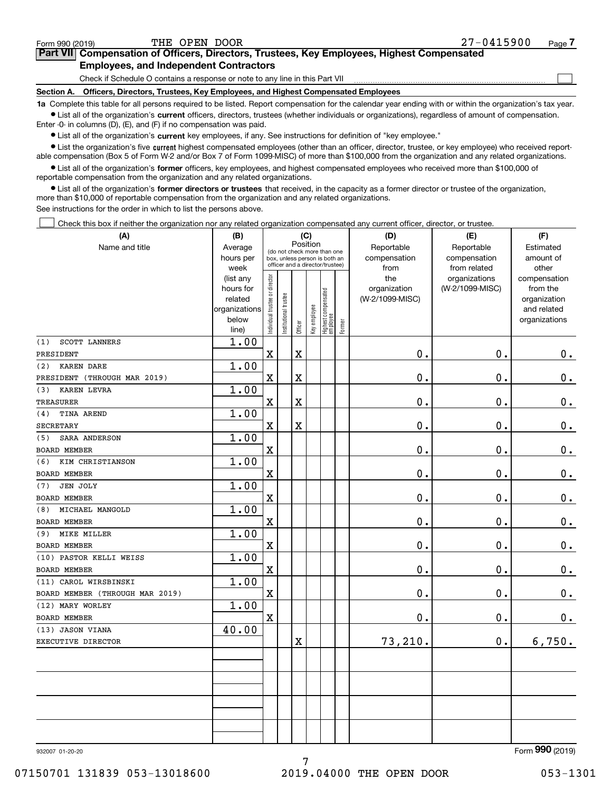$\mathcal{L}^{\text{max}}$ 

# **7Part VII Compensation of Officers, Directors, Trustees, Key Employees, Highest Compensated Employees, and Independent Contractors**

Check if Schedule O contains a response or note to any line in this Part VII

**Section A. Officers, Directors, Trustees, Key Employees, and Highest Compensated Employees**

**1a**  Complete this table for all persons required to be listed. Report compensation for the calendar year ending with or within the organization's tax year. **•** List all of the organization's current officers, directors, trustees (whether individuals or organizations), regardless of amount of compensation.

Enter -0- in columns (D), (E), and (F) if no compensation was paid.

 $\bullet$  List all of the organization's  $\,$ current key employees, if any. See instructions for definition of "key employee."

**•** List the organization's five current highest compensated employees (other than an officer, director, trustee, or key employee) who received reportable compensation (Box 5 of Form W-2 and/or Box 7 of Form 1099-MISC) of more than \$100,000 from the organization and any related organizations.

**•** List all of the organization's former officers, key employees, and highest compensated employees who received more than \$100,000 of reportable compensation from the organization and any related organizations.

**former directors or trustees**  ¥ List all of the organization's that received, in the capacity as a former director or trustee of the organization, more than \$10,000 of reportable compensation from the organization and any related organizations.

See instructions for the order in which to list the persons above.

Check this box if neither the organization nor any related organization compensated any current officer, director, or trustee.  $\mathcal{L}^{\text{max}}$ 

| (A)                             | (B)                    |                                |                      |                         | (C)          |                                   |        | (D)             | (E)             | (F)                          |
|---------------------------------|------------------------|--------------------------------|----------------------|-------------------------|--------------|-----------------------------------|--------|-----------------|-----------------|------------------------------|
| Name and title                  | Average                |                                |                      | Position                |              | (do not check more than one       |        | Reportable      | Reportable      | Estimated                    |
|                                 | hours per              |                                |                      |                         |              | box, unless person is both an     |        | compensation    | compensation    | amount of                    |
|                                 | week                   |                                |                      |                         |              | officer and a director/trustee)   |        | from            | from related    | other                        |
|                                 | (list any              |                                |                      |                         |              |                                   |        | the             | organizations   | compensation                 |
|                                 | hours for              |                                |                      |                         |              |                                   |        | organization    | (W-2/1099-MISC) | from the                     |
|                                 | related                |                                |                      |                         |              |                                   |        | (W-2/1099-MISC) |                 | organization                 |
|                                 | organizations<br>below |                                |                      |                         |              |                                   |        |                 |                 | and related<br>organizations |
|                                 | line)                  | Individual trustee or director | nstitutional trustee | Officer                 | Key employee | Highest compensated<br>  employee | Former |                 |                 |                              |
| <b>SCOTT LANNERS</b><br>(1)     | 1.00                   |                                |                      |                         |              |                                   |        |                 |                 |                              |
| PRESIDENT                       |                        | X                              |                      | $\mathbf X$             |              |                                   |        | $\mathbf{0}$ .  | 0.              | 0.                           |
| <b>KAREN DARE</b><br>(2)        | 1.00                   |                                |                      |                         |              |                                   |        |                 |                 |                              |
| PRESIDENT (THROUGH MAR 2019)    |                        | X                              |                      | $\overline{\textbf{X}}$ |              |                                   |        | 0.              | 0.              | $\mathbf 0$ .                |
| <b>KAREN LEVRA</b><br>(3)       | 1.00                   |                                |                      |                         |              |                                   |        |                 |                 |                              |
| <b>TREASURER</b>                |                        | $\mathbf X$                    |                      | $\overline{\textbf{X}}$ |              |                                   |        | 0.              | 0.              | $\mathbf 0$ .                |
| <b>TINA AREND</b><br>(4)        | 1.00                   |                                |                      |                         |              |                                   |        |                 |                 |                              |
| <b>SECRETARY</b>                |                        | $\mathbf X$                    |                      | $\overline{\mathbf{X}}$ |              |                                   |        | 0.              | 0.              | $0_{.}$                      |
| SARA ANDERSON<br>(5)            | 1.00                   |                                |                      |                         |              |                                   |        |                 |                 |                              |
| <b>BOARD MEMBER</b>             |                        | $\mathbf X$                    |                      |                         |              |                                   |        | $\mathbf 0$ .   | 0.              | $\mathbf 0$ .                |
| (6)<br>KIM CHRISTIANSON         | 1.00                   |                                |                      |                         |              |                                   |        |                 |                 |                              |
| <b>BOARD MEMBER</b>             |                        | X                              |                      |                         |              |                                   |        | 0.              | 0.              | $\mathbf 0$ .                |
| <b>JEN JOLY</b><br>(7)          | 1.00                   |                                |                      |                         |              |                                   |        |                 |                 |                              |
| <b>BOARD MEMBER</b>             |                        | $\rm X$                        |                      |                         |              |                                   |        | 0.              | 0.              | $\mathbf 0$ .                |
| MICHAEL MANGOLD<br>(8)          | 1.00                   |                                |                      |                         |              |                                   |        |                 |                 |                              |
| BOARD MEMBER                    |                        | $\overline{\text{X}}$          |                      |                         |              |                                   |        | 0.              | 0.              | $0_{.}$                      |
| MIKE MILLER<br>(9)              | 1.00                   |                                |                      |                         |              |                                   |        |                 |                 |                              |
| <b>BOARD MEMBER</b>             |                        | $\mathbf X$                    |                      |                         |              |                                   |        | 0.              | 0.              | 0.                           |
| (10) PASTOR KELLI WEISS         | 1.00                   |                                |                      |                         |              |                                   |        |                 |                 |                              |
| <b>BOARD MEMBER</b>             |                        | $\mathbf X$                    |                      |                         |              |                                   |        | 0.              | 0.              | 0.                           |
| (11) CAROL WIRSBINSKI           | 1.00                   |                                |                      |                         |              |                                   |        |                 |                 |                              |
| BOARD MEMBER (THROUGH MAR 2019) |                        | $\mathbf X$                    |                      |                         |              |                                   |        | $\mathbf 0$ .   | 0.              | $0_{.}$                      |
| (12) MARY WORLEY                | 1.00                   |                                |                      |                         |              |                                   |        |                 |                 |                              |
| <b>BOARD MEMBER</b>             |                        | X                              |                      |                         |              |                                   |        | $\mathbf 0$ .   | 0.              | $\mathbf 0$ .                |
| (13) JASON VIANA                | 40.00                  |                                |                      |                         |              |                                   |        |                 |                 |                              |
| EXECUTIVE DIRECTOR              |                        |                                |                      | X                       |              |                                   |        | 73,210.         | 0.              | 6,750.                       |
|                                 |                        |                                |                      |                         |              |                                   |        |                 |                 |                              |
|                                 |                        |                                |                      |                         |              |                                   |        |                 |                 |                              |
|                                 |                        |                                |                      |                         |              |                                   |        |                 |                 |                              |
|                                 |                        |                                |                      |                         |              |                                   |        |                 |                 |                              |
|                                 |                        |                                |                      |                         |              |                                   |        |                 |                 |                              |
|                                 |                        |                                |                      |                         |              |                                   |        |                 |                 |                              |
|                                 |                        |                                |                      |                         |              |                                   |        |                 |                 |                              |
|                                 |                        |                                |                      |                         |              |                                   |        |                 |                 | $\Omega$                     |

7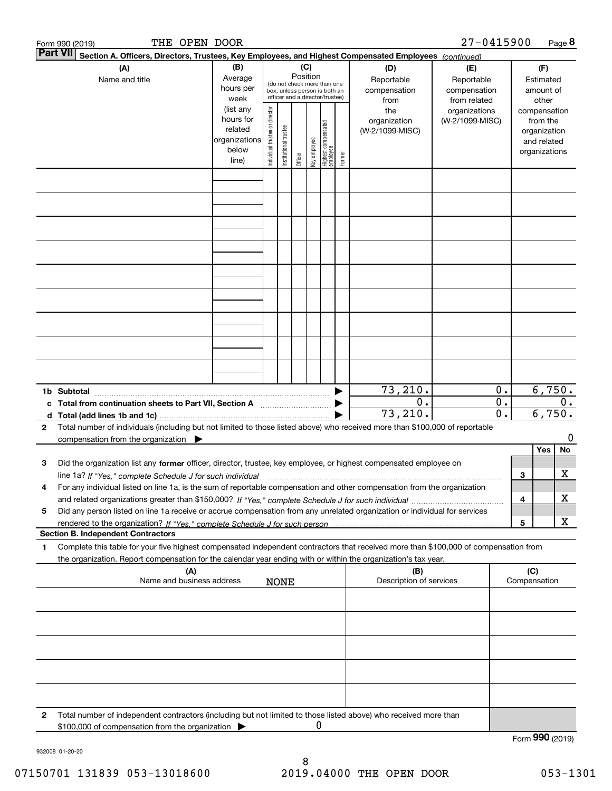|   | THE OPEN DOOR<br>Form 990 (2019)                                                                                                                                                                                                                       |                                                                      |                                |                       |                 |              |                                                                                                 |        |                                           | 27-0415900                                        |                                                          |   |                                                                          | Page 8 |
|---|--------------------------------------------------------------------------------------------------------------------------------------------------------------------------------------------------------------------------------------------------------|----------------------------------------------------------------------|--------------------------------|-----------------------|-----------------|--------------|-------------------------------------------------------------------------------------------------|--------|-------------------------------------------|---------------------------------------------------|----------------------------------------------------------|---|--------------------------------------------------------------------------|--------|
|   | Part VII <br>Section A. Officers, Directors, Trustees, Key Employees, and Highest Compensated Employees (continued)                                                                                                                                    |                                                                      |                                |                       |                 |              |                                                                                                 |        |                                           |                                                   |                                                          |   |                                                                          |        |
|   | (A)<br>Name and title                                                                                                                                                                                                                                  | (B)<br>Average<br>hours per<br>week                                  |                                |                       | (C)<br>Position |              | (do not check more than one<br>box, unless person is both an<br>officer and a director/trustee) |        | (D)<br>Reportable<br>compensation<br>from | (E)<br>Reportable<br>compensation<br>from related |                                                          |   | (F)<br>Estimated<br>amount of<br>other                                   |        |
|   |                                                                                                                                                                                                                                                        | (list any<br>hours for<br>related<br>organizations<br>below<br>line) | Individual trustee or director | Institutional trustee | Officer         | key employee | Highest compensated<br>  employee                                                               | Former | the<br>organization<br>(W-2/1099-MISC)    | organizations<br>(W-2/1099-MISC)                  |                                                          |   | compensation<br>from the<br>organization<br>and related<br>organizations |        |
|   |                                                                                                                                                                                                                                                        |                                                                      |                                |                       |                 |              |                                                                                                 |        |                                           |                                                   |                                                          |   |                                                                          |        |
|   |                                                                                                                                                                                                                                                        |                                                                      |                                |                       |                 |              |                                                                                                 |        |                                           |                                                   |                                                          |   |                                                                          |        |
|   |                                                                                                                                                                                                                                                        |                                                                      |                                |                       |                 |              |                                                                                                 |        |                                           |                                                   |                                                          |   |                                                                          |        |
|   |                                                                                                                                                                                                                                                        |                                                                      |                                |                       |                 |              |                                                                                                 |        |                                           |                                                   |                                                          |   |                                                                          |        |
|   |                                                                                                                                                                                                                                                        |                                                                      |                                |                       |                 |              |                                                                                                 |        |                                           |                                                   |                                                          |   |                                                                          |        |
|   |                                                                                                                                                                                                                                                        |                                                                      |                                |                       |                 |              |                                                                                                 |        |                                           |                                                   |                                                          |   |                                                                          |        |
|   |                                                                                                                                                                                                                                                        |                                                                      |                                |                       |                 |              |                                                                                                 |        |                                           |                                                   |                                                          |   |                                                                          |        |
|   |                                                                                                                                                                                                                                                        |                                                                      |                                |                       |                 |              |                                                                                                 |        |                                           |                                                   |                                                          |   |                                                                          |        |
|   |                                                                                                                                                                                                                                                        |                                                                      |                                |                       |                 |              |                                                                                                 |        |                                           |                                                   |                                                          |   |                                                                          |        |
|   | 1b Subtotal                                                                                                                                                                                                                                            |                                                                      |                                |                       |                 |              |                                                                                                 |        | 73, 210.                                  |                                                   | 0.                                                       |   | 6,750.                                                                   |        |
|   | c Total from continuation sheets to Part VII, Section A                                                                                                                                                                                                |                                                                      |                                |                       |                 |              |                                                                                                 |        | $\overline{0}$ .<br>73, 210.              |                                                   | $\overline{\mathbf{0}}$ .<br>$\overline{\mathfrak{0}}$ . |   | 6,750.                                                                   | $0$ .  |
| 2 | Total number of individuals (including but not limited to those listed above) who received more than \$100,000 of reportable<br>compensation from the organization $\blacktriangleright$                                                               |                                                                      |                                |                       |                 |              |                                                                                                 |        |                                           |                                                   |                                                          |   |                                                                          | 0      |
| з | Did the organization list any former officer, director, trustee, key employee, or highest compensated employee on                                                                                                                                      |                                                                      |                                |                       |                 |              |                                                                                                 |        |                                           |                                                   |                                                          |   | Yes                                                                      | No     |
|   | line 1a? If "Yes," complete Schedule J for such individual manufactured contained and the 1a? If "Yes," complete Schedule J for such individual                                                                                                        |                                                                      |                                |                       |                 |              |                                                                                                 |        |                                           |                                                   |                                                          | 3 |                                                                          | х      |
| 4 | For any individual listed on line 1a, is the sum of reportable compensation and other compensation from the organization                                                                                                                               |                                                                      |                                |                       |                 |              |                                                                                                 |        |                                           |                                                   |                                                          | 4 |                                                                          | х      |
| 5 | Did any person listed on line 1a receive or accrue compensation from any unrelated organization or individual for services                                                                                                                             |                                                                      |                                |                       |                 |              |                                                                                                 |        |                                           |                                                   |                                                          | 5 |                                                                          | X      |
|   | <b>Section B. Independent Contractors</b>                                                                                                                                                                                                              |                                                                      |                                |                       |                 |              |                                                                                                 |        |                                           |                                                   |                                                          |   |                                                                          |        |
| 1 | Complete this table for your five highest compensated independent contractors that received more than \$100,000 of compensation from<br>the organization. Report compensation for the calendar year ending with or within the organization's tax year. |                                                                      |                                |                       |                 |              |                                                                                                 |        |                                           |                                                   |                                                          |   |                                                                          |        |
|   | (A)<br>Name and business address                                                                                                                                                                                                                       |                                                                      |                                | <b>NONE</b>           |                 |              |                                                                                                 |        | (B)<br>Description of services            |                                                   |                                                          |   | (C)<br>Compensation                                                      |        |
|   |                                                                                                                                                                                                                                                        |                                                                      |                                |                       |                 |              |                                                                                                 |        |                                           |                                                   |                                                          |   |                                                                          |        |
|   |                                                                                                                                                                                                                                                        |                                                                      |                                |                       |                 |              |                                                                                                 |        |                                           |                                                   |                                                          |   |                                                                          |        |
|   |                                                                                                                                                                                                                                                        |                                                                      |                                |                       |                 |              |                                                                                                 |        |                                           |                                                   |                                                          |   |                                                                          |        |
|   |                                                                                                                                                                                                                                                        |                                                                      |                                |                       |                 |              |                                                                                                 |        |                                           |                                                   |                                                          |   |                                                                          |        |
|   |                                                                                                                                                                                                                                                        |                                                                      |                                |                       |                 |              |                                                                                                 |        |                                           |                                                   |                                                          |   |                                                                          |        |
| 2 | Total number of independent contractors (including but not limited to those listed above) who received more than                                                                                                                                       |                                                                      |                                |                       |                 | 0            |                                                                                                 |        |                                           |                                                   |                                                          |   |                                                                          |        |
|   | \$100,000 of compensation from the organization                                                                                                                                                                                                        |                                                                      |                                |                       |                 |              |                                                                                                 |        |                                           |                                                   |                                                          |   | Form 990 (2019)                                                          |        |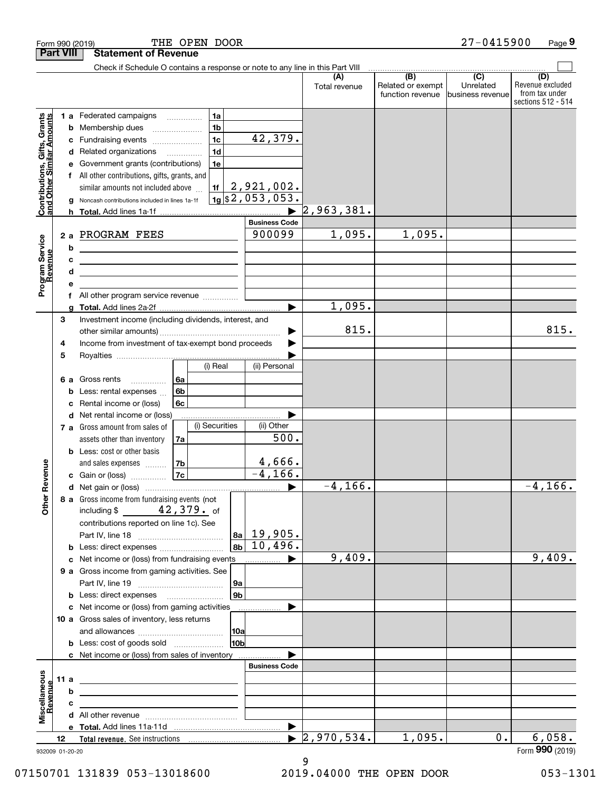|                                                           |                  | THE OPEN DOOR<br>Form 990 (2019)                                                                                               |                              |                                  |                                                                                                                                                                                                              | 27-0415900                     | Page 9                                                          |
|-----------------------------------------------------------|------------------|--------------------------------------------------------------------------------------------------------------------------------|------------------------------|----------------------------------|--------------------------------------------------------------------------------------------------------------------------------------------------------------------------------------------------------------|--------------------------------|-----------------------------------------------------------------|
|                                                           | <b>Part VIII</b> | <b>Statement of Revenue</b>                                                                                                    |                              |                                  |                                                                                                                                                                                                              |                                |                                                                 |
|                                                           |                  | Check if Schedule O contains a response or note to any line in this Part VIII                                                  |                              |                                  | $\begin{array}{c c c c c} \hline \text{ } & \text{ } & \text{ } & \text{ } & \text{ } \\ \hline \text{ } & \text{ } & \text{ } & \text{ } & \text{ } & \text{ } & \text{ } & \text{ } \\ \hline \end{array}$ |                                |                                                                 |
|                                                           |                  |                                                                                                                                |                              | (A)<br>Total revenue             | Related or exempt<br>function revenue                                                                                                                                                                        | Unrelated<br>lbusiness revenue | (D)<br>Revenue excluded<br>from tax under<br>sections 512 - 514 |
|                                                           |                  | 1a<br><b>1 a</b> Federated campaigns<br>.                                                                                      |                              |                                  |                                                                                                                                                                                                              |                                |                                                                 |
| Contributions, Gifts, Grants<br>and Other Similar Amounts |                  | 1 <sub>b</sub><br><b>b</b> Membership dues                                                                                     |                              |                                  |                                                                                                                                                                                                              |                                |                                                                 |
|                                                           | c                | 1 <sub>c</sub><br>Fundraising events                                                                                           | 42,379.                      |                                  |                                                                                                                                                                                                              |                                |                                                                 |
|                                                           |                  | 1 <sub>d</sub><br>d Related organizations                                                                                      |                              |                                  |                                                                                                                                                                                                              |                                |                                                                 |
|                                                           | е                | 1e<br>Government grants (contributions)                                                                                        |                              |                                  |                                                                                                                                                                                                              |                                |                                                                 |
|                                                           |                  | All other contributions, gifts, grants, and                                                                                    |                              |                                  |                                                                                                                                                                                                              |                                |                                                                 |
|                                                           |                  | 1f<br>similar amounts not included above                                                                                       | $2,921,002$ .                |                                  |                                                                                                                                                                                                              |                                |                                                                 |
|                                                           | g                | Noncash contributions included in lines 1a-1f                                                                                  | $\frac{1}{9}$ \$2,053,053.   |                                  |                                                                                                                                                                                                              |                                |                                                                 |
|                                                           |                  |                                                                                                                                | <b>Business Code</b>         | 2,963,381.                       |                                                                                                                                                                                                              |                                |                                                                 |
|                                                           |                  | 2 a PROGRAM FEES                                                                                                               | 900099                       | 1,095.                           | 1,095.                                                                                                                                                                                                       |                                |                                                                 |
| Program Service<br>Revenue                                | b                |                                                                                                                                |                              |                                  |                                                                                                                                                                                                              |                                |                                                                 |
|                                                           | c                | <u> 1989 - Johann Stoff, Amerikaansk politiker (</u>                                                                           |                              |                                  |                                                                                                                                                                                                              |                                |                                                                 |
|                                                           | d                | <u> 1989 - Johann John Stone, meil in der Stone (d. 1989)</u><br><u> 1989 - Johann Barn, fransk politik fotograf (d. 1989)</u> |                              |                                  |                                                                                                                                                                                                              |                                |                                                                 |
|                                                           | е                |                                                                                                                                |                              |                                  |                                                                                                                                                                                                              |                                |                                                                 |
|                                                           |                  | All other program service revenue                                                                                              |                              |                                  |                                                                                                                                                                                                              |                                |                                                                 |
|                                                           |                  |                                                                                                                                |                              | 1,095.                           |                                                                                                                                                                                                              |                                |                                                                 |
|                                                           | 3                | Investment income (including dividends, interest, and                                                                          |                              |                                  |                                                                                                                                                                                                              |                                |                                                                 |
|                                                           |                  |                                                                                                                                |                              | 815.                             |                                                                                                                                                                                                              |                                | 815.                                                            |
|                                                           | 4                | Income from investment of tax-exempt bond proceeds                                                                             |                              |                                  |                                                                                                                                                                                                              |                                |                                                                 |
|                                                           | 5                |                                                                                                                                |                              |                                  |                                                                                                                                                                                                              |                                |                                                                 |
|                                                           |                  | (i) Real                                                                                                                       | (ii) Personal                |                                  |                                                                                                                                                                                                              |                                |                                                                 |
|                                                           | 6а               | 6a<br>Gross rents<br>.                                                                                                         |                              |                                  |                                                                                                                                                                                                              |                                |                                                                 |
|                                                           | b                | 6 <sub>b</sub><br>Less: rental expenses                                                                                        |                              |                                  |                                                                                                                                                                                                              |                                |                                                                 |
|                                                           | c                | Rental income or (loss)<br>6с                                                                                                  |                              |                                  |                                                                                                                                                                                                              |                                |                                                                 |
|                                                           |                  | d Net rental income or (loss)<br>(i) Securities<br>7 a Gross amount from sales of                                              | (ii) Other                   |                                  |                                                                                                                                                                                                              |                                |                                                                 |
|                                                           |                  | assets other than inventory<br>7a                                                                                              | 500.                         |                                  |                                                                                                                                                                                                              |                                |                                                                 |
|                                                           |                  | <b>b</b> Less: cost or other basis                                                                                             |                              |                                  |                                                                                                                                                                                                              |                                |                                                                 |
|                                                           |                  | 7 <sub>b</sub><br>and sales expenses                                                                                           | 4,666.                       |                                  |                                                                                                                                                                                                              |                                |                                                                 |
| evenue                                                    |                  | <b>7c</b><br>c Gain or (loss)                                                                                                  | $-4, 166.$                   |                                  |                                                                                                                                                                                                              |                                |                                                                 |
| Œ                                                         |                  |                                                                                                                                |                              | $-4, 166.$                       |                                                                                                                                                                                                              |                                | $-4, 166.$                                                      |
| Other                                                     |                  | 8 a Gross income from fundraising events (not                                                                                  |                              |                                  |                                                                                                                                                                                                              |                                |                                                                 |
|                                                           |                  | including \$ $42,379$ . of                                                                                                     |                              |                                  |                                                                                                                                                                                                              |                                |                                                                 |
|                                                           |                  | contributions reported on line 1c). See                                                                                        |                              |                                  |                                                                                                                                                                                                              |                                |                                                                 |
|                                                           |                  |                                                                                                                                | $ 8a $ 19,905.               |                                  |                                                                                                                                                                                                              |                                |                                                                 |
|                                                           |                  | <b>b</b> Less: direct expenses <i></i>                                                                                         | $10,496$ .<br>8 <sub>b</sub> |                                  |                                                                                                                                                                                                              |                                |                                                                 |
|                                                           |                  | c Net income or (loss) from fundraising events                                                                                 |                              | 9,409.                           |                                                                                                                                                                                                              |                                | 9,409.                                                          |
|                                                           |                  | 9 a Gross income from gaming activities. See                                                                                   |                              |                                  |                                                                                                                                                                                                              |                                |                                                                 |
|                                                           |                  |                                                                                                                                | 9a<br>9 <sub>b</sub>         |                                  |                                                                                                                                                                                                              |                                |                                                                 |
|                                                           |                  | <b>b</b> Less: direct expenses <b>manually</b><br>c Net income or (loss) from gaming activities                                |                              |                                  |                                                                                                                                                                                                              |                                |                                                                 |
|                                                           |                  | 10 a Gross sales of inventory, less returns                                                                                    |                              |                                  |                                                                                                                                                                                                              |                                |                                                                 |
|                                                           |                  |                                                                                                                                | 10a                          |                                  |                                                                                                                                                                                                              |                                |                                                                 |
|                                                           |                  | <b>b</b> Less: cost of goods sold                                                                                              | 10 <sub>b</sub>              |                                  |                                                                                                                                                                                                              |                                |                                                                 |
|                                                           |                  | c Net income or (loss) from sales of inventory                                                                                 |                              |                                  |                                                                                                                                                                                                              |                                |                                                                 |
|                                                           |                  |                                                                                                                                | <b>Business Code</b>         |                                  |                                                                                                                                                                                                              |                                |                                                                 |
|                                                           | 11 a             | <u> 1989 - Johann Barbara, martxa alemaniar arg</u>                                                                            |                              |                                  |                                                                                                                                                                                                              |                                |                                                                 |
| Miscellaneous                                             | b                | <u> 1989 - Johann John Stone, meil in der Stone aus der Stone aus der Stone aus der Stone aus der Stone aus der S</u>          |                              |                                  |                                                                                                                                                                                                              |                                |                                                                 |
| Revenue                                                   | c                | the control of the control of the control of the control of the control of                                                     |                              |                                  |                                                                                                                                                                                                              |                                |                                                                 |
|                                                           |                  |                                                                                                                                |                              |                                  |                                                                                                                                                                                                              |                                |                                                                 |
|                                                           |                  |                                                                                                                                | ▶                            |                                  |                                                                                                                                                                                                              |                                |                                                                 |
|                                                           | 12               |                                                                                                                                |                              | $\blacktriangleright$ 2,970,534. | 1,095.                                                                                                                                                                                                       | $0$ .                          | 6,058.                                                          |
|                                                           | 932009 01-20-20  |                                                                                                                                |                              |                                  |                                                                                                                                                                                                              |                                | Form 990 (2019)                                                 |

932009 01-20-20

9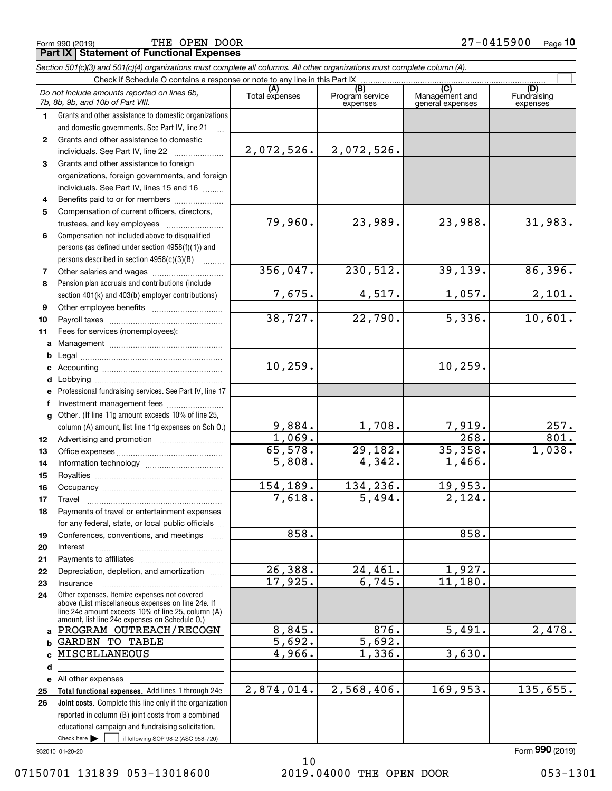**Part IX Statement of Functional Expenses** THE OPEN DOOR

|              | Section 501(c)(3) and 501(c)(4) organizations must complete all columns. All other organizations must complete column (A).                                                                                 |                |                                    |                                           |                                |
|--------------|------------------------------------------------------------------------------------------------------------------------------------------------------------------------------------------------------------|----------------|------------------------------------|-------------------------------------------|--------------------------------|
|              | Check if Schedule O contains a response or note to any line in this Part IX.                                                                                                                               |                |                                    |                                           |                                |
|              | Do not include amounts reported on lines 6b,<br>7b, 8b, 9b, and 10b of Part VIII.                                                                                                                          | Total expenses | (B)<br>Program service<br>expenses | (C)<br>Management and<br>general expenses | (D)<br>Fundraising<br>expenses |
| 1            | Grants and other assistance to domestic organizations                                                                                                                                                      |                |                                    |                                           |                                |
|              | and domestic governments. See Part IV, line 21                                                                                                                                                             |                |                                    |                                           |                                |
| $\mathbf{2}$ | Grants and other assistance to domestic                                                                                                                                                                    |                |                                    |                                           |                                |
|              | individuals. See Part IV, line 22                                                                                                                                                                          | 2,072,526.     | 2,072,526.                         |                                           |                                |
| 3            | Grants and other assistance to foreign                                                                                                                                                                     |                |                                    |                                           |                                |
|              | organizations, foreign governments, and foreign                                                                                                                                                            |                |                                    |                                           |                                |
|              | individuals. See Part IV, lines 15 and 16                                                                                                                                                                  |                |                                    |                                           |                                |
| 4            | Benefits paid to or for members                                                                                                                                                                            |                |                                    |                                           |                                |
| 5            | Compensation of current officers, directors,                                                                                                                                                               |                |                                    |                                           |                                |
|              | trustees, and key employees                                                                                                                                                                                | 79,960.        | 23,989.                            | 23,988.                                   | 31,983.                        |
| 6            | Compensation not included above to disqualified                                                                                                                                                            |                |                                    |                                           |                                |
|              | persons (as defined under section 4958(f)(1)) and                                                                                                                                                          |                |                                    |                                           |                                |
|              | persons described in section 4958(c)(3)(B)                                                                                                                                                                 |                |                                    |                                           |                                |
| 7            | Other salaries and wages                                                                                                                                                                                   | 356,047.       | 230,512.                           | 39, 139.                                  | 86,396.                        |
| 8            | Pension plan accruals and contributions (include                                                                                                                                                           |                |                                    |                                           |                                |
|              | section 401(k) and 403(b) employer contributions)                                                                                                                                                          | 7,675.         | 4,517.                             | 1,057.                                    | 2,101.                         |
| 9            |                                                                                                                                                                                                            |                |                                    |                                           |                                |
| 10           |                                                                                                                                                                                                            | 38,727.        | 22,790.                            | 5,336.                                    | 10,601.                        |
| 11           | Fees for services (nonemployees):                                                                                                                                                                          |                |                                    |                                           |                                |
| a            |                                                                                                                                                                                                            |                |                                    |                                           |                                |
| b            |                                                                                                                                                                                                            |                |                                    |                                           |                                |
| c            |                                                                                                                                                                                                            | 10, 259.       |                                    | 10, 259.                                  |                                |
| d            |                                                                                                                                                                                                            |                |                                    |                                           |                                |
| е            | Professional fundraising services. See Part IV, line 17                                                                                                                                                    |                |                                    |                                           |                                |
| f            | Investment management fees                                                                                                                                                                                 |                |                                    |                                           |                                |
| $\mathbf{q}$ | Other. (If line 11g amount exceeds 10% of line 25,                                                                                                                                                         |                |                                    |                                           |                                |
|              | column (A) amount, list line 11g expenses on Sch O.)                                                                                                                                                       | 9,884.         | 1,708.                             | $\frac{7,919.}{268.}$                     | 257.                           |
| 12           |                                                                                                                                                                                                            | 1,069.         |                                    |                                           | $\overline{801}$ .             |
| 13           |                                                                                                                                                                                                            | 65,578.        | 29,182.                            | 35,358.                                   | 1,038.                         |
| 14           |                                                                                                                                                                                                            | 5,808.         | 4,342.                             | 1,466.                                    |                                |
| 15           |                                                                                                                                                                                                            |                |                                    |                                           |                                |
| 16           |                                                                                                                                                                                                            | 154,189.       | 134,236.                           | 19,953.                                   |                                |
| 17           |                                                                                                                                                                                                            | 7,618.         | 5,494.                             | 2,124.                                    |                                |
| 18           | Payments of travel or entertainment expenses                                                                                                                                                               |                |                                    |                                           |                                |
|              | for any federal, state, or local public officials                                                                                                                                                          |                |                                    |                                           |                                |
| 19           | Conferences, conventions, and meetings                                                                                                                                                                     | 858.           |                                    | 858.                                      |                                |
| 20           | Interest                                                                                                                                                                                                   |                |                                    |                                           |                                |
| 21           |                                                                                                                                                                                                            | 26,388.        | 24,461.                            | 1,927.                                    |                                |
| 22           | Depreciation, depletion, and amortization                                                                                                                                                                  | 17,925.        | 6,745.                             | 11,180.                                   |                                |
| 23           | Insurance                                                                                                                                                                                                  |                |                                    |                                           |                                |
| 24           | Other expenses. Itemize expenses not covered<br>above (List miscellaneous expenses on line 24e. If<br>line 24e amount exceeds 10% of line 25, column (A)<br>amount, list line 24e expenses on Schedule O.) |                |                                    |                                           |                                |
| a            | PROGRAM OUTREACH/RECOGN                                                                                                                                                                                    | 8,845.         | 876.                               | $\overline{5,491.}$                       | $\overline{2,478}$ .           |
| b            | <b>GARDEN TO TABLE</b>                                                                                                                                                                                     | 5,692.         | 5,692.                             |                                           |                                |
| C            | MISCELLANEOUS                                                                                                                                                                                              | 4,966.         | 1,336.                             | 3,630.                                    |                                |
| d            |                                                                                                                                                                                                            |                |                                    |                                           |                                |
| е            | All other expenses                                                                                                                                                                                         |                |                                    |                                           |                                |
| 25           | Total functional expenses. Add lines 1 through 24e                                                                                                                                                         | 2,874,014.     | 2,568,406.                         | 169,953.                                  | 135,655.                       |
| 26           | <b>Joint costs.</b> Complete this line only if the organization                                                                                                                                            |                |                                    |                                           |                                |
|              | reported in column (B) joint costs from a combined                                                                                                                                                         |                |                                    |                                           |                                |
|              | educational campaign and fundraising solicitation.                                                                                                                                                         |                |                                    |                                           |                                |
|              | Check here $\blacktriangleright$<br>if following SOP 98-2 (ASC 958-720)                                                                                                                                    |                |                                    |                                           |                                |

932010 01-20-20

Form (2019) **990**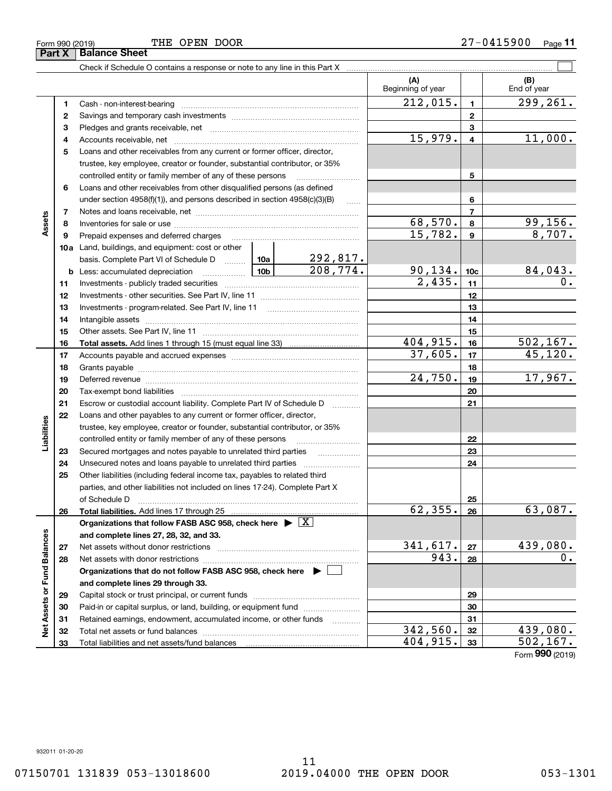Form 990 (2019) **THE OPEN DOOR 2** 7-0 **4** 15 9 0 0 <sub>Page</sub> 11 THE OPEN DOOR

Check if Schedule O contains a response or note to any line in this Part X

|                             |    |                                                                                           |                             | (A)<br>Beginning of year |                         | (B)<br>End of year     |
|-----------------------------|----|-------------------------------------------------------------------------------------------|-----------------------------|--------------------------|-------------------------|------------------------|
|                             | 1  |                                                                                           |                             | 212,015.                 | $\mathbf{1}$            | $\overline{299,261}$ . |
|                             | 2  |                                                                                           |                             |                          | $\mathbf{2}$            |                        |
|                             | з  |                                                                                           |                             |                          | 3                       |                        |
|                             | 4  |                                                                                           |                             | 15,979.                  | $\overline{\mathbf{4}}$ | 11,000.                |
|                             | 5  | Loans and other receivables from any current or former officer, director,                 |                             |                          |                         |                        |
|                             |    | trustee, key employee, creator or founder, substantial contributor, or 35%                |                             |                          |                         |                        |
|                             |    | controlled entity or family member of any of these persons                                |                             |                          | 5                       |                        |
|                             | 6  | Loans and other receivables from other disqualified persons (as defined                   |                             |                          |                         |                        |
|                             |    | under section $4958(f)(1)$ , and persons described in section $4958(c)(3)(B)$             | $\ldots$                    |                          | 6                       |                        |
|                             | 7  |                                                                                           |                             |                          | $\overline{7}$          |                        |
| Assets                      | 8  |                                                                                           |                             | 68,570.                  | 8                       | 99, 156.               |
|                             | 9  | Prepaid expenses and deferred charges                                                     |                             | 15,782.                  | $\mathbf{g}$            | 8,707.                 |
|                             |    | 10a Land, buildings, and equipment: cost or other                                         |                             |                          |                         |                        |
|                             |    | basis. Complete Part VI of Schedule D  10a                                                | $\frac{292,817.}{208,774.}$ |                          |                         |                        |
|                             | b  | <u>  1</u> 0b<br>Less: accumulated depreciation                                           |                             | 90, 134.                 | 10 <sub>c</sub>         | <u>84,043.</u>         |
|                             | 11 |                                                                                           |                             | 2,435.                   | 11                      | $\overline{0}$ .       |
|                             | 12 |                                                                                           |                             |                          | 12                      |                        |
|                             | 13 |                                                                                           |                             |                          | 13                      |                        |
|                             | 14 |                                                                                           |                             |                          | 14                      |                        |
|                             | 15 |                                                                                           |                             |                          | 15                      |                        |
|                             | 16 |                                                                                           |                             | 404,915.                 | 16                      | 502, 167.              |
|                             | 17 |                                                                                           |                             | 37,605.                  | 17                      | 45, 120.               |
|                             | 18 |                                                                                           |                             |                          | 18                      |                        |
|                             | 19 |                                                                                           |                             | 24,750.                  | 19                      | 17,967.                |
|                             | 20 |                                                                                           |                             |                          | 20                      |                        |
|                             | 21 | Escrow or custodial account liability. Complete Part IV of Schedule D                     | 1.1.1.1.1.1.1.1.1           |                          | 21                      |                        |
|                             | 22 | Loans and other payables to any current or former officer, director,                      |                             |                          |                         |                        |
| Liabilities                 |    | trustee, key employee, creator or founder, substantial contributor, or 35%                |                             |                          |                         |                        |
|                             |    | controlled entity or family member of any of these persons                                |                             |                          | 22                      |                        |
|                             | 23 | Secured mortgages and notes payable to unrelated third parties                            |                             |                          | 23                      |                        |
|                             | 24 | Unsecured notes and loans payable to unrelated third parties                              |                             |                          | 24                      |                        |
|                             | 25 | Other liabilities (including federal income tax, payables to related third                |                             |                          |                         |                        |
|                             |    | parties, and other liabilities not included on lines 17-24). Complete Part X              |                             |                          |                         |                        |
|                             |    | of Schedule D                                                                             |                             |                          | 25                      |                        |
|                             | 26 |                                                                                           |                             | 62, 355.                 | 26                      | 63,087.                |
|                             |    | Organizations that follow FASB ASC 958, check here $\blacktriangleright \boxed{\text{X}}$ |                             |                          |                         |                        |
|                             |    | and complete lines 27, 28, 32, and 33.                                                    |                             |                          |                         |                        |
|                             | 27 | Net assets without donor restrictions                                                     |                             | 341,617.                 | 27                      | 439,080.               |
|                             | 28 | Net assets with donor restrictions                                                        |                             | 943.                     | 28                      | 0.                     |
|                             |    | Organizations that do not follow FASB ASC 958, check here $\blacktriangleright$           |                             |                          |                         |                        |
| Net Assets or Fund Balances |    | and complete lines 29 through 33.                                                         |                             |                          |                         |                        |
|                             | 29 |                                                                                           |                             |                          | 29                      |                        |
|                             | 30 | Paid-in or capital surplus, or land, building, or equipment fund                          |                             |                          | 30                      |                        |
|                             | 31 | Retained earnings, endowment, accumulated income, or other funds                          | .                           |                          | 31                      |                        |
|                             | 32 |                                                                                           |                             | 342,560.<br>404,915.     | 32                      | 439,080.<br>502, 167.  |
|                             | 33 |                                                                                           |                             |                          | 33                      |                        |

Τ

 $\mathcal{L}^{\text{max}}$ 

Form (2019) **990**

07150701 131839 053-13018600 2019.04000 THE OPEN DOOR 053-1301

**Part X Balance Sheet**

L,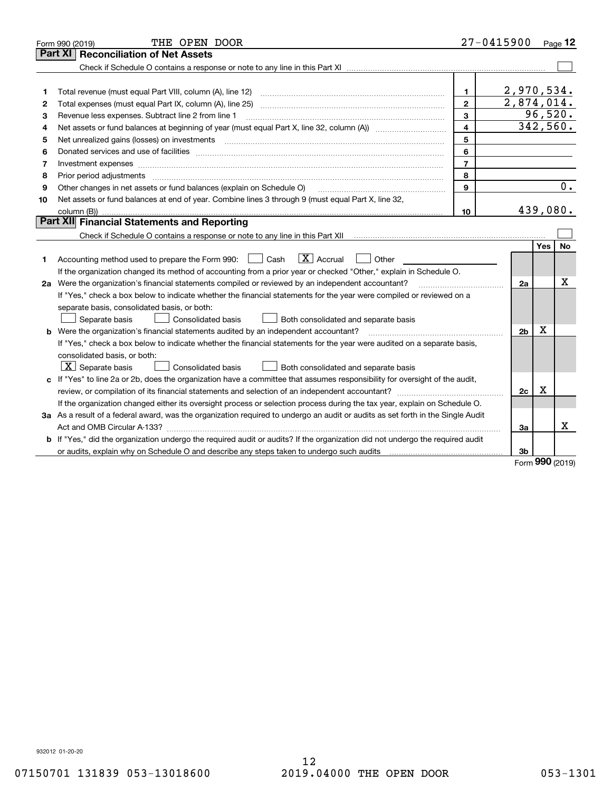|    | THE OPEN DOOR<br>Form 990 (2019)                                                                                                                                                                                               |                         | $27 - 0415900$           |            | Page 12   |
|----|--------------------------------------------------------------------------------------------------------------------------------------------------------------------------------------------------------------------------------|-------------------------|--------------------------|------------|-----------|
|    | <b>Reconciliation of Net Assets</b><br>Part XI                                                                                                                                                                                 |                         |                          |            |           |
|    |                                                                                                                                                                                                                                |                         |                          |            |           |
|    |                                                                                                                                                                                                                                |                         |                          |            |           |
| 1  |                                                                                                                                                                                                                                | 1.                      | 2,970,534.               |            |           |
| 2  |                                                                                                                                                                                                                                | $\mathbf{2}$            | $\overline{2,874,014}$ . |            |           |
| 3  | Revenue less expenses. Subtract line 2 from line 1                                                                                                                                                                             | 3                       |                          |            | 96,520.   |
| 4  |                                                                                                                                                                                                                                | $\overline{\mathbf{4}}$ | 342,560.                 |            |           |
| 5  | Net unrealized gains (losses) on investments [11] matter contracts and the state of the state of the state of the state of the state of the state of the state of the state of the state of the state of the state of the stat | 5                       |                          |            |           |
| 6  |                                                                                                                                                                                                                                | 6                       |                          |            |           |
| 7  |                                                                                                                                                                                                                                | $\overline{7}$          |                          |            |           |
| 8  | Prior period adjustments                                                                                                                                                                                                       | 8                       |                          |            |           |
| 9  | Other changes in net assets or fund balances (explain on Schedule O)                                                                                                                                                           | 9                       |                          |            | 0.        |
| 10 | Net assets or fund balances at end of year. Combine lines 3 through 9 (must equal Part X, line 32,                                                                                                                             |                         |                          |            |           |
|    |                                                                                                                                                                                                                                | 10                      | 439,080.                 |            |           |
|    | Part XII Financial Statements and Reporting                                                                                                                                                                                    |                         |                          |            |           |
|    |                                                                                                                                                                                                                                |                         |                          |            |           |
|    |                                                                                                                                                                                                                                |                         |                          | <b>Yes</b> | <b>No</b> |
| 1  | $\boxed{\mathbf{X}}$ Accrual<br>Accounting method used to prepare the Form 990: <u>June</u> Cash<br>Other                                                                                                                      |                         |                          |            |           |
|    | If the organization changed its method of accounting from a prior year or checked "Other," explain in Schedule O.                                                                                                              |                         |                          |            |           |
|    | 2a Were the organization's financial statements compiled or reviewed by an independent accountant?                                                                                                                             |                         | 2a                       |            | х         |
|    | If "Yes," check a box below to indicate whether the financial statements for the year were compiled or reviewed on a                                                                                                           |                         |                          |            |           |
|    | separate basis, consolidated basis, or both:                                                                                                                                                                                   |                         |                          |            |           |
|    | Separate basis<br>Consolidated basis<br>Both consolidated and separate basis                                                                                                                                                   |                         |                          |            |           |
|    | <b>b</b> Were the organization's financial statements audited by an independent accountant?                                                                                                                                    |                         | 2 <sub>b</sub>           | X          |           |
|    | If "Yes," check a box below to indicate whether the financial statements for the year were audited on a separate basis,                                                                                                        |                         |                          |            |           |
|    | consolidated basis, or both:                                                                                                                                                                                                   |                         |                          |            |           |
|    | $ \mathbf{X} $ Separate basis<br>Consolidated basis<br>Both consolidated and separate basis                                                                                                                                    |                         |                          |            |           |
|    | c If "Yes" to line 2a or 2b, does the organization have a committee that assumes responsibility for oversight of the audit,                                                                                                    |                         |                          |            |           |
|    |                                                                                                                                                                                                                                |                         | 2c                       | x          |           |
|    | If the organization changed either its oversight process or selection process during the tax year, explain on Schedule O.                                                                                                      |                         |                          |            |           |
|    | 3a As a result of a federal award, was the organization required to undergo an audit or audits as set forth in the Single Audit                                                                                                |                         |                          |            |           |
|    |                                                                                                                                                                                                                                |                         | 3a                       |            | x         |
|    | b If "Yes," did the organization undergo the required audit or audits? If the organization did not undergo the required audit                                                                                                  |                         |                          |            |           |
|    |                                                                                                                                                                                                                                |                         | 3b                       |            |           |
|    |                                                                                                                                                                                                                                |                         |                          | nnn        |           |

Form (2019) **990**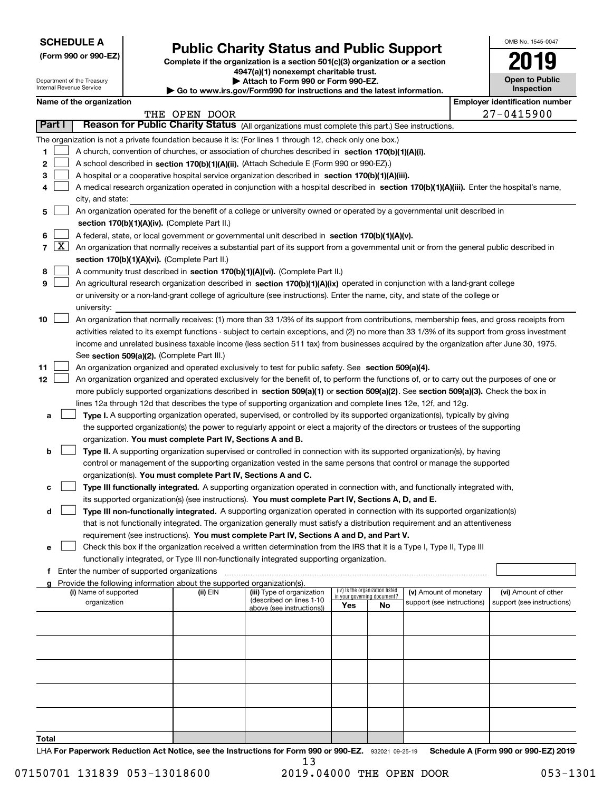| <b>SCHEDULE A</b> |  |
|-------------------|--|
|-------------------|--|

Department of the Treasury

**(Form 990 or 990-EZ)**

# **Public Charity Status and Public Support**

**Complete if the organization is a section 501(c)(3) organization or a section 4947(a)(1) nonexempt charitable trust. | Attach to Form 990 or Form 990-EZ.** 

| www.irs.gov/Form990 for instructions and the latest information. |  |
|------------------------------------------------------------------|--|

| OMB No. 1545-0047                   |
|-------------------------------------|
| 2019                                |
| <b>Open to Public</b><br>Inspection |

|                          | nternal Revenue Service<br>Inspection<br>Go to www.irs.gov/Form990 for instructions and the latest information. |                       |                                             |                                                                                    |                                                                                                                                               |     |                                 |                            |                                       |                            |
|--------------------------|-----------------------------------------------------------------------------------------------------------------|-----------------------|---------------------------------------------|------------------------------------------------------------------------------------|-----------------------------------------------------------------------------------------------------------------------------------------------|-----|---------------------------------|----------------------------|---------------------------------------|----------------------------|
| Name of the organization |                                                                                                                 |                       |                                             |                                                                                    |                                                                                                                                               |     |                                 |                            | <b>Employer identification number</b> |                            |
|                          |                                                                                                                 |                       |                                             | THE OPEN DOOR                                                                      |                                                                                                                                               |     |                                 |                            |                                       | $27 - 0415900$             |
|                          | Part I                                                                                                          |                       |                                             |                                                                                    | Reason for Public Charity Status (All organizations must complete this part.) See instructions.                                               |     |                                 |                            |                                       |                            |
|                          |                                                                                                                 |                       |                                             |                                                                                    | The organization is not a private foundation because it is: (For lines 1 through 12, check only one box.)                                     |     |                                 |                            |                                       |                            |
| 1                        |                                                                                                                 |                       |                                             |                                                                                    | A church, convention of churches, or association of churches described in section 170(b)(1)(A)(i).                                            |     |                                 |                            |                                       |                            |
| 2                        |                                                                                                                 |                       |                                             |                                                                                    | A school described in section 170(b)(1)(A)(ii). (Attach Schedule E (Form 990 or 990-EZ).)                                                     |     |                                 |                            |                                       |                            |
| з                        |                                                                                                                 |                       |                                             |                                                                                    | A hospital or a cooperative hospital service organization described in section 170(b)(1)(A)(iii).                                             |     |                                 |                            |                                       |                            |
|                          |                                                                                                                 |                       |                                             |                                                                                    | A medical research organization operated in conjunction with a hospital described in section 170(b)(1)(A)(iii). Enter the hospital's name,    |     |                                 |                            |                                       |                            |
|                          |                                                                                                                 | city, and state:      |                                             |                                                                                    |                                                                                                                                               |     |                                 |                            |                                       |                            |
| 5                        |                                                                                                                 |                       |                                             |                                                                                    | An organization operated for the benefit of a college or university owned or operated by a governmental unit described in                     |     |                                 |                            |                                       |                            |
|                          |                                                                                                                 |                       |                                             | section 170(b)(1)(A)(iv). (Complete Part II.)                                      |                                                                                                                                               |     |                                 |                            |                                       |                            |
| 6                        |                                                                                                                 |                       |                                             |                                                                                    | A federal, state, or local government or governmental unit described in section 170(b)(1)(A)(v).                                              |     |                                 |                            |                                       |                            |
| 7                        | $\lfloor x \rfloor$                                                                                             |                       |                                             |                                                                                    | An organization that normally receives a substantial part of its support from a governmental unit or from the general public described in     |     |                                 |                            |                                       |                            |
|                          |                                                                                                                 |                       |                                             | section 170(b)(1)(A)(vi). (Complete Part II.)                                      |                                                                                                                                               |     |                                 |                            |                                       |                            |
| 8                        |                                                                                                                 |                       |                                             |                                                                                    | A community trust described in section 170(b)(1)(A)(vi). (Complete Part II.)                                                                  |     |                                 |                            |                                       |                            |
| 9                        |                                                                                                                 |                       |                                             |                                                                                    | An agricultural research organization described in section 170(b)(1)(A)(ix) operated in conjunction with a land-grant college                 |     |                                 |                            |                                       |                            |
|                          |                                                                                                                 |                       |                                             |                                                                                    | or university or a non-land-grant college of agriculture (see instructions). Enter the name, city, and state of the college or                |     |                                 |                            |                                       |                            |
|                          |                                                                                                                 | university:           |                                             |                                                                                    |                                                                                                                                               |     |                                 |                            |                                       |                            |
| 10                       |                                                                                                                 |                       |                                             |                                                                                    | An organization that normally receives: (1) more than 33 1/3% of its support from contributions, membership fees, and gross receipts from     |     |                                 |                            |                                       |                            |
|                          |                                                                                                                 |                       |                                             |                                                                                    | activities related to its exempt functions - subject to certain exceptions, and (2) no more than 33 1/3% of its support from gross investment |     |                                 |                            |                                       |                            |
|                          |                                                                                                                 |                       |                                             |                                                                                    | income and unrelated business taxable income (less section 511 tax) from businesses acquired by the organization after June 30, 1975.         |     |                                 |                            |                                       |                            |
|                          |                                                                                                                 |                       |                                             | See section 509(a)(2). (Complete Part III.)                                        |                                                                                                                                               |     |                                 |                            |                                       |                            |
| 11                       |                                                                                                                 |                       |                                             |                                                                                    | An organization organized and operated exclusively to test for public safety. See section 509(a)(4).                                          |     |                                 |                            |                                       |                            |
| 12                       |                                                                                                                 |                       |                                             |                                                                                    | An organization organized and operated exclusively for the benefit of, to perform the functions of, or to carry out the purposes of one or    |     |                                 |                            |                                       |                            |
|                          |                                                                                                                 |                       |                                             |                                                                                    | more publicly supported organizations described in section 509(a)(1) or section 509(a)(2). See section 509(a)(3). Check the box in            |     |                                 |                            |                                       |                            |
|                          |                                                                                                                 |                       |                                             |                                                                                    | lines 12a through 12d that describes the type of supporting organization and complete lines 12e, 12f, and 12g.                                |     |                                 |                            |                                       |                            |
| а                        |                                                                                                                 |                       |                                             |                                                                                    | Type I. A supporting organization operated, supervised, or controlled by its supported organization(s), typically by giving                   |     |                                 |                            |                                       |                            |
|                          |                                                                                                                 |                       |                                             |                                                                                    | the supported organization(s) the power to regularly appoint or elect a majority of the directors or trustees of the supporting               |     |                                 |                            |                                       |                            |
|                          |                                                                                                                 |                       |                                             | organization. You must complete Part IV, Sections A and B.                         |                                                                                                                                               |     |                                 |                            |                                       |                            |
| b                        |                                                                                                                 |                       |                                             |                                                                                    | Type II. A supporting organization supervised or controlled in connection with its supported organization(s), by having                       |     |                                 |                            |                                       |                            |
|                          |                                                                                                                 |                       |                                             |                                                                                    | control or management of the supporting organization vested in the same persons that control or manage the supported                          |     |                                 |                            |                                       |                            |
|                          |                                                                                                                 |                       |                                             |                                                                                    | organization(s). You must complete Part IV, Sections A and C.                                                                                 |     |                                 |                            |                                       |                            |
| с                        |                                                                                                                 |                       |                                             |                                                                                    | Type III functionally integrated. A supporting organization operated in connection with, and functionally integrated with,                    |     |                                 |                            |                                       |                            |
|                          |                                                                                                                 |                       |                                             |                                                                                    | its supported organization(s) (see instructions). You must complete Part IV, Sections A, D, and E.                                            |     |                                 |                            |                                       |                            |
| d                        |                                                                                                                 |                       |                                             |                                                                                    | Type III non-functionally integrated. A supporting organization operated in connection with its supported organization(s)                     |     |                                 |                            |                                       |                            |
|                          |                                                                                                                 |                       |                                             |                                                                                    | that is not functionally integrated. The organization generally must satisfy a distribution requirement and an attentiveness                  |     |                                 |                            |                                       |                            |
|                          |                                                                                                                 |                       |                                             |                                                                                    | requirement (see instructions). You must complete Part IV, Sections A and D, and Part V.                                                      |     |                                 |                            |                                       |                            |
| е                        |                                                                                                                 |                       |                                             |                                                                                    | Check this box if the organization received a written determination from the IRS that it is a Type I, Type II, Type III                       |     |                                 |                            |                                       |                            |
|                          |                                                                                                                 |                       |                                             |                                                                                    | functionally integrated, or Type III non-functionally integrated supporting organization.                                                     |     |                                 |                            |                                       |                            |
| f.                       |                                                                                                                 |                       | Enter the number of supported organizations |                                                                                    |                                                                                                                                               |     |                                 |                            |                                       |                            |
|                          |                                                                                                                 | (i) Name of supported |                                             | Provide the following information about the supported organization(s).<br>(ii) EIN | (iii) Type of organization                                                                                                                    |     | (iv) Is the organization listed | (v) Amount of monetary     |                                       | (vi) Amount of other       |
|                          |                                                                                                                 | organization          |                                             |                                                                                    | (described on lines 1-10                                                                                                                      |     | in your governing document?     | support (see instructions) |                                       | support (see instructions) |
|                          |                                                                                                                 |                       |                                             |                                                                                    | above (see instructions))                                                                                                                     | Yes | <b>No</b>                       |                            |                                       |                            |
|                          |                                                                                                                 |                       |                                             |                                                                                    |                                                                                                                                               |     |                                 |                            |                                       |                            |
|                          |                                                                                                                 |                       |                                             |                                                                                    |                                                                                                                                               |     |                                 |                            |                                       |                            |
|                          |                                                                                                                 |                       |                                             |                                                                                    |                                                                                                                                               |     |                                 |                            |                                       |                            |
|                          |                                                                                                                 |                       |                                             |                                                                                    |                                                                                                                                               |     |                                 |                            |                                       |                            |
|                          |                                                                                                                 |                       |                                             |                                                                                    |                                                                                                                                               |     |                                 |                            |                                       |                            |
|                          |                                                                                                                 |                       |                                             |                                                                                    |                                                                                                                                               |     |                                 |                            |                                       |                            |
|                          |                                                                                                                 |                       |                                             |                                                                                    |                                                                                                                                               |     |                                 |                            |                                       |                            |
|                          |                                                                                                                 |                       |                                             |                                                                                    |                                                                                                                                               |     |                                 |                            |                                       |                            |
|                          |                                                                                                                 |                       |                                             |                                                                                    |                                                                                                                                               |     |                                 |                            |                                       |                            |
|                          |                                                                                                                 |                       |                                             |                                                                                    |                                                                                                                                               |     |                                 |                            |                                       |                            |

**Total**

LHA For Paperwork Reduction Act Notice, see the Instructions for Form 990 or 990-EZ. 932021 09-25-19 Schedule A (Form 990 or 990-EZ) 2019 13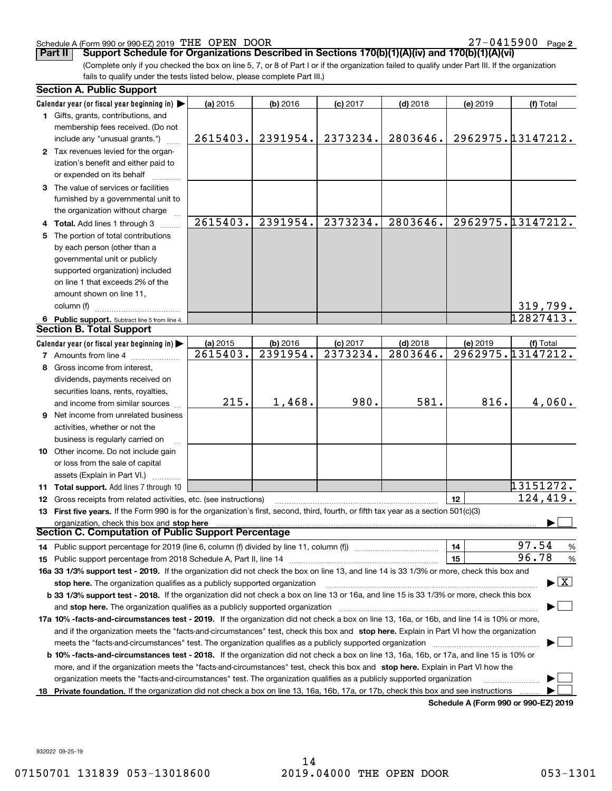#### Schedule A (Form 990 or 990-EZ) 2019 Page THE OPEN DOOR 27-0415900

27-0415900 Page 2

**Part II Support Schedule for Organizations Described in Sections 170(b)(1)(A)(iv) and 170(b)(1)(A)(vi)**

(Complete only if you checked the box on line 5, 7, or 8 of Part I or if the organization failed to qualify under Part III. If the organization fails to qualify under the tests listed below, please complete Part III.)

|    | <b>Section A. Public Support</b>                                                                                                               |                        |            |            |            |                                              |                                          |
|----|------------------------------------------------------------------------------------------------------------------------------------------------|------------------------|------------|------------|------------|----------------------------------------------|------------------------------------------|
|    | Calendar year (or fiscal year beginning in)                                                                                                    | (a) 2015               | $(b)$ 2016 | $(c)$ 2017 | $(d)$ 2018 | (e) 2019                                     | (f) Total                                |
|    | 1 Gifts, grants, contributions, and                                                                                                            |                        |            |            |            |                                              |                                          |
|    | membership fees received. (Do not<br>include any "unusual grants.")                                                                            | 2615403.               | 2391954.   | 2373234.   | 2803646.   |                                              | 2962975.13147212.                        |
|    | 2 Tax revenues levied for the organ-                                                                                                           |                        |            |            |            |                                              |                                          |
|    | ization's benefit and either paid to                                                                                                           |                        |            |            |            |                                              |                                          |
|    | or expended on its behalf                                                                                                                      |                        |            |            |            |                                              |                                          |
|    | 3 The value of services or facilities                                                                                                          |                        |            |            |            |                                              |                                          |
|    | furnished by a governmental unit to                                                                                                            |                        |            |            |            |                                              |                                          |
|    | the organization without charge                                                                                                                |                        |            |            |            |                                              |                                          |
|    | 4 Total. Add lines 1 through 3                                                                                                                 | 2615403.               | 2391954.   | 2373234.   | 2803646.   |                                              | 2962975.13147212.                        |
| 5. | The portion of total contributions                                                                                                             |                        |            |            |            |                                              |                                          |
|    | by each person (other than a                                                                                                                   |                        |            |            |            |                                              |                                          |
|    | governmental unit or publicly                                                                                                                  |                        |            |            |            |                                              |                                          |
|    | supported organization) included                                                                                                               |                        |            |            |            |                                              |                                          |
|    | on line 1 that exceeds 2% of the                                                                                                               |                        |            |            |            |                                              |                                          |
|    | amount shown on line 11,                                                                                                                       |                        |            |            |            |                                              |                                          |
|    | column (f)                                                                                                                                     |                        |            |            |            |                                              | 319,799.                                 |
|    | 6 Public support. Subtract line 5 from line 4.                                                                                                 |                        |            |            |            |                                              | 12827413.                                |
|    | <b>Section B. Total Support</b>                                                                                                                |                        |            |            |            |                                              |                                          |
|    | Calendar year (or fiscal year beginning in)                                                                                                    | (a) 2015               | $(b)$ 2016 | $(c)$ 2017 | $(d)$ 2018 | (e) 2019                                     | (f) Total                                |
|    | <b>7</b> Amounts from line 4                                                                                                                   | $\overline{2615403}$ . | 2391954.   | 2373234.   | 2803646.   |                                              | 2962975.13147212.                        |
|    | 8 Gross income from interest,                                                                                                                  |                        |            |            |            |                                              |                                          |
|    | dividends, payments received on                                                                                                                |                        |            |            |            |                                              |                                          |
|    | securities loans, rents, royalties,                                                                                                            |                        |            |            |            |                                              |                                          |
|    | and income from similar sources                                                                                                                | 215.                   | 1,468.     | 980.       | 581.       | 816.                                         | 4,060.                                   |
|    | <b>9</b> Net income from unrelated business                                                                                                    |                        |            |            |            |                                              |                                          |
|    | activities, whether or not the                                                                                                                 |                        |            |            |            |                                              |                                          |
|    | business is regularly carried on                                                                                                               |                        |            |            |            |                                              |                                          |
|    | 10 Other income. Do not include gain                                                                                                           |                        |            |            |            |                                              |                                          |
|    | or loss from the sale of capital                                                                                                               |                        |            |            |            |                                              |                                          |
|    | assets (Explain in Part VI.)                                                                                                                   |                        |            |            |            |                                              |                                          |
|    | <b>11 Total support.</b> Add lines 7 through 10                                                                                                |                        |            |            |            |                                              | 13151272.                                |
|    | 12 Gross receipts from related activities, etc. (see instructions)                                                                             |                        |            |            |            | 12                                           | 124,419.                                 |
|    | 13 First five years. If the Form 990 is for the organization's first, second, third, fourth, or fifth tax year as a section 501(c)(3)          |                        |            |            |            |                                              |                                          |
|    | organization, check this box and stop here                                                                                                     |                        |            |            |            |                                              |                                          |
|    | Section C. Computation of Public Support Percentage                                                                                            |                        |            |            |            |                                              |                                          |
|    | 14 Public support percentage for 2019 (line 6, column (f) divided by line 11, column (f) <i>manumeronoming</i>                                 |                        |            |            |            | 14                                           | 97.54<br>%                               |
|    |                                                                                                                                                |                        |            |            |            | 15                                           | 96.78<br>$\%$                            |
|    | 16a 33 1/3% support test - 2019. If the organization did not check the box on line 13, and line 14 is 33 1/3% or more, check this box and      |                        |            |            |            |                                              |                                          |
|    | stop here. The organization qualifies as a publicly supported organization                                                                     |                        |            |            |            |                                              | $\blacktriangleright$ $\boxed{\text{X}}$ |
|    | b 33 1/3% support test - 2018. If the organization did not check a box on line 13 or 16a, and line 15 is 33 1/3% or more, check this box       |                        |            |            |            |                                              |                                          |
|    | and stop here. The organization qualifies as a publicly supported organization                                                                 |                        |            |            |            |                                              |                                          |
|    | 17a 10% -facts-and-circumstances test - 2019. If the organization did not check a box on line 13, 16a, or 16b, and line 14 is 10% or more,     |                        |            |            |            |                                              |                                          |
|    | and if the organization meets the "facts-and-circumstances" test, check this box and stop here. Explain in Part VI how the organization        |                        |            |            |            |                                              |                                          |
|    | meets the "facts-and-circumstances" test. The organization qualifies as a publicly supported organization <i>manumumumumumum</i>               |                        |            |            |            |                                              |                                          |
|    | <b>b 10% -facts-and-circumstances test - 2018.</b> If the organization did not check a box on line 13, 16a, 16b, or 17a, and line 15 is 10% or |                        |            |            |            |                                              |                                          |
|    | more, and if the organization meets the "facts-and-circumstances" test, check this box and stop here. Explain in Part VI how the               |                        |            |            |            |                                              |                                          |
|    | organization meets the "facts-and-circumstances" test. The organization qualifies as a publicly supported organization                         |                        |            |            |            |                                              |                                          |
|    | 18 Private foundation. If the organization did not check a box on line 13, 16a, 16b, 17a, or 17b, check this box and see instructions          |                        |            |            |            |                                              |                                          |
|    |                                                                                                                                                |                        |            |            |            | <b>Cabadula A (Fause 000 av 000 EZ) 0040</b> |                                          |

**Schedule A (Form 990 or 990-EZ) 2019**

932022 09-25-19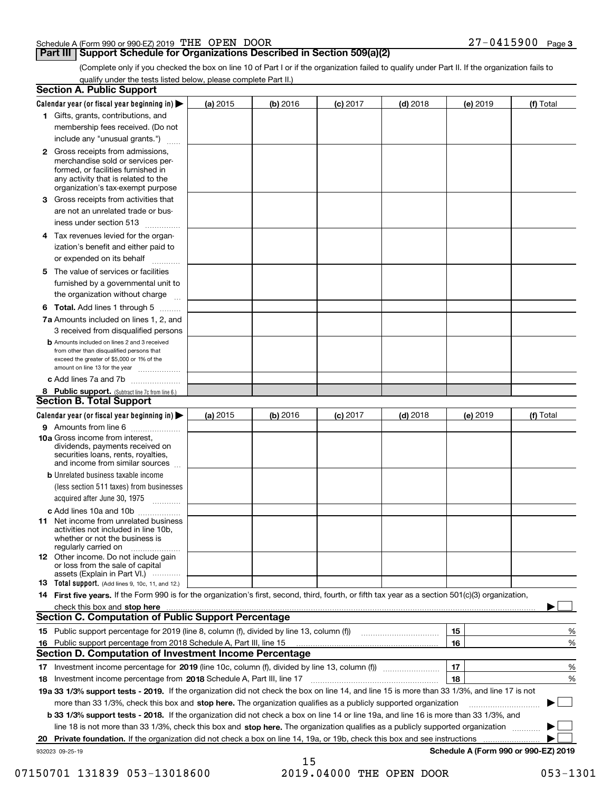| Schedule A (Form 990 or 990-EZ) 2019 $\,$ THE $\,$ OPEN |  | DOOR | $-0415900$ Page 3 |  |
|---------------------------------------------------------|--|------|-------------------|--|
|                                                         |  |      |                   |  |

#### **Part III Support Schedule for Organizations Described in Section 509(a)(2)**

(Complete only if you checked the box on line 10 of Part I or if the organization failed to qualify under Part II. If the organization fails to qualify under the tests listed below, please complete Part II.)

|     | <b>Section A. Public Support</b>                                                                                                                                                                                               |            |          |                 |            |          |                                      |
|-----|--------------------------------------------------------------------------------------------------------------------------------------------------------------------------------------------------------------------------------|------------|----------|-----------------|------------|----------|--------------------------------------|
|     | Calendar year (or fiscal year beginning in) $\blacktriangleright$                                                                                                                                                              | (a) 2015   | (b) 2016 | <b>(c)</b> 2017 | $(d)$ 2018 | (e) 2019 | (f) Total                            |
|     | 1 Gifts, grants, contributions, and                                                                                                                                                                                            |            |          |                 |            |          |                                      |
|     | membership fees received. (Do not                                                                                                                                                                                              |            |          |                 |            |          |                                      |
|     | include any "unusual grants.")                                                                                                                                                                                                 |            |          |                 |            |          |                                      |
|     | <b>2</b> Gross receipts from admissions,<br>merchandise sold or services per-<br>formed, or facilities furnished in<br>any activity that is related to the<br>organization's tax-exempt purpose                                |            |          |                 |            |          |                                      |
|     | 3 Gross receipts from activities that                                                                                                                                                                                          |            |          |                 |            |          |                                      |
|     | are not an unrelated trade or bus-                                                                                                                                                                                             |            |          |                 |            |          |                                      |
|     | iness under section 513                                                                                                                                                                                                        |            |          |                 |            |          |                                      |
|     | 4 Tax revenues levied for the organ-                                                                                                                                                                                           |            |          |                 |            |          |                                      |
|     | ization's benefit and either paid to<br>or expended on its behalf<br>.                                                                                                                                                         |            |          |                 |            |          |                                      |
|     | 5 The value of services or facilities                                                                                                                                                                                          |            |          |                 |            |          |                                      |
|     | furnished by a governmental unit to                                                                                                                                                                                            |            |          |                 |            |          |                                      |
|     | the organization without charge                                                                                                                                                                                                |            |          |                 |            |          |                                      |
|     | <b>6 Total.</b> Add lines 1 through 5                                                                                                                                                                                          |            |          |                 |            |          |                                      |
|     | 7a Amounts included on lines 1, 2, and<br>3 received from disqualified persons                                                                                                                                                 |            |          |                 |            |          |                                      |
|     | <b>b</b> Amounts included on lines 2 and 3 received<br>from other than disqualified persons that<br>exceed the greater of \$5,000 or 1% of the<br>amount on line 13 for the year                                               |            |          |                 |            |          |                                      |
|     | c Add lines 7a and 7b                                                                                                                                                                                                          |            |          |                 |            |          |                                      |
|     | 8 Public support. (Subtract line 7c from line 6.)<br><b>Section B. Total Support</b>                                                                                                                                           |            |          |                 |            |          |                                      |
|     | Calendar year (or fiscal year beginning in)                                                                                                                                                                                    | (a) $2015$ | (b) 2016 | <b>(c)</b> 2017 | $(d)$ 2018 | (e) 2019 | (f) Total                            |
|     | 9 Amounts from line 6                                                                                                                                                                                                          |            |          |                 |            |          |                                      |
|     | 10a Gross income from interest,<br>dividends, payments received on<br>securities loans, rents, royalties,<br>and income from similar sources                                                                                   |            |          |                 |            |          |                                      |
|     | <b>b</b> Unrelated business taxable income                                                                                                                                                                                     |            |          |                 |            |          |                                      |
|     | (less section 511 taxes) from businesses<br>acquired after June 30, 1975 [10001]                                                                                                                                               |            |          |                 |            |          |                                      |
|     | c Add lines 10a and 10b                                                                                                                                                                                                        |            |          |                 |            |          |                                      |
|     | 11 Net income from unrelated business<br>activities not included in line 10b,<br>whether or not the business is<br>regularly carried on                                                                                        |            |          |                 |            |          |                                      |
|     | <b>12</b> Other income. Do not include gain<br>or loss from the sale of capital<br>assets (Explain in Part VI.)                                                                                                                |            |          |                 |            |          |                                      |
|     | 13 Total support. (Add lines 9, 10c, 11, and 12.)                                                                                                                                                                              |            |          |                 |            |          |                                      |
|     | 14 First five years. If the Form 990 is for the organization's first, second, third, fourth, or fifth tax year as a section 501(c)(3) organization,                                                                            |            |          |                 |            |          |                                      |
|     | check this box and stop here communication and content to the state of the state of the state of the state of the state of the state of the state of the state of the state of the state of the state of the state of the stat |            |          |                 |            |          |                                      |
|     | <b>Section C. Computation of Public Support Percentage</b>                                                                                                                                                                     |            |          |                 |            |          |                                      |
|     |                                                                                                                                                                                                                                |            |          |                 |            | 15       | %                                    |
| 16. | Public support percentage from 2018 Schedule A, Part III, line 15                                                                                                                                                              |            |          |                 |            | 16       | %                                    |
|     | <b>Section D. Computation of Investment Income Percentage</b>                                                                                                                                                                  |            |          |                 |            |          |                                      |
|     | 17 Investment income percentage for 2019 (line 10c, column (f), divided by line 13, column (f))                                                                                                                                |            |          |                 |            | 17       | %                                    |
|     | 18 Investment income percentage from 2018 Schedule A, Part III, line 17                                                                                                                                                        |            |          |                 |            | 18       | %                                    |
|     | 19a 33 1/3% support tests - 2019. If the organization did not check the box on line 14, and line 15 is more than 33 1/3%, and line 17 is not                                                                                   |            |          |                 |            |          |                                      |
|     | more than 33 1/3%, check this box and stop here. The organization qualifies as a publicly supported organization                                                                                                               |            |          |                 |            |          | $\sim$ 1                             |
|     | b 33 1/3% support tests - 2018. If the organization did not check a box on line 14 or line 19a, and line 16 is more than 33 1/3%, and                                                                                          |            |          |                 |            |          |                                      |
|     | line 18 is not more than 33 1/3%, check this box and stop here. The organization qualifies as a publicly supported organization                                                                                                |            |          |                 |            |          |                                      |
| 20  | Private foundation. If the organization did not check a box on line 14, 19a, or 19b, check this box and see instructions                                                                                                       |            |          |                 |            |          |                                      |
|     | 932023 09-25-19                                                                                                                                                                                                                |            | 15       |                 |            |          | Schedule A (Form 990 or 990-EZ) 2019 |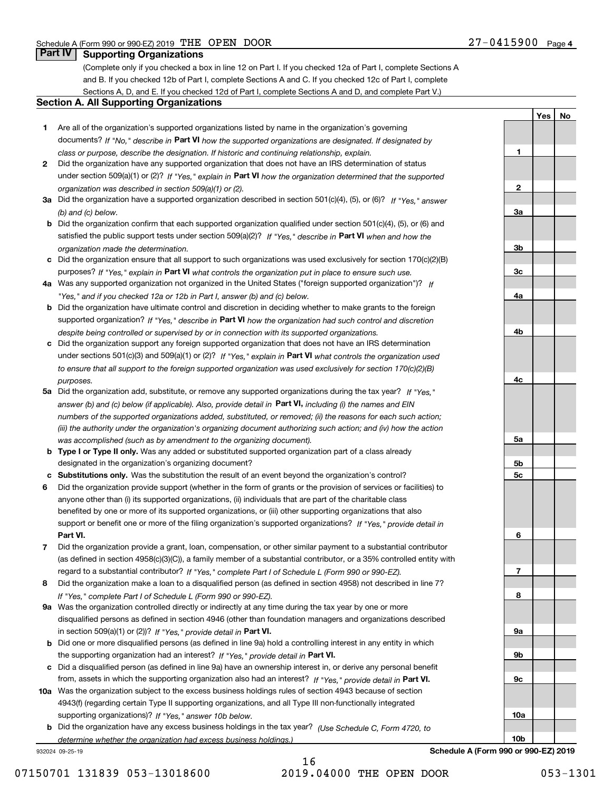**1**

**2**

**3a**

**3b**

**3c**

**4a**

**4b**

**4c**

**5a**

**5b5c**

**6**

**7**

**8**

**YesNo**

## **Part IV Supporting Organizations**

(Complete only if you checked a box in line 12 on Part I. If you checked 12a of Part I, complete Sections A and B. If you checked 12b of Part I, complete Sections A and C. If you checked 12c of Part I, complete Sections A, D, and E. If you checked 12d of Part I, complete Sections A and D, and complete Part V.)

#### **Section A. All Supporting Organizations**

- **1** Are all of the organization's supported organizations listed by name in the organization's governing documents? If "No," describe in **Part VI** how the supported organizations are designated. If designated by *class or purpose, describe the designation. If historic and continuing relationship, explain.*
- **2** Did the organization have any supported organization that does not have an IRS determination of status under section 509(a)(1) or (2)? If "Yes," explain in Part VI how the organization determined that the supported *organization was described in section 509(a)(1) or (2).*
- **3a** Did the organization have a supported organization described in section 501(c)(4), (5), or (6)? If "Yes," answer *(b) and (c) below.*
- **b** Did the organization confirm that each supported organization qualified under section 501(c)(4), (5), or (6) and satisfied the public support tests under section 509(a)(2)? If "Yes," describe in **Part VI** when and how the *organization made the determination.*
- **c**Did the organization ensure that all support to such organizations was used exclusively for section 170(c)(2)(B) purposes? If "Yes," explain in **Part VI** what controls the organization put in place to ensure such use.
- **4a***If* Was any supported organization not organized in the United States ("foreign supported organization")? *"Yes," and if you checked 12a or 12b in Part I, answer (b) and (c) below.*
- **b** Did the organization have ultimate control and discretion in deciding whether to make grants to the foreign supported organization? If "Yes," describe in **Part VI** how the organization had such control and discretion *despite being controlled or supervised by or in connection with its supported organizations.*
- **c** Did the organization support any foreign supported organization that does not have an IRS determination under sections 501(c)(3) and 509(a)(1) or (2)? If "Yes," explain in **Part VI** what controls the organization used *to ensure that all support to the foreign supported organization was used exclusively for section 170(c)(2)(B) purposes.*
- **5a** Did the organization add, substitute, or remove any supported organizations during the tax year? If "Yes," answer (b) and (c) below (if applicable). Also, provide detail in **Part VI,** including (i) the names and EIN *numbers of the supported organizations added, substituted, or removed; (ii) the reasons for each such action; (iii) the authority under the organization's organizing document authorizing such action; and (iv) how the action was accomplished (such as by amendment to the organizing document).*
- **b** Type I or Type II only. Was any added or substituted supported organization part of a class already designated in the organization's organizing document?
- **cSubstitutions only.**  Was the substitution the result of an event beyond the organization's control?
- **6** Did the organization provide support (whether in the form of grants or the provision of services or facilities) to **Part VI.** *If "Yes," provide detail in* support or benefit one or more of the filing organization's supported organizations? anyone other than (i) its supported organizations, (ii) individuals that are part of the charitable class benefited by one or more of its supported organizations, or (iii) other supporting organizations that also
- **7**Did the organization provide a grant, loan, compensation, or other similar payment to a substantial contributor *If "Yes," complete Part I of Schedule L (Form 990 or 990-EZ).* regard to a substantial contributor? (as defined in section 4958(c)(3)(C)), a family member of a substantial contributor, or a 35% controlled entity with
- **8** Did the organization make a loan to a disqualified person (as defined in section 4958) not described in line 7? *If "Yes," complete Part I of Schedule L (Form 990 or 990-EZ).*
- **9a** Was the organization controlled directly or indirectly at any time during the tax year by one or more in section 509(a)(1) or (2))? If "Yes," *provide detail in* <code>Part VI.</code> disqualified persons as defined in section 4946 (other than foundation managers and organizations described
- **b** Did one or more disqualified persons (as defined in line 9a) hold a controlling interest in any entity in which the supporting organization had an interest? If "Yes," provide detail in P**art VI**.
- **c**Did a disqualified person (as defined in line 9a) have an ownership interest in, or derive any personal benefit from, assets in which the supporting organization also had an interest? If "Yes," provide detail in P**art VI.**
- **10a** Was the organization subject to the excess business holdings rules of section 4943 because of section supporting organizations)? If "Yes," answer 10b below. 4943(f) (regarding certain Type II supporting organizations, and all Type III non-functionally integrated
- **b** Did the organization have any excess business holdings in the tax year? (Use Schedule C, Form 4720, to *determine whether the organization had excess business holdings.)*

932024 09-25-19

16 07150701 131839 053-13018600 2019.04000 THE OPEN DOOR 053-1301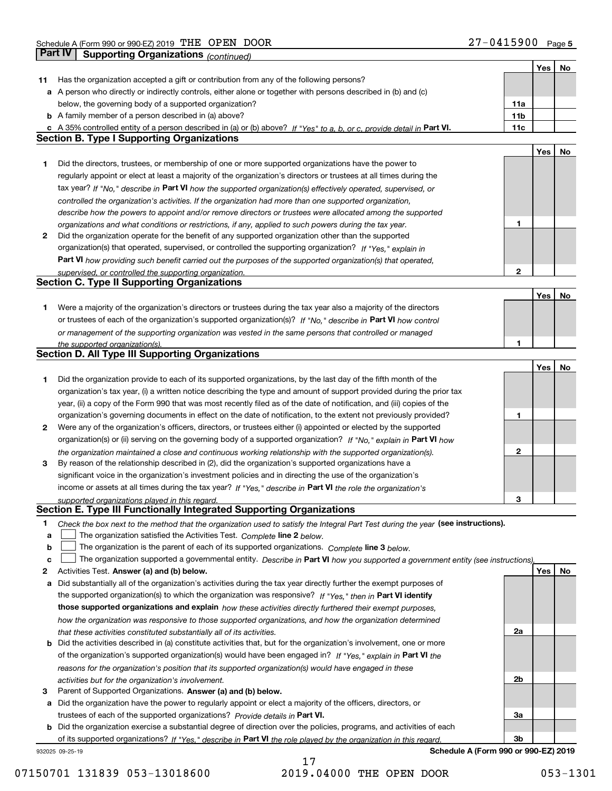|              |                                                                                                                                   |                 | Yes | No |
|--------------|-----------------------------------------------------------------------------------------------------------------------------------|-----------------|-----|----|
| 11           | Has the organization accepted a gift or contribution from any of the following persons?                                           |                 |     |    |
|              | a A person who directly or indirectly controls, either alone or together with persons described in (b) and (c)                    |                 |     |    |
|              | below, the governing body of a supported organization?                                                                            | 11a             |     |    |
|              | <b>b</b> A family member of a person described in (a) above?                                                                      | 11 <sub>b</sub> |     |    |
|              | c A 35% controlled entity of a person described in (a) or (b) above? If "Yes" to a, b, or c, provide detail in Part VI.           | 11c             |     |    |
|              | <b>Section B. Type I Supporting Organizations</b>                                                                                 |                 |     |    |
|              |                                                                                                                                   |                 | Yes | No |
| 1            | Did the directors, trustees, or membership of one or more supported organizations have the power to                               |                 |     |    |
|              | regularly appoint or elect at least a majority of the organization's directors or trustees at all times during the                |                 |     |    |
|              |                                                                                                                                   |                 |     |    |
|              | tax year? If "No," describe in Part VI how the supported organization(s) effectively operated, supervised, or                     |                 |     |    |
|              | controlled the organization's activities. If the organization had more than one supported organization,                           |                 |     |    |
|              | describe how the powers to appoint and/or remove directors or trustees were allocated among the supported                         |                 |     |    |
|              | organizations and what conditions or restrictions, if any, applied to such powers during the tax year.                            | 1               |     |    |
| 2            | Did the organization operate for the benefit of any supported organization other than the supported                               |                 |     |    |
|              | organization(s) that operated, supervised, or controlled the supporting organization? If "Yes," explain in                        |                 |     |    |
|              | Part VI how providing such benefit carried out the purposes of the supported organization(s) that operated,                       |                 |     |    |
|              | supervised, or controlled the supporting organization.                                                                            | $\mathbf{2}$    |     |    |
|              | <b>Section C. Type II Supporting Organizations</b>                                                                                |                 |     |    |
|              |                                                                                                                                   |                 | Yes | No |
| 1            | Were a majority of the organization's directors or trustees during the tax year also a majority of the directors                  |                 |     |    |
|              | or trustees of each of the organization's supported organization(s)? If "No," describe in Part VI how control                     |                 |     |    |
|              | or management of the supporting organization was vested in the same persons that controlled or managed                            |                 |     |    |
|              | the supported organization(s).                                                                                                    | 1               |     |    |
|              | <b>Section D. All Type III Supporting Organizations</b>                                                                           |                 |     |    |
|              |                                                                                                                                   |                 | Yes | No |
| 1            | Did the organization provide to each of its supported organizations, by the last day of the fifth month of the                    |                 |     |    |
|              | organization's tax year, (i) a written notice describing the type and amount of support provided during the prior tax             |                 |     |    |
|              | year, (ii) a copy of the Form 990 that was most recently filed as of the date of notification, and (iii) copies of the            |                 |     |    |
|              | organization's governing documents in effect on the date of notification, to the extent not previously provided?                  | 1               |     |    |
| $\mathbf{2}$ | Were any of the organization's officers, directors, or trustees either (i) appointed or elected by the supported                  |                 |     |    |
|              | organization(s) or (ii) serving on the governing body of a supported organization? If "No," explain in Part VI how                |                 |     |    |
|              | the organization maintained a close and continuous working relationship with the supported organization(s).                       | $\mathbf{2}$    |     |    |
| 3            | By reason of the relationship described in (2), did the organization's supported organizations have a                             |                 |     |    |
|              | significant voice in the organization's investment policies and in directing the use of the organization's                        |                 |     |    |
|              | income or assets at all times during the tax year? If "Yes," describe in Part VI the role the organization's                      |                 |     |    |
|              | supported organizations played in this regard.                                                                                    | з               |     |    |
|              | Section E. Type III Functionally Integrated Supporting Organizations                                                              |                 |     |    |
| 1            | Check the box next to the method that the organization used to satisfy the Integral Part Test during the year (see instructions). |                 |     |    |
| a            | The organization satisfied the Activities Test. Complete line 2 below.                                                            |                 |     |    |
| b            | The organization is the parent of each of its supported organizations. Complete line 3 below.                                     |                 |     |    |
| c            | The organization supported a governmental entity. Describe in Part VI how you supported a government entity (see instructions).   |                 |     |    |
| 2            | Activities Test. Answer (a) and (b) below.                                                                                        |                 | Yes | No |
| a            | Did substantially all of the organization's activities during the tax year directly further the exempt purposes of                |                 |     |    |
|              | the supported organization(s) to which the organization was responsive? If "Yes," then in Part VI identify                        |                 |     |    |
|              | those supported organizations and explain how these activities directly furthered their exempt purposes,                          |                 |     |    |
|              | how the organization was responsive to those supported organizations, and how the organization determined                         |                 |     |    |
|              | that these activities constituted substantially all of its activities.                                                            | 2a              |     |    |
|              | <b>b</b> Did the activities described in (a) constitute activities that, but for the organization's involvement, one or more      |                 |     |    |
|              | of the organization's supported organization(s) would have been engaged in? If "Yes," explain in Part VI the                      |                 |     |    |
|              | reasons for the organization's position that its supported organization(s) would have engaged in these                            |                 |     |    |
|              | activities but for the organization's involvement.                                                                                | 2b              |     |    |
| 3            | Parent of Supported Organizations. Answer (a) and (b) below.                                                                      |                 |     |    |
| а            | Did the organization have the power to regularly appoint or elect a majority of the officers, directors, or                       |                 |     |    |
|              | trustees of each of the supported organizations? Provide details in Part VI.                                                      | За              |     |    |
|              | <b>b</b> Did the organization exercise a substantial degree of direction over the policies, programs, and activities of each      |                 |     |    |
|              | of its supported organizations? If "Yes," describe in Part VI the role played by the organization in this regard                  | 3b              |     |    |
|              | Schedule A (Form 990 or 990-EZ) 2019<br>932025 09-25-19                                                                           |                 |     |    |
|              |                                                                                                                                   |                 |     |    |

07150701 131839 053-13018600 2019.04000 THE OPEN DOOR 053-1301

17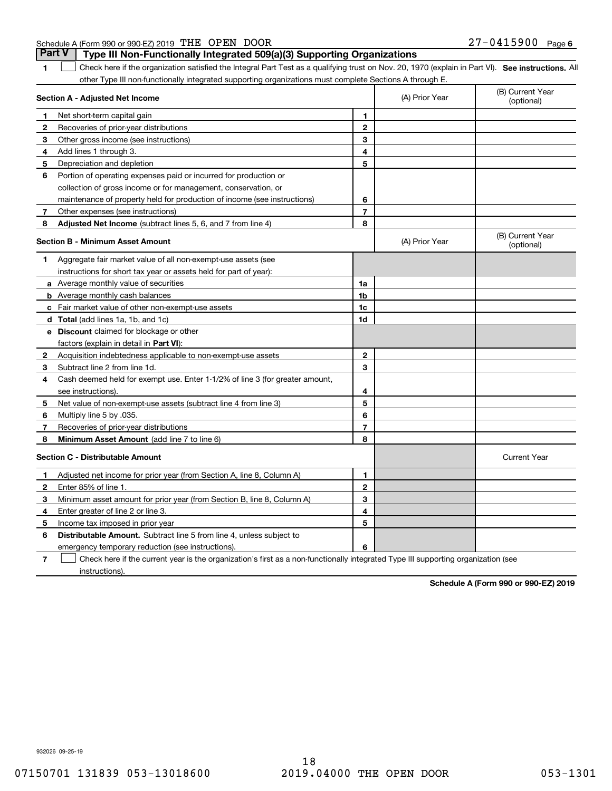| <b>Part V</b>   Type III Non-Functionally Integrated 509(a)(3) Supporting Organizations |                       |  |
|-----------------------------------------------------------------------------------------|-----------------------|--|
| Schedule A (Form 990 or 990-EZ) 2019 THE OPEN DOOR                                      | $27 - 0415900$ Page 6 |  |

**1**

**SEP 10. See instructions.** All antegral Part Test as a qualifying trust on Nov. 20, 1970 (explain in Part VI). See instructions. All other Type III non-functionally integrated supporting organizations must complete Sections A through E.  $\mathcal{L}^{\text{max}}$ 

|              | Section A - Adjusted Net Income                                              | (A) Prior Year | (B) Current Year<br>(optional) |                                |
|--------------|------------------------------------------------------------------------------|----------------|--------------------------------|--------------------------------|
| 1.           | Net short-term capital gain                                                  | 1              |                                |                                |
| 2            | Recoveries of prior-year distributions                                       | $\overline{2}$ |                                |                                |
| 3            | Other gross income (see instructions)                                        | 3              |                                |                                |
| 4            | Add lines 1 through 3.                                                       | 4              |                                |                                |
| 5            | Depreciation and depletion                                                   | 5              |                                |                                |
| 6            | Portion of operating expenses paid or incurred for production or             |                |                                |                                |
|              | collection of gross income or for management, conservation, or               |                |                                |                                |
|              | maintenance of property held for production of income (see instructions)     | 6              |                                |                                |
| 7            | Other expenses (see instructions)                                            | $\overline{7}$ |                                |                                |
| 8            | Adjusted Net Income (subtract lines 5, 6, and 7 from line 4)                 | 8              |                                |                                |
|              | <b>Section B - Minimum Asset Amount</b>                                      |                | (A) Prior Year                 | (B) Current Year<br>(optional) |
| 1            | Aggregate fair market value of all non-exempt-use assets (see                |                |                                |                                |
|              | instructions for short tax year or assets held for part of year):            |                |                                |                                |
|              | a Average monthly value of securities                                        | 1a             |                                |                                |
|              | <b>b</b> Average monthly cash balances                                       | 1b             |                                |                                |
|              | c Fair market value of other non-exempt-use assets                           | 1c             |                                |                                |
|              | <b>d</b> Total (add lines 1a, 1b, and 1c)                                    | 1d             |                                |                                |
|              | <b>e</b> Discount claimed for blockage or other                              |                |                                |                                |
|              | factors (explain in detail in Part VI):                                      |                |                                |                                |
| 2            | Acquisition indebtedness applicable to non-exempt-use assets                 | $\mathbf{2}$   |                                |                                |
| 3            | Subtract line 2 from line 1d.                                                | 3              |                                |                                |
| 4            | Cash deemed held for exempt use. Enter 1-1/2% of line 3 (for greater amount, |                |                                |                                |
|              | see instructions).                                                           | 4              |                                |                                |
| 5            | Net value of non-exempt-use assets (subtract line 4 from line 3)             | 5              |                                |                                |
| 6            | Multiply line 5 by .035.                                                     | 6              |                                |                                |
| 7            | Recoveries of prior-year distributions                                       | $\overline{7}$ |                                |                                |
| 8            | Minimum Asset Amount (add line 7 to line 6)                                  | 8              |                                |                                |
|              | Section C - Distributable Amount                                             |                |                                | <b>Current Year</b>            |
| 1            | Adjusted net income for prior year (from Section A, line 8, Column A)        | 1              |                                |                                |
| $\mathbf{2}$ | Enter 85% of line 1.                                                         | $\overline{2}$ |                                |                                |
| 3            | Minimum asset amount for prior year (from Section B, line 8, Column A)       | 3              |                                |                                |
| 4            | Enter greater of line 2 or line 3.                                           | 4              |                                |                                |
| 5            | Income tax imposed in prior year                                             | 5              |                                |                                |
| 6            | <b>Distributable Amount.</b> Subtract line 5 from line 4, unless subject to  |                |                                |                                |
|              | emergency temporary reduction (see instructions).                            | 6              |                                |                                |
|              |                                                                              |                |                                |                                |

**7**Check here if the current year is the organization's first as a non-functionally integrated Type III supporting organization (see instructions).

**Schedule A (Form 990 or 990-EZ) 2019**

932026 09-25-19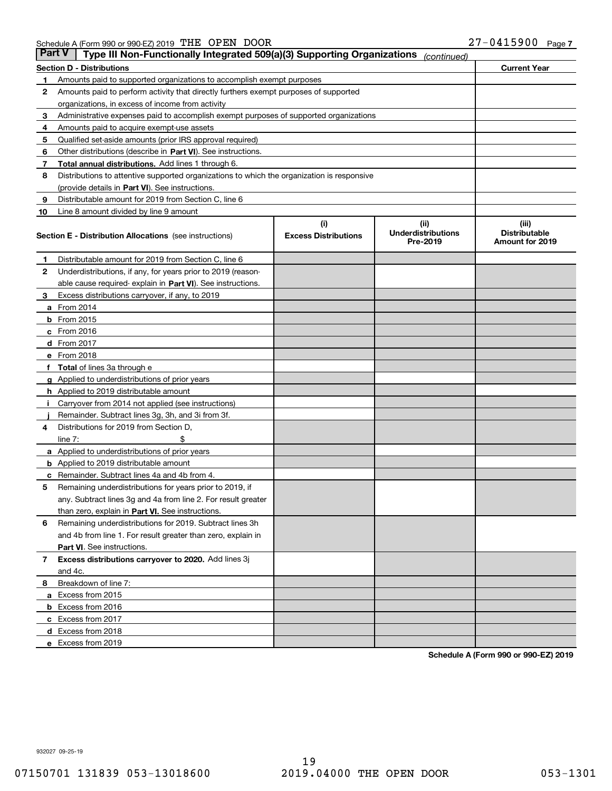| <b>Part V</b> | Type III Non-Functionally Integrated 509(a)(3) Supporting Organizations                    |                                    | (continued)                                   |                                                  |  |  |
|---------------|--------------------------------------------------------------------------------------------|------------------------------------|-----------------------------------------------|--------------------------------------------------|--|--|
|               | <b>Section D - Distributions</b>                                                           |                                    |                                               | <b>Current Year</b>                              |  |  |
| 1             | Amounts paid to supported organizations to accomplish exempt purposes                      |                                    |                                               |                                                  |  |  |
| 2             | Amounts paid to perform activity that directly furthers exempt purposes of supported       |                                    |                                               |                                                  |  |  |
|               | organizations, in excess of income from activity                                           |                                    |                                               |                                                  |  |  |
| 3             | Administrative expenses paid to accomplish exempt purposes of supported organizations      |                                    |                                               |                                                  |  |  |
| 4             | Amounts paid to acquire exempt-use assets                                                  |                                    |                                               |                                                  |  |  |
| 5             | Qualified set-aside amounts (prior IRS approval required)                                  |                                    |                                               |                                                  |  |  |
| 6             | Other distributions (describe in Part VI). See instructions.                               |                                    |                                               |                                                  |  |  |
| 7             | <b>Total annual distributions.</b> Add lines 1 through 6.                                  |                                    |                                               |                                                  |  |  |
| 8             | Distributions to attentive supported organizations to which the organization is responsive |                                    |                                               |                                                  |  |  |
|               | (provide details in Part VI). See instructions.                                            |                                    |                                               |                                                  |  |  |
| 9             | Distributable amount for 2019 from Section C, line 6                                       |                                    |                                               |                                                  |  |  |
| 10            | Line 8 amount divided by line 9 amount                                                     |                                    |                                               |                                                  |  |  |
|               | <b>Section E - Distribution Allocations</b> (see instructions)                             | (i)<br><b>Excess Distributions</b> | (ii)<br><b>Underdistributions</b><br>Pre-2019 | (iii)<br><b>Distributable</b><br>Amount for 2019 |  |  |
| 1             | Distributable amount for 2019 from Section C, line 6                                       |                                    |                                               |                                                  |  |  |
| 2             | Underdistributions, if any, for years prior to 2019 (reason-                               |                                    |                                               |                                                  |  |  |
|               | able cause required- explain in Part VI). See instructions.                                |                                    |                                               |                                                  |  |  |
| З             | Excess distributions carryover, if any, to 2019                                            |                                    |                                               |                                                  |  |  |
|               | <b>a</b> From 2014                                                                         |                                    |                                               |                                                  |  |  |
|               | <b>b</b> From 2015                                                                         |                                    |                                               |                                                  |  |  |
|               | $c$ From 2016                                                                              |                                    |                                               |                                                  |  |  |
|               | d From 2017                                                                                |                                    |                                               |                                                  |  |  |
|               | e From 2018                                                                                |                                    |                                               |                                                  |  |  |
|               | <b>Total</b> of lines 3a through e                                                         |                                    |                                               |                                                  |  |  |
| g             | Applied to underdistributions of prior years                                               |                                    |                                               |                                                  |  |  |
|               | <b>h</b> Applied to 2019 distributable amount                                              |                                    |                                               |                                                  |  |  |
|               | Carryover from 2014 not applied (see instructions)                                         |                                    |                                               |                                                  |  |  |
|               | Remainder. Subtract lines 3g, 3h, and 3i from 3f.                                          |                                    |                                               |                                                  |  |  |
| 4             | Distributions for 2019 from Section D,                                                     |                                    |                                               |                                                  |  |  |
|               | line $7:$                                                                                  |                                    |                                               |                                                  |  |  |
|               | <b>a</b> Applied to underdistributions of prior years                                      |                                    |                                               |                                                  |  |  |
|               | <b>b</b> Applied to 2019 distributable amount                                              |                                    |                                               |                                                  |  |  |
|               | c Remainder. Subtract lines 4a and 4b from 4.                                              |                                    |                                               |                                                  |  |  |
| 5             | Remaining underdistributions for years prior to 2019, if                                   |                                    |                                               |                                                  |  |  |
|               | any. Subtract lines 3g and 4a from line 2. For result greater                              |                                    |                                               |                                                  |  |  |
|               | than zero, explain in Part VI. See instructions.                                           |                                    |                                               |                                                  |  |  |
| 6             | Remaining underdistributions for 2019. Subtract lines 3h                                   |                                    |                                               |                                                  |  |  |
|               | and 4b from line 1. For result greater than zero, explain in                               |                                    |                                               |                                                  |  |  |
|               | Part VI. See instructions.                                                                 |                                    |                                               |                                                  |  |  |
| 7             | Excess distributions carryover to 2020. Add lines 3j                                       |                                    |                                               |                                                  |  |  |
|               | and 4c.                                                                                    |                                    |                                               |                                                  |  |  |
| 8             | Breakdown of line 7:                                                                       |                                    |                                               |                                                  |  |  |
|               | a Excess from 2015                                                                         |                                    |                                               |                                                  |  |  |
|               | <b>b</b> Excess from 2016                                                                  |                                    |                                               |                                                  |  |  |
|               | c Excess from 2017                                                                         |                                    |                                               |                                                  |  |  |
|               | d Excess from 2018                                                                         |                                    |                                               |                                                  |  |  |
|               | e Excess from 2019                                                                         |                                    |                                               |                                                  |  |  |

**Schedule A (Form 990 or 990-EZ) 2019**

932027 09-25-19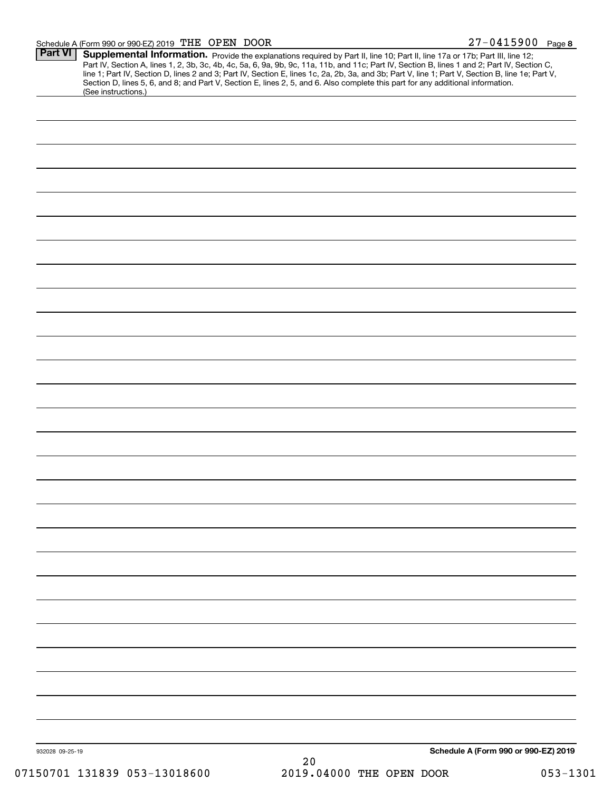#### Schedule A (Form 990 or 990-EZ) 2019 Page THE OPEN DOOR 27-0415900

| <b>Part VI</b>  | Supplemental Information. Provide the explanations required by Part II, line 10; Part II, line 17a or 17b; Part III, line 12;<br>Part IV, Section A, lines 1, 2, 3b, 3c, 4b, 4c, 5a, 6, 9a, 9b, 9c, 11a, 11b, and 11c; Part IV, Section B, lines 1 and 2; Part IV, Section C,<br>line 1; Part IV, Section D, lines 2 and 3; Part IV, Section E, lines 1c, 2a, 2b, 3a, and 3b; Part V, line 1; Part V, Section B, line 1e; Part V,<br>Section D, lines 5, 6, and 8; and Part V, Section E, lines 2, 5, and 6. Also complete this part for any additional information.<br>(See instructions.) |
|-----------------|---------------------------------------------------------------------------------------------------------------------------------------------------------------------------------------------------------------------------------------------------------------------------------------------------------------------------------------------------------------------------------------------------------------------------------------------------------------------------------------------------------------------------------------------------------------------------------------------|
|                 |                                                                                                                                                                                                                                                                                                                                                                                                                                                                                                                                                                                             |
|                 |                                                                                                                                                                                                                                                                                                                                                                                                                                                                                                                                                                                             |
|                 |                                                                                                                                                                                                                                                                                                                                                                                                                                                                                                                                                                                             |
|                 |                                                                                                                                                                                                                                                                                                                                                                                                                                                                                                                                                                                             |
|                 |                                                                                                                                                                                                                                                                                                                                                                                                                                                                                                                                                                                             |
|                 |                                                                                                                                                                                                                                                                                                                                                                                                                                                                                                                                                                                             |
|                 |                                                                                                                                                                                                                                                                                                                                                                                                                                                                                                                                                                                             |
|                 |                                                                                                                                                                                                                                                                                                                                                                                                                                                                                                                                                                                             |
|                 |                                                                                                                                                                                                                                                                                                                                                                                                                                                                                                                                                                                             |
|                 |                                                                                                                                                                                                                                                                                                                                                                                                                                                                                                                                                                                             |
|                 |                                                                                                                                                                                                                                                                                                                                                                                                                                                                                                                                                                                             |
|                 |                                                                                                                                                                                                                                                                                                                                                                                                                                                                                                                                                                                             |
|                 |                                                                                                                                                                                                                                                                                                                                                                                                                                                                                                                                                                                             |
|                 |                                                                                                                                                                                                                                                                                                                                                                                                                                                                                                                                                                                             |
|                 |                                                                                                                                                                                                                                                                                                                                                                                                                                                                                                                                                                                             |
|                 |                                                                                                                                                                                                                                                                                                                                                                                                                                                                                                                                                                                             |
|                 |                                                                                                                                                                                                                                                                                                                                                                                                                                                                                                                                                                                             |
|                 |                                                                                                                                                                                                                                                                                                                                                                                                                                                                                                                                                                                             |
|                 |                                                                                                                                                                                                                                                                                                                                                                                                                                                                                                                                                                                             |
|                 |                                                                                                                                                                                                                                                                                                                                                                                                                                                                                                                                                                                             |
|                 |                                                                                                                                                                                                                                                                                                                                                                                                                                                                                                                                                                                             |
|                 |                                                                                                                                                                                                                                                                                                                                                                                                                                                                                                                                                                                             |
|                 |                                                                                                                                                                                                                                                                                                                                                                                                                                                                                                                                                                                             |
|                 |                                                                                                                                                                                                                                                                                                                                                                                                                                                                                                                                                                                             |
|                 |                                                                                                                                                                                                                                                                                                                                                                                                                                                                                                                                                                                             |
|                 |                                                                                                                                                                                                                                                                                                                                                                                                                                                                                                                                                                                             |
|                 |                                                                                                                                                                                                                                                                                                                                                                                                                                                                                                                                                                                             |
|                 |                                                                                                                                                                                                                                                                                                                                                                                                                                                                                                                                                                                             |
|                 |                                                                                                                                                                                                                                                                                                                                                                                                                                                                                                                                                                                             |
|                 |                                                                                                                                                                                                                                                                                                                                                                                                                                                                                                                                                                                             |
|                 |                                                                                                                                                                                                                                                                                                                                                                                                                                                                                                                                                                                             |
|                 |                                                                                                                                                                                                                                                                                                                                                                                                                                                                                                                                                                                             |
|                 |                                                                                                                                                                                                                                                                                                                                                                                                                                                                                                                                                                                             |
| 932028 09-25-19 | Schedule A (Form 990 or 990-EZ) 2019<br>20                                                                                                                                                                                                                                                                                                                                                                                                                                                                                                                                                  |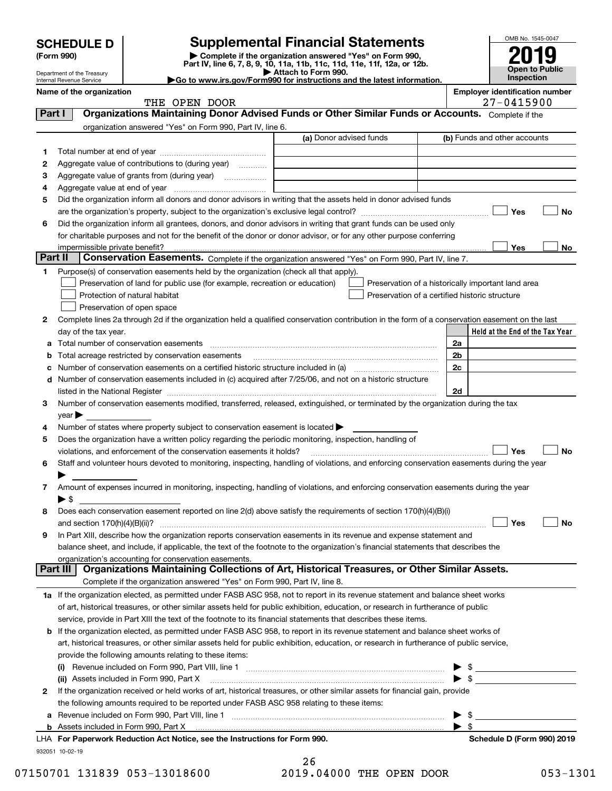| <b>SCHEDULE D</b> |  |
|-------------------|--|
|-------------------|--|

Department of the Treasury Internal Revenue Service

| (Form 990) |  |
|------------|--|
|------------|--|

# **SCHEDULE D Supplemental Financial Statements**

(Form 990)<br>
Pepartment of the Treasury<br>
Department of the Treasury<br>
Department of the Treasury<br>
Department of the Treasury<br> **Co to www.irs.gov/Form990 for instructions and the latest information.**<br> **Co to www.irs.gov/Form9** 



**Name of the organization**<br>**Represents the organization Employer identification number**<br>
27 – 0415900

|         | THE OPEN DOOR                                                                                                                                  |                         | $27 - 0415900$                                     |
|---------|------------------------------------------------------------------------------------------------------------------------------------------------|-------------------------|----------------------------------------------------|
| Part I  | Organizations Maintaining Donor Advised Funds or Other Similar Funds or Accounts. Complete if the                                              |                         |                                                    |
|         | organization answered "Yes" on Form 990, Part IV, line 6.                                                                                      |                         |                                                    |
|         |                                                                                                                                                | (a) Donor advised funds | (b) Funds and other accounts                       |
| 1       |                                                                                                                                                |                         |                                                    |
| 2       | Aggregate value of contributions to (during year)                                                                                              |                         |                                                    |
| з       |                                                                                                                                                |                         |                                                    |
| 4       |                                                                                                                                                |                         |                                                    |
|         | Did the organization inform all donors and donor advisors in writing that the assets held in donor advised funds                               |                         |                                                    |
| 5       |                                                                                                                                                |                         |                                                    |
|         |                                                                                                                                                |                         | Yes<br>No                                          |
| 6       | Did the organization inform all grantees, donors, and donor advisors in writing that grant funds can be used only                              |                         |                                                    |
|         | for charitable purposes and not for the benefit of the donor or donor advisor, or for any other purpose conferring                             |                         |                                                    |
| Part II | impermissible private benefit?                                                                                                                 |                         | Yes<br>No                                          |
|         | <b>Conservation Easements.</b> Complete if the organization answered "Yes" on Form 990, Part IV, line 7.                                       |                         |                                                    |
| 1.      | Purpose(s) of conservation easements held by the organization (check all that apply).                                                          |                         |                                                    |
|         | Preservation of land for public use (for example, recreation or education)                                                                     |                         | Preservation of a historically important land area |
|         | Protection of natural habitat                                                                                                                  |                         | Preservation of a certified historic structure     |
|         | Preservation of open space                                                                                                                     |                         |                                                    |
| 2       | Complete lines 2a through 2d if the organization held a qualified conservation contribution in the form of a conservation easement on the last |                         |                                                    |
|         | day of the tax year.                                                                                                                           |                         | Held at the End of the Tax Year                    |
| а       | Total number of conservation easements                                                                                                         |                         | 2a                                                 |
|         | Total acreage restricted by conservation easements                                                                                             |                         | 2b                                                 |
| с       | Number of conservation easements on a certified historic structure included in (a) <i>mummumumumum</i>                                         |                         | 2c                                                 |
| d       | Number of conservation easements included in (c) acquired after 7/25/06, and not on a historic structure                                       |                         |                                                    |
|         |                                                                                                                                                |                         | 2d                                                 |
| з       | Number of conservation easements modified, transferred, released, extinguished, or terminated by the organization during the tax               |                         |                                                    |
|         | $year \triangleright$                                                                                                                          |                         |                                                    |
| 4       | Number of states where property subject to conservation easement is located >                                                                  |                         |                                                    |
| 5       | Does the organization have a written policy regarding the periodic monitoring, inspection, handling of                                         |                         |                                                    |
|         | violations, and enforcement of the conservation easements it holds?                                                                            |                         | Yes<br>No                                          |
| 6       | Staff and volunteer hours devoted to monitoring, inspecting, handling of violations, and enforcing conservation easements during the year      |                         |                                                    |
|         |                                                                                                                                                |                         |                                                    |
| 7       | Amount of expenses incurred in monitoring, inspecting, handling of violations, and enforcing conservation easements during the year            |                         |                                                    |
|         | $\blacktriangleright$ s                                                                                                                        |                         |                                                    |
| 8       | Does each conservation easement reported on line 2(d) above satisfy the requirements of section 170(h)(4)(B)(i)                                |                         |                                                    |
|         | and section $170(h)(4)(B)(ii)?$                                                                                                                |                         | Yes<br>No                                          |
| 9       | In Part XIII, describe how the organization reports conservation easements in its revenue and expense statement and                            |                         |                                                    |
|         | balance sheet, and include, if applicable, the text of the footnote to the organization's financial statements that describes the              |                         |                                                    |
|         | organization's accounting for conservation easements.                                                                                          |                         |                                                    |
|         | Organizations Maintaining Collections of Art, Historical Treasures, or Other Similar Assets.<br>Part III                                       |                         |                                                    |
|         | Complete if the organization answered "Yes" on Form 990, Part IV, line 8.                                                                      |                         |                                                    |
|         | 1a If the organization elected, as permitted under FASB ASC 958, not to report in its revenue statement and balance sheet works                |                         |                                                    |
|         | of art, historical treasures, or other similar assets held for public exhibition, education, or research in furtherance of public              |                         |                                                    |
|         | service, provide in Part XIII the text of the footnote to its financial statements that describes these items.                                 |                         |                                                    |
|         | <b>b</b> If the organization elected, as permitted under FASB ASC 958, to report in its revenue statement and balance sheet works of           |                         |                                                    |
|         | art, historical treasures, or other similar assets held for public exhibition, education, or research in furtherance of public service,        |                         |                                                    |
|         | provide the following amounts relating to these items:                                                                                         |                         |                                                    |
|         |                                                                                                                                                |                         | \$                                                 |
|         | (ii) Assets included in Form 990, Part X                                                                                                       |                         | $\blacktriangleright$ \$                           |
| 2       | If the organization received or held works of art, historical treasures, or other similar assets for financial gain, provide                   |                         |                                                    |
|         | the following amounts required to be reported under FASB ASC 958 relating to these items:                                                      |                         |                                                    |
|         | a Revenue included on Form 990, Part VIII, line 1 [2000] [2000] [2000] [2000] [2000] [2000] [2000] [2000] [2000                                |                         | \$                                                 |
|         |                                                                                                                                                |                         | $\blacktriangleright$ s                            |
|         | LHA For Paperwork Reduction Act Notice, see the Instructions for Form 990.                                                                     |                         | Schedule D (Form 990) 2019                         |
|         | 932051 10-02-19                                                                                                                                |                         |                                                    |
|         |                                                                                                                                                | つん                      |                                                    |

| ZU                     |  |  |
|------------------------|--|--|
| 1019.04000 THE OPEN DO |  |  |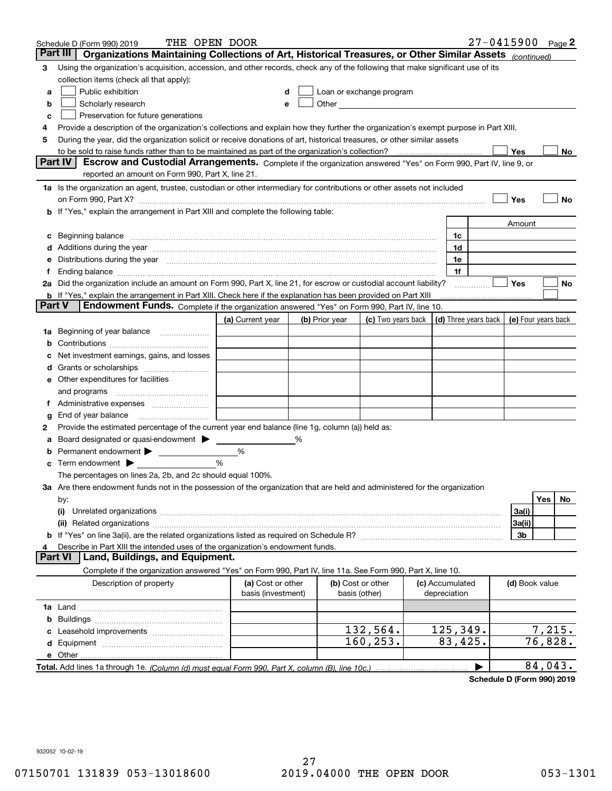|        | THE OPEN DOOR<br>Schedule D (Form 990) 2019                                                                                                                                                                                    |                                         |   |                |                                                                                                                                                                                                                               |                                 | $27 - 0415900$ Page 2 |                     |         |    |
|--------|--------------------------------------------------------------------------------------------------------------------------------------------------------------------------------------------------------------------------------|-----------------------------------------|---|----------------|-------------------------------------------------------------------------------------------------------------------------------------------------------------------------------------------------------------------------------|---------------------------------|-----------------------|---------------------|---------|----|
|        | Part III<br>Organizations Maintaining Collections of Art, Historical Treasures, or Other Similar Assets (continued)                                                                                                            |                                         |   |                |                                                                                                                                                                                                                               |                                 |                       |                     |         |    |
| 3      | Using the organization's acquisition, accession, and other records, check any of the following that make significant use of its                                                                                                |                                         |   |                |                                                                                                                                                                                                                               |                                 |                       |                     |         |    |
|        | collection items (check all that apply):                                                                                                                                                                                       |                                         |   |                |                                                                                                                                                                                                                               |                                 |                       |                     |         |    |
| a      | Public exhibition                                                                                                                                                                                                              | d                                       |   |                | Loan or exchange program                                                                                                                                                                                                      |                                 |                       |                     |         |    |
| b      | Scholarly research                                                                                                                                                                                                             | е                                       |   |                | Other and the contract of the contract of the contract of the contract of the contract of the contract of the contract of the contract of the contract of the contract of the contract of the contract of the contract of the |                                 |                       |                     |         |    |
| c      | Preservation for future generations                                                                                                                                                                                            |                                         |   |                |                                                                                                                                                                                                                               |                                 |                       |                     |         |    |
| 4      | Provide a description of the organization's collections and explain how they further the organization's exempt purpose in Part XIII.                                                                                           |                                         |   |                |                                                                                                                                                                                                                               |                                 |                       |                     |         |    |
| 5      | During the year, did the organization solicit or receive donations of art, historical treasures, or other similar assets                                                                                                       |                                         |   |                |                                                                                                                                                                                                                               |                                 |                       |                     |         |    |
|        | to be sold to raise funds rather than to be maintained as part of the organization's collection?                                                                                                                               |                                         |   |                |                                                                                                                                                                                                                               |                                 |                       | Yes                 |         | No |
|        | <b>Part IV</b><br>Escrow and Custodial Arrangements. Complete if the organization answered "Yes" on Form 990, Part IV, line 9, or                                                                                              |                                         |   |                |                                                                                                                                                                                                                               |                                 |                       |                     |         |    |
|        | reported an amount on Form 990, Part X, line 21.                                                                                                                                                                               |                                         |   |                |                                                                                                                                                                                                                               |                                 |                       |                     |         |    |
|        | 1a Is the organization an agent, trustee, custodian or other intermediary for contributions or other assets not included                                                                                                       |                                         |   |                |                                                                                                                                                                                                                               |                                 |                       |                     |         |    |
|        | on Form 990, Part X? [11] matter contracts and contracts and contracts are contracted as a function of the set of the set of the set of the set of the set of the set of the set of the set of the set of the set of the set o |                                         |   |                |                                                                                                                                                                                                                               |                                 |                       | Yes                 |         | No |
|        | If "Yes," explain the arrangement in Part XIII and complete the following table:                                                                                                                                               |                                         |   |                |                                                                                                                                                                                                                               |                                 |                       |                     |         |    |
|        |                                                                                                                                                                                                                                |                                         |   |                |                                                                                                                                                                                                                               |                                 |                       | Amount              |         |    |
| c      | Beginning balance                                                                                                                                                                                                              |                                         |   |                |                                                                                                                                                                                                                               | 1c                              |                       |                     |         |    |
| d      | Additions during the year manufactured and an annual contract of the year manufactured and all the year manufactured and all the year manufactured and all the year manufactured and all the year manufactured and all the yea |                                         |   |                |                                                                                                                                                                                                                               | 1d                              |                       |                     |         |    |
| е      | Distributions during the year measurement contains and all the state of the state of the state of the state of                                                                                                                 |                                         |   |                |                                                                                                                                                                                                                               | 1e                              |                       |                     |         |    |
|        | Ending balance manufactured and contact the contract of the contract of the contract of the contract of the contract of the contract of the contract of the contract of the contract of the contract of the contract of the co |                                         |   |                |                                                                                                                                                                                                                               | 1f                              |                       | Yes                 |         |    |
|        | 2a Did the organization include an amount on Form 990, Part X, line 21, for escrow or custodial account liability?                                                                                                             |                                         |   |                |                                                                                                                                                                                                                               |                                 |                       |                     |         | No |
| Part V | <b>b</b> If "Yes," explain the arrangement in Part XIII. Check here if the explanation has been provided on Part XIII<br>Endowment Funds. Complete if the organization answered "Yes" on Form 990, Part IV, line 10.           |                                         |   |                |                                                                                                                                                                                                                               |                                 |                       |                     |         |    |
|        |                                                                                                                                                                                                                                | (a) Current year                        |   | (b) Prior year | (c) Two years back                                                                                                                                                                                                            |                                 | (d) Three years back  | (e) Four years back |         |    |
| 1a     | Beginning of year balance                                                                                                                                                                                                      |                                         |   |                |                                                                                                                                                                                                                               |                                 |                       |                     |         |    |
| b      |                                                                                                                                                                                                                                |                                         |   |                |                                                                                                                                                                                                                               |                                 |                       |                     |         |    |
|        | Net investment earnings, gains, and losses                                                                                                                                                                                     |                                         |   |                |                                                                                                                                                                                                                               |                                 |                       |                     |         |    |
| a      |                                                                                                                                                                                                                                |                                         |   |                |                                                                                                                                                                                                                               |                                 |                       |                     |         |    |
| е      | Other expenditures for facilities                                                                                                                                                                                              |                                         |   |                |                                                                                                                                                                                                                               |                                 |                       |                     |         |    |
|        | and programs                                                                                                                                                                                                                   |                                         |   |                |                                                                                                                                                                                                                               |                                 |                       |                     |         |    |
| Ť.     |                                                                                                                                                                                                                                |                                         |   |                |                                                                                                                                                                                                                               |                                 |                       |                     |         |    |
| g      | End of year balance                                                                                                                                                                                                            |                                         |   |                |                                                                                                                                                                                                                               |                                 |                       |                     |         |    |
| 2      | Provide the estimated percentage of the current year end balance (line 1g, column (a)) held as:                                                                                                                                |                                         |   |                |                                                                                                                                                                                                                               |                                 |                       |                     |         |    |
|        | Board designated or quasi-endowment > ____                                                                                                                                                                                     |                                         | % |                |                                                                                                                                                                                                                               |                                 |                       |                     |         |    |
| b      |                                                                                                                                                                                                                                | %                                       |   |                |                                                                                                                                                                                                                               |                                 |                       |                     |         |    |
| c      | Term endowment $\blacktriangleright$                                                                                                                                                                                           | %                                       |   |                |                                                                                                                                                                                                                               |                                 |                       |                     |         |    |
|        | The percentages on lines 2a, 2b, and 2c should equal 100%.                                                                                                                                                                     |                                         |   |                |                                                                                                                                                                                                                               |                                 |                       |                     |         |    |
|        | 3a Are there endowment funds not in the possession of the organization that are held and administered for the organization                                                                                                     |                                         |   |                |                                                                                                                                                                                                                               |                                 |                       |                     |         |    |
|        | by:                                                                                                                                                                                                                            |                                         |   |                |                                                                                                                                                                                                                               |                                 |                       |                     | Yes     | No |
|        | (i)                                                                                                                                                                                                                            |                                         |   |                |                                                                                                                                                                                                                               |                                 |                       | 3a(i)               |         |    |
|        |                                                                                                                                                                                                                                |                                         |   |                |                                                                                                                                                                                                                               |                                 |                       | 3a(ii)              |         |    |
| b      | If "Yes" on line 3a(ii), are the related organizations listed as required on Schedule R?                                                                                                                                       |                                         |   |                |                                                                                                                                                                                                                               |                                 |                       | 3b                  |         |    |
| 4      | Describe in Part XIII the intended uses of the organization's endowment funds.                                                                                                                                                 |                                         |   |                |                                                                                                                                                                                                                               |                                 |                       |                     |         |    |
|        | Land, Buildings, and Equipment.<br>Part VI                                                                                                                                                                                     |                                         |   |                |                                                                                                                                                                                                                               |                                 |                       |                     |         |    |
|        | Complete if the organization answered "Yes" on Form 990, Part IV, line 11a. See Form 990, Part X, line 10.                                                                                                                     |                                         |   |                |                                                                                                                                                                                                                               |                                 |                       |                     |         |    |
|        | Description of property                                                                                                                                                                                                        | (a) Cost or other<br>basis (investment) |   |                | (b) Cost or other<br>basis (other)                                                                                                                                                                                            | (c) Accumulated<br>depreciation |                       | (d) Book value      |         |    |
|        |                                                                                                                                                                                                                                |                                         |   |                |                                                                                                                                                                                                                               |                                 |                       |                     |         |    |
| b      |                                                                                                                                                                                                                                |                                         |   |                |                                                                                                                                                                                                                               |                                 |                       |                     |         |    |
|        |                                                                                                                                                                                                                                |                                         |   |                | 132,564.                                                                                                                                                                                                                      | 125,349.                        |                       |                     | 7,215.  |    |
|        |                                                                                                                                                                                                                                |                                         |   |                | 160, 253.                                                                                                                                                                                                                     | 83,425.                         |                       |                     | 76,828. |    |
|        | e Other                                                                                                                                                                                                                        |                                         |   |                |                                                                                                                                                                                                                               |                                 |                       |                     |         |    |
|        | Total. Add lines 1a through 1e. (Column (d) must equal Form 990. Part X, column (B), line 10c.)                                                                                                                                |                                         |   |                |                                                                                                                                                                                                                               |                                 |                       |                     | 84,043. |    |

**Schedule D (Form 990) 2019**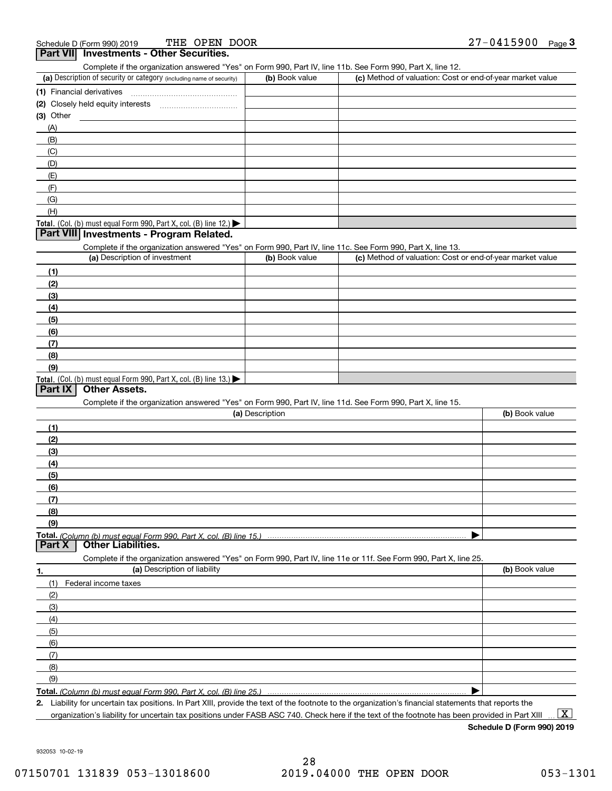| THE OPEN DOOR<br>Schedule D (Form 990) 2019                                                                                                                                                                                |                 |                                                           | 27-0415900<br>$Page$ 3 |
|----------------------------------------------------------------------------------------------------------------------------------------------------------------------------------------------------------------------------|-----------------|-----------------------------------------------------------|------------------------|
| Part VII Investments - Other Securities.                                                                                                                                                                                   |                 |                                                           |                        |
| Complete if the organization answered "Yes" on Form 990, Part IV, line 11b. See Form 990, Part X, line 12.                                                                                                                 |                 |                                                           |                        |
| (a) Description of security or category (including name of security)                                                                                                                                                       | (b) Book value  | (c) Method of valuation: Cost or end-of-year market value |                        |
| (1) Financial derivatives                                                                                                                                                                                                  |                 |                                                           |                        |
|                                                                                                                                                                                                                            |                 |                                                           |                        |
| $(3)$ Other                                                                                                                                                                                                                |                 |                                                           |                        |
| (A)                                                                                                                                                                                                                        |                 |                                                           |                        |
| (B)                                                                                                                                                                                                                        |                 |                                                           |                        |
| (C)                                                                                                                                                                                                                        |                 |                                                           |                        |
| (D)                                                                                                                                                                                                                        |                 |                                                           |                        |
| (E)                                                                                                                                                                                                                        |                 |                                                           |                        |
| (F)                                                                                                                                                                                                                        |                 |                                                           |                        |
| (G)                                                                                                                                                                                                                        |                 |                                                           |                        |
| (H)                                                                                                                                                                                                                        |                 |                                                           |                        |
| Total. (Col. (b) must equal Form 990, Part X, col. (B) line 12.)                                                                                                                                                           |                 |                                                           |                        |
| Part VIII Investments - Program Related.                                                                                                                                                                                   |                 |                                                           |                        |
| Complete if the organization answered "Yes" on Form 990, Part IV, line 11c. See Form 990, Part X, line 13.                                                                                                                 |                 |                                                           |                        |
| (a) Description of investment                                                                                                                                                                                              | (b) Book value  | (c) Method of valuation: Cost or end-of-year market value |                        |
| (1)                                                                                                                                                                                                                        |                 |                                                           |                        |
| (2)                                                                                                                                                                                                                        |                 |                                                           |                        |
| (3)                                                                                                                                                                                                                        |                 |                                                           |                        |
| (4)                                                                                                                                                                                                                        |                 |                                                           |                        |
| (5)                                                                                                                                                                                                                        |                 |                                                           |                        |
| (6)                                                                                                                                                                                                                        |                 |                                                           |                        |
| (7)                                                                                                                                                                                                                        |                 |                                                           |                        |
| (8)                                                                                                                                                                                                                        |                 |                                                           |                        |
| (9)                                                                                                                                                                                                                        |                 |                                                           |                        |
| Total. (Col. (b) must equal Form 990, Part X, col. (B) line 13.)                                                                                                                                                           |                 |                                                           |                        |
| <b>Other Assets.</b><br>Part IX                                                                                                                                                                                            |                 |                                                           |                        |
| Complete if the organization answered "Yes" on Form 990, Part IV, line 11d. See Form 990, Part X, line 15.                                                                                                                 |                 |                                                           |                        |
|                                                                                                                                                                                                                            | (a) Description |                                                           | (b) Book value         |
| (1)                                                                                                                                                                                                                        |                 |                                                           |                        |
| (2)                                                                                                                                                                                                                        |                 |                                                           |                        |
| (3)                                                                                                                                                                                                                        |                 |                                                           |                        |
| (4)                                                                                                                                                                                                                        |                 |                                                           |                        |
| (5)                                                                                                                                                                                                                        |                 |                                                           |                        |
| (6)                                                                                                                                                                                                                        |                 |                                                           |                        |
| (7)                                                                                                                                                                                                                        |                 |                                                           |                        |
| (8)                                                                                                                                                                                                                        |                 |                                                           |                        |
| (9)                                                                                                                                                                                                                        |                 |                                                           |                        |
| Total. (Column (b) must equal Form 990. Part X, col. (B) line 15.)                                                                                                                                                         |                 |                                                           |                        |
| <b>Other Liabilities.</b><br>Part X                                                                                                                                                                                        |                 |                                                           |                        |
| Complete if the organization answered "Yes" on Form 990, Part IV, line 11e or 11f. See Form 990, Part X, line 25.                                                                                                          |                 |                                                           |                        |
| (a) Description of liability<br>1.                                                                                                                                                                                         |                 |                                                           | (b) Book value         |
| (1)<br>Federal income taxes                                                                                                                                                                                                |                 |                                                           |                        |
| (2)                                                                                                                                                                                                                        |                 |                                                           |                        |
| (3)                                                                                                                                                                                                                        |                 |                                                           |                        |
| (4)                                                                                                                                                                                                                        |                 |                                                           |                        |
| (5)                                                                                                                                                                                                                        |                 |                                                           |                        |
| (6)                                                                                                                                                                                                                        |                 |                                                           |                        |
| (7)                                                                                                                                                                                                                        |                 |                                                           |                        |
| (8)                                                                                                                                                                                                                        |                 |                                                           |                        |
| (9)                                                                                                                                                                                                                        |                 |                                                           |                        |
|                                                                                                                                                                                                                            |                 |                                                           |                        |
| Total. (Column (b) must equal Form 990. Part X, col. (B) line 25.)<br>2. Liability for uncertain tax positions. In Part XIII, provide the text of the footnote to the organization's financial statements that reports the |                 |                                                           |                        |
|                                                                                                                                                                                                                            |                 |                                                           |                        |

organization's liability for uncertain tax positions under FASB ASC 740. Check here if the text of the footnote has been provided in Part XIII.

**Schedule D (Form 990) 2019**

932053 10-02-19

 $\boxed{\text{X}}$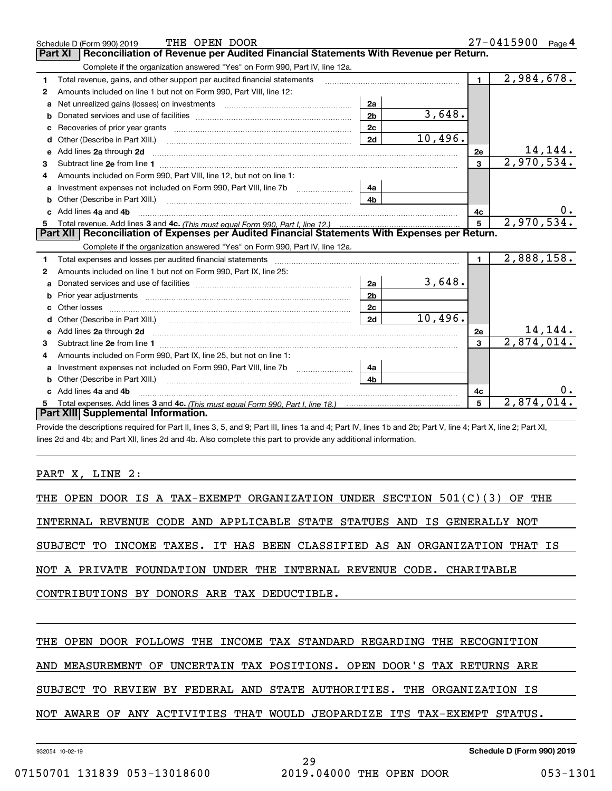|                                                                                                  | THE OPEN DOOR<br>Schedule D (Form 990) 2019                                                                                                                                                                                    |                |            |              | 27-0415900 Page 4      |  |  |  |
|--------------------------------------------------------------------------------------------------|--------------------------------------------------------------------------------------------------------------------------------------------------------------------------------------------------------------------------------|----------------|------------|--------------|------------------------|--|--|--|
|                                                                                                  | Reconciliation of Revenue per Audited Financial Statements With Revenue per Return.<br><b>Part XI</b>                                                                                                                          |                |            |              |                        |  |  |  |
|                                                                                                  | Complete if the organization answered "Yes" on Form 990, Part IV, line 12a.                                                                                                                                                    |                |            |              |                        |  |  |  |
| 1                                                                                                | Total revenue, gains, and other support per audited financial statements                                                                                                                                                       |                |            | 1            | 2,984,678.             |  |  |  |
| 2                                                                                                | Amounts included on line 1 but not on Form 990, Part VIII, line 12:                                                                                                                                                            |                |            |              |                        |  |  |  |
| a                                                                                                |                                                                                                                                                                                                                                | 2a             |            |              |                        |  |  |  |
| b                                                                                                |                                                                                                                                                                                                                                | 2 <sub>b</sub> | 3,648.     |              |                        |  |  |  |
| c                                                                                                |                                                                                                                                                                                                                                | 2c             |            |              |                        |  |  |  |
| d                                                                                                | Other (Describe in Part XIII.)                                                                                                                                                                                                 | 2d             | 10,496.    |              |                        |  |  |  |
| е                                                                                                | Add lines 2a through 2d                                                                                                                                                                                                        |                |            | 2e           | 14,144.                |  |  |  |
| 3                                                                                                |                                                                                                                                                                                                                                |                |            | $\mathbf{3}$ | 2,970,534.             |  |  |  |
| 4                                                                                                | Amounts included on Form 990, Part VIII, line 12, but not on line 1:                                                                                                                                                           |                |            |              |                        |  |  |  |
| a                                                                                                | Investment expenses not included on Form 990, Part VIII, line 7b [11, 111, 111, 111]                                                                                                                                           | 4a             |            |              |                        |  |  |  |
| b                                                                                                | Other (Describe in Part XIII.) <b>Construction Contract Construction</b> Chern Construction Construction Construction                                                                                                          | 4 <sub>b</sub> |            |              |                        |  |  |  |
| c.                                                                                               | Add lines 4a and 4b                                                                                                                                                                                                            |                |            | 4с           |                        |  |  |  |
| 5                                                                                                |                                                                                                                                                                                                                                | 5              | 2,970,534. |              |                        |  |  |  |
| Part XII   Reconciliation of Expenses per Audited Financial Statements With Expenses per Return. |                                                                                                                                                                                                                                |                |            |              |                        |  |  |  |
|                                                                                                  |                                                                                                                                                                                                                                |                |            |              |                        |  |  |  |
|                                                                                                  | Complete if the organization answered "Yes" on Form 990, Part IV, line 12a.                                                                                                                                                    |                |            |              |                        |  |  |  |
| 1                                                                                                | Total expenses and losses per audited financial statements [11] [12] manuscription control expenses and losses per audited financial statements [12] [12] manuscription of the statements [12] manuscription of the statements |                |            | $\mathbf{1}$ | 2,888,158.             |  |  |  |
| 2                                                                                                | Amounts included on line 1 but not on Form 990, Part IX, line 25:                                                                                                                                                              |                |            |              |                        |  |  |  |
| a                                                                                                |                                                                                                                                                                                                                                | 2a             | 3,648.     |              |                        |  |  |  |
| b                                                                                                |                                                                                                                                                                                                                                | 2 <sub>b</sub> |            |              |                        |  |  |  |
| c                                                                                                |                                                                                                                                                                                                                                | 2c             |            |              |                        |  |  |  |
| d                                                                                                |                                                                                                                                                                                                                                | 2d             | 10,496.    |              |                        |  |  |  |
|                                                                                                  |                                                                                                                                                                                                                                |                |            | 2e           | 14,144.                |  |  |  |
| 3                                                                                                |                                                                                                                                                                                                                                |                |            | $\mathbf{a}$ | 2,874,014.             |  |  |  |
| 4                                                                                                | Amounts included on Form 990, Part IX, line 25, but not on line 1:                                                                                                                                                             |                |            |              |                        |  |  |  |
| a                                                                                                |                                                                                                                                                                                                                                | 4a             |            |              |                        |  |  |  |
| b                                                                                                |                                                                                                                                                                                                                                | 4b             |            |              |                        |  |  |  |
|                                                                                                  | Add lines 4a and 4b                                                                                                                                                                                                            |                |            | 4c           | υ.                     |  |  |  |
|                                                                                                  | Part XIII Supplemental Information.                                                                                                                                                                                            |                |            | 5            | $\overline{2,874,014}$ |  |  |  |

Provide the descriptions required for Part II, lines 3, 5, and 9; Part III, lines 1a and 4; Part IV, lines 1b and 2b; Part V, line 4; Part X, line 2; Part XI, lines 2d and 4b; and Part XII, lines 2d and 4b. Also complete this part to provide any additional information.

PART X, LINE 2:

|  |  |  |  |                                             |  | THE OPEN DOOR IS A TAX-EXEMPT ORGANIZATION UNDER SECTION 501(C)(3) OF THE  |  |
|--|--|--|--|---------------------------------------------|--|----------------------------------------------------------------------------|--|
|  |  |  |  |                                             |  | INTERNAL REVENUE CODE AND APPLICABLE STATE STATUES AND IS GENERALLY NOT    |  |
|  |  |  |  |                                             |  | SUBJECT TO INCOME TAXES. IT HAS BEEN CLASSIFIED AS AN ORGANIZATION THAT IS |  |
|  |  |  |  |                                             |  | NOT A PRIVATE FOUNDATION UNDER THE INTERNAL REVENUE CODE. CHARITABLE       |  |
|  |  |  |  | CONTRIBUTIONS BY DONORS ARE TAX DEDUCTIBLE. |  |                                                                            |  |
|  |  |  |  |                                             |  |                                                                            |  |
|  |  |  |  |                                             |  | THE OPEN DOOR FOLLOWS THE INCOME TAX STANDARD REGARDING THE RECOGNITION    |  |
|  |  |  |  |                                             |  | AND MEASUREMENT OF UNCERTAIN TAX POSITIONS. OPEN DOOR'S TAX RETURNS ARE    |  |

SUBJECT TO REVIEW BY FEDERAL AND STATE AUTHORITIES. THE ORGANIZATION IS

NOT AWARE OF ANY ACTIVITIES THAT WOULD JEOPARDIZE ITS TAX-EXEMPT STATUS.

932054 10-02-19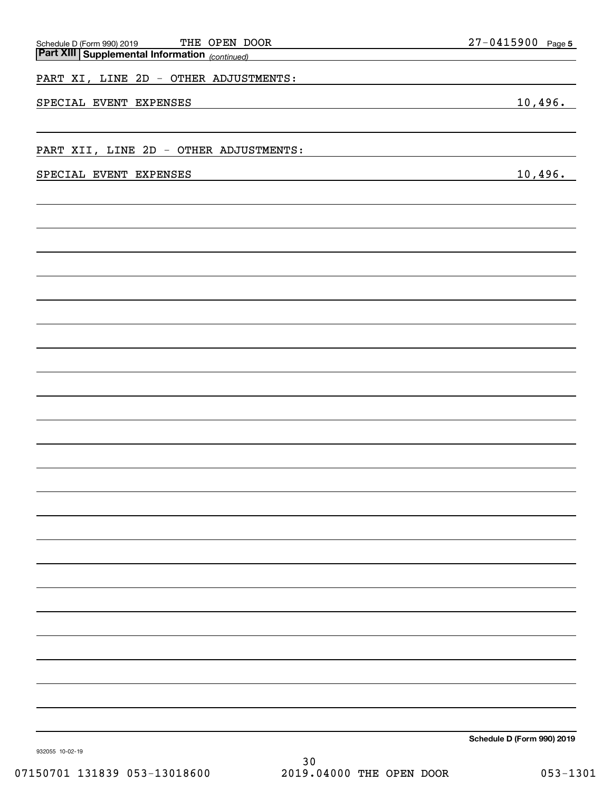| THE OPEN DOOR                                                                           | $27 - 0415900$ Page 5 |
|-----------------------------------------------------------------------------------------|-----------------------|
| Schedule D (Form 990) 2019 THE OPEN D<br>Part XIII Supplemental Information (continued) |                       |
| PART XI, LINE 2D - OTHER ADJUSTMENTS:                                                   |                       |
| SPECIAL EVENT<br><b>EXPENSES</b>                                                        | 10,496.               |
|                                                                                         |                       |
| PART XII, LINE 2D - OTHER ADJUSTMENTS:                                                  |                       |
| SPECIAL EVENT EXPENSES                                                                  | 10,496.               |
|                                                                                         |                       |
|                                                                                         |                       |
|                                                                                         |                       |
|                                                                                         |                       |
|                                                                                         |                       |
|                                                                                         |                       |
|                                                                                         |                       |
|                                                                                         |                       |
|                                                                                         |                       |
|                                                                                         |                       |
|                                                                                         |                       |
|                                                                                         |                       |
|                                                                                         |                       |
|                                                                                         |                       |
|                                                                                         |                       |
|                                                                                         |                       |
|                                                                                         |                       |
|                                                                                         |                       |
|                                                                                         |                       |
|                                                                                         |                       |
|                                                                                         |                       |
|                                                                                         |                       |
|                                                                                         |                       |
|                                                                                         |                       |

**Schedule D (Form 990) 2019**

932055 10-02-19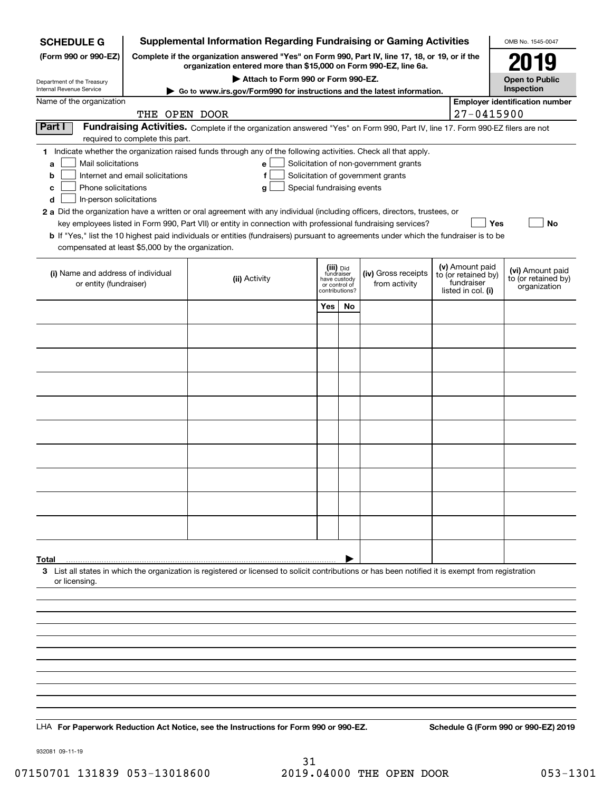| <b>SCHEDULE G</b>                                                                                                                                                                          |                                                                                                                                                                     |               |                                    |                                                 |           | <b>Supplemental Information Regarding Fundraising or Gaming Activities</b>                                                    |  |                                        | OMB No. 1545-0047                                   |  |
|--------------------------------------------------------------------------------------------------------------------------------------------------------------------------------------------|---------------------------------------------------------------------------------------------------------------------------------------------------------------------|---------------|------------------------------------|-------------------------------------------------|-----------|-------------------------------------------------------------------------------------------------------------------------------|--|----------------------------------------|-----------------------------------------------------|--|
| (Form 990 or 990-EZ)                                                                                                                                                                       | Complete if the organization answered "Yes" on Form 990, Part IV, line 17, 18, or 19, or if the<br>organization entered more than \$15,000 on Form 990-EZ, line 6a. |               | 2019                               |                                                 |           |                                                                                                                               |  |                                        |                                                     |  |
| Department of the Treasury                                                                                                                                                                 |                                                                                                                                                                     |               | Attach to Form 990 or Form 990-EZ. |                                                 |           |                                                                                                                               |  |                                        | <b>Open to Public</b>                               |  |
| Internal Revenue Service<br>Name of the organization                                                                                                                                       |                                                                                                                                                                     |               |                                    |                                                 |           | ► Go to www.irs.gov/Form990 for instructions and the latest information.                                                      |  |                                        | Inspection<br><b>Employer identification number</b> |  |
|                                                                                                                                                                                            | THE OPEN DOOR                                                                                                                                                       |               |                                    |                                                 |           |                                                                                                                               |  | 27-0415900                             |                                                     |  |
| Part I                                                                                                                                                                                     |                                                                                                                                                                     |               |                                    |                                                 |           | Fundraising Activities. Complete if the organization answered "Yes" on Form 990, Part IV, line 17. Form 990-EZ filers are not |  |                                        |                                                     |  |
| 1 Indicate whether the organization raised funds through any of the following activities. Check all that apply.                                                                            | required to complete this part.                                                                                                                                     |               |                                    |                                                 |           |                                                                                                                               |  |                                        |                                                     |  |
| Mail solicitations<br>a                                                                                                                                                                    |                                                                                                                                                                     |               | е                                  |                                                 |           | Solicitation of non-government grants                                                                                         |  |                                        |                                                     |  |
| b                                                                                                                                                                                          | Internet and email solicitations                                                                                                                                    |               | f                                  |                                                 |           | Solicitation of government grants                                                                                             |  |                                        |                                                     |  |
| Phone solicitations<br>с                                                                                                                                                                   |                                                                                                                                                                     |               | Special fundraising events<br>g    |                                                 |           |                                                                                                                               |  |                                        |                                                     |  |
| In-person solicitations<br>d<br>2 a Did the organization have a written or oral agreement with any individual (including officers, directors, trustees, or                                 |                                                                                                                                                                     |               |                                    |                                                 |           |                                                                                                                               |  |                                        |                                                     |  |
|                                                                                                                                                                                            |                                                                                                                                                                     |               |                                    |                                                 |           | key employees listed in Form 990, Part VII) or entity in connection with professional fundraising services?                   |  | <b>Yes</b>                             | <b>No</b>                                           |  |
| b If "Yes," list the 10 highest paid individuals or entities (fundraisers) pursuant to agreements under which the fundraiser is to be<br>compensated at least \$5,000 by the organization. |                                                                                                                                                                     |               |                                    |                                                 |           |                                                                                                                               |  |                                        |                                                     |  |
|                                                                                                                                                                                            |                                                                                                                                                                     |               |                                    |                                                 |           |                                                                                                                               |  |                                        |                                                     |  |
| (i) Name and address of individual                                                                                                                                                         |                                                                                                                                                                     | (ii) Activity |                                    | (iii) Did<br>fundraiser                         |           | (iv) Gross receipts                                                                                                           |  | (v) Amount paid<br>to (or retained by) | (vi) Amount paid<br>to (or retained by)             |  |
| or entity (fundraiser)                                                                                                                                                                     |                                                                                                                                                                     |               |                                    | have custody<br>or control of<br>contributions? |           | from activity                                                                                                                 |  | fundraiser<br>listed in col. (i)       | organization                                        |  |
|                                                                                                                                                                                            |                                                                                                                                                                     |               |                                    | Yes                                             | <b>No</b> |                                                                                                                               |  |                                        |                                                     |  |
|                                                                                                                                                                                            |                                                                                                                                                                     |               |                                    |                                                 |           |                                                                                                                               |  |                                        |                                                     |  |
|                                                                                                                                                                                            |                                                                                                                                                                     |               |                                    |                                                 |           |                                                                                                                               |  |                                        |                                                     |  |
|                                                                                                                                                                                            |                                                                                                                                                                     |               |                                    |                                                 |           |                                                                                                                               |  |                                        |                                                     |  |
|                                                                                                                                                                                            |                                                                                                                                                                     |               |                                    |                                                 |           |                                                                                                                               |  |                                        |                                                     |  |
|                                                                                                                                                                                            |                                                                                                                                                                     |               |                                    |                                                 |           |                                                                                                                               |  |                                        |                                                     |  |
|                                                                                                                                                                                            |                                                                                                                                                                     |               |                                    |                                                 |           |                                                                                                                               |  |                                        |                                                     |  |
|                                                                                                                                                                                            |                                                                                                                                                                     |               |                                    |                                                 |           |                                                                                                                               |  |                                        |                                                     |  |
|                                                                                                                                                                                            |                                                                                                                                                                     |               |                                    |                                                 |           |                                                                                                                               |  |                                        |                                                     |  |
|                                                                                                                                                                                            |                                                                                                                                                                     |               |                                    |                                                 |           |                                                                                                                               |  |                                        |                                                     |  |
|                                                                                                                                                                                            |                                                                                                                                                                     |               |                                    |                                                 |           |                                                                                                                               |  |                                        |                                                     |  |
|                                                                                                                                                                                            |                                                                                                                                                                     |               |                                    |                                                 |           |                                                                                                                               |  |                                        |                                                     |  |
|                                                                                                                                                                                            |                                                                                                                                                                     |               |                                    |                                                 |           |                                                                                                                               |  |                                        |                                                     |  |
|                                                                                                                                                                                            |                                                                                                                                                                     |               |                                    |                                                 |           |                                                                                                                               |  |                                        |                                                     |  |
|                                                                                                                                                                                            |                                                                                                                                                                     |               |                                    |                                                 |           |                                                                                                                               |  |                                        |                                                     |  |
|                                                                                                                                                                                            |                                                                                                                                                                     |               |                                    |                                                 |           |                                                                                                                               |  |                                        |                                                     |  |
| Total<br>3 List all states in which the organization is registered or licensed to solicit contributions or has been notified it is exempt from registration                                |                                                                                                                                                                     |               |                                    |                                                 |           |                                                                                                                               |  |                                        |                                                     |  |
| or licensing.                                                                                                                                                                              |                                                                                                                                                                     |               |                                    |                                                 |           |                                                                                                                               |  |                                        |                                                     |  |
|                                                                                                                                                                                            |                                                                                                                                                                     |               |                                    |                                                 |           |                                                                                                                               |  |                                        |                                                     |  |
|                                                                                                                                                                                            |                                                                                                                                                                     |               |                                    |                                                 |           |                                                                                                                               |  |                                        |                                                     |  |
|                                                                                                                                                                                            |                                                                                                                                                                     |               |                                    |                                                 |           |                                                                                                                               |  |                                        |                                                     |  |
|                                                                                                                                                                                            |                                                                                                                                                                     |               |                                    |                                                 |           |                                                                                                                               |  |                                        |                                                     |  |
|                                                                                                                                                                                            |                                                                                                                                                                     |               |                                    |                                                 |           |                                                                                                                               |  |                                        |                                                     |  |
|                                                                                                                                                                                            |                                                                                                                                                                     |               |                                    |                                                 |           |                                                                                                                               |  |                                        |                                                     |  |
|                                                                                                                                                                                            |                                                                                                                                                                     |               |                                    |                                                 |           |                                                                                                                               |  |                                        |                                                     |  |
|                                                                                                                                                                                            |                                                                                                                                                                     |               |                                    |                                                 |           |                                                                                                                               |  |                                        |                                                     |  |
| LHA For Paperwork Reduction Act Notice, see the Instructions for Form 990 or 990-EZ.                                                                                                       |                                                                                                                                                                     |               |                                    |                                                 |           |                                                                                                                               |  |                                        | Schedule G (Form 990 or 990-EZ) 2019                |  |

932081 09-11-19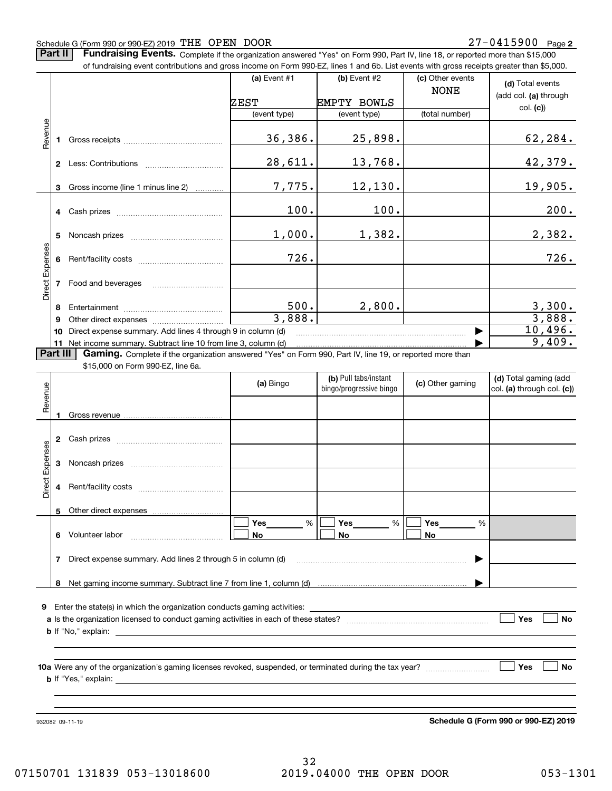#### Schedule G (Form 990 or 990-EZ) 2019 Page THE OPEN DOOR 27-0415900

**Part II** | Fundraising Events. Complete if the organization answered "Yes" on Form 990, Part IV, line 18, or reported more than \$15,000

|                 |          | of fundraising event contributions and gross income on Form 990-EZ, lines 1 and 6b. List events with gross receipts greater than \$5,000. |                |                                                  |                                 |                                                     |
|-----------------|----------|-------------------------------------------------------------------------------------------------------------------------------------------|----------------|--------------------------------------------------|---------------------------------|-----------------------------------------------------|
|                 |          |                                                                                                                                           | (a) Event $#1$ | (b) Event #2                                     | (c) Other events<br><b>NONE</b> | (d) Total events                                    |
|                 |          |                                                                                                                                           | ZEST           | <b>EMPTY BOWLS</b>                               |                                 | (add col. (a) through                               |
|                 |          |                                                                                                                                           | (event type)   | (event type)                                     | (total number)                  | col. (c)                                            |
| Revenue         |          |                                                                                                                                           | 36,386.        | 25,898.                                          |                                 | 62, 284.                                            |
|                 |          |                                                                                                                                           | 28,611.        | 13,768.                                          |                                 | 42,379.                                             |
|                 |          | 3 Gross income (line 1 minus line 2)                                                                                                      | 7,775.         | 12,130.                                          |                                 | 19,905.                                             |
|                 |          |                                                                                                                                           | 100.           | 100.                                             |                                 | 200.                                                |
|                 | 5.       |                                                                                                                                           | 1,000.         | 1,382.                                           |                                 | 2,382.                                              |
| Direct Expenses |          |                                                                                                                                           | 726.           |                                                  |                                 | 726.                                                |
|                 |          | 7 Food and beverages                                                                                                                      |                |                                                  |                                 |                                                     |
|                 |          |                                                                                                                                           | 500.<br>3,888. | 2,800.                                           |                                 | $\frac{3,300}{3,888}$                               |
|                 | 9<br>10  | Direct expense summary. Add lines 4 through 9 in column (d)                                                                               |                |                                                  | ▶                               | 10,496.                                             |
|                 |          | 11 Net income summary. Subtract line 10 from line 3, column (d)                                                                           |                |                                                  |                                 | 9,409.                                              |
|                 | Part III | Gaming. Complete if the organization answered "Yes" on Form 990, Part IV, line 19, or reported more than                                  |                |                                                  |                                 |                                                     |
|                 |          | \$15,000 on Form 990-EZ, line 6a.                                                                                                         |                |                                                  |                                 |                                                     |
|                 |          |                                                                                                                                           | (a) Bingo      | (b) Pull tabs/instant<br>bingo/progressive bingo | (c) Other gaming                | (d) Total gaming (add<br>col. (a) through col. (c)) |
| Revenue         |          |                                                                                                                                           |                |                                                  |                                 |                                                     |
|                 |          |                                                                                                                                           |                |                                                  |                                 |                                                     |
|                 |          |                                                                                                                                           |                |                                                  |                                 |                                                     |
| Expenses        |          |                                                                                                                                           |                |                                                  |                                 |                                                     |
| Direct          |          |                                                                                                                                           |                |                                                  |                                 |                                                     |
|                 | 5        | Other direct expenses                                                                                                                     |                |                                                  |                                 |                                                     |
|                 |          |                                                                                                                                           | $\%$<br>Yes    | %<br>Yes                                         | %<br>Yes                        |                                                     |
|                 | 6        | Volunteer labor                                                                                                                           | No             | No                                               | No                              |                                                     |
|                 | 7        | Direct expense summary. Add lines 2 through 5 in column (d)                                                                               |                |                                                  |                                 |                                                     |
|                 | 8        |                                                                                                                                           |                |                                                  |                                 |                                                     |
|                 |          |                                                                                                                                           |                |                                                  |                                 |                                                     |
| 9               |          | Enter the state(s) in which the organization conducts gaming activities:                                                                  |                |                                                  |                                 |                                                     |

**aYes No** Is the organization licensed to conduct gaming activities in each of these states? ~~~~~~~~~~~~~~~~~~~~ **b**If "No," explain:

**10a** Were any of the organization's gaming licenses revoked, suspended, or terminated during the tax year? \_\_\_\_\_\_\_\_\_\_\_\_\_\_\_\_ **b** If "Yes," explain:

932082 09-11-19

**Schedule G (Form 990 or 990-EZ) 2019**

**Yes No**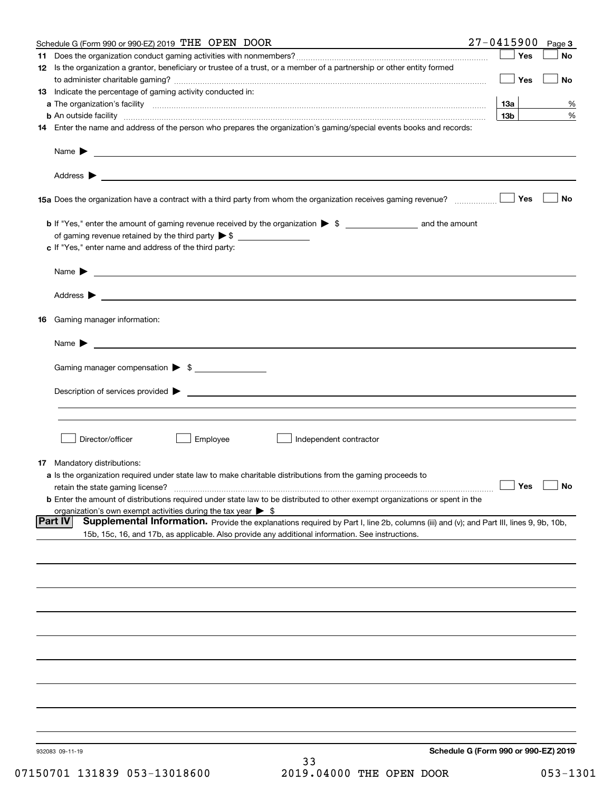|     | Schedule G (Form 990 or 990-EZ) 2019 THE OPEN DOOR                                                                                                                                              | $27 - 0415900$                       | Page 3    |
|-----|-------------------------------------------------------------------------------------------------------------------------------------------------------------------------------------------------|--------------------------------------|-----------|
| 11. |                                                                                                                                                                                                 | Yes                                  | No        |
|     | 12 Is the organization a grantor, beneficiary or trustee of a trust, or a member of a partnership or other entity formed                                                                        |                                      |           |
|     |                                                                                                                                                                                                 | Yes                                  | <b>No</b> |
|     | 13 Indicate the percentage of gaming activity conducted in:                                                                                                                                     |                                      |           |
|     |                                                                                                                                                                                                 | <u>13a</u>                           | %         |
|     | <b>b</b> An outside facility <i>www.communicality www.communicality.communicality www.communicality www.communicality.communicality www.communicality.com</i>                                   | 13 <sub>b</sub>                      | %         |
|     | 14 Enter the name and address of the person who prepares the organization's gaming/special events books and records:                                                                            |                                      |           |
|     |                                                                                                                                                                                                 |                                      |           |
|     |                                                                                                                                                                                                 |                                      |           |
|     | 15a Does the organization have a contract with a third party from whom the organization receives gaming revenue?                                                                                | Yes                                  | No        |
|     | <b>b</b> If "Yes," enter the amount of gaming revenue received by the organization $\triangleright$ \$ ___________________ and the amount                                                       |                                      |           |
|     |                                                                                                                                                                                                 |                                      |           |
|     | c If "Yes," enter name and address of the third party:                                                                                                                                          |                                      |           |
|     | Name $\blacktriangleright$ $\_\_$                                                                                                                                                               |                                      |           |
|     |                                                                                                                                                                                                 |                                      |           |
|     |                                                                                                                                                                                                 |                                      |           |
|     | 16 Gaming manager information:                                                                                                                                                                  |                                      |           |
|     | Name $\triangleright$ $\square$                                                                                                                                                                 |                                      |           |
|     |                                                                                                                                                                                                 |                                      |           |
|     | Gaming manager compensation > \$                                                                                                                                                                |                                      |           |
|     |                                                                                                                                                                                                 |                                      |           |
|     |                                                                                                                                                                                                 |                                      |           |
|     |                                                                                                                                                                                                 |                                      |           |
|     | Director/officer<br>Employee<br>Independent contractor                                                                                                                                          |                                      |           |
|     |                                                                                                                                                                                                 |                                      |           |
|     | 17 Mandatory distributions:                                                                                                                                                                     |                                      |           |
|     | a Is the organization required under state law to make charitable distributions from the gaming proceeds to                                                                                     |                                      |           |
|     | $\Box$ Yes $\Box$ No<br>retain the state gaming license?<br><b>b</b> Enter the amount of distributions required under state law to be distributed to other exempt organizations or spent in the |                                      |           |
|     | organization's own exempt activities during the tax year $\triangleright$ \$                                                                                                                    |                                      |           |
|     | <b>Part IV</b><br>Supplemental Information. Provide the explanations required by Part I, line 2b, columns (iii) and (v); and Part III, lines 9, 9b, 10b,                                        |                                      |           |
|     | 15b, 15c, 16, and 17b, as applicable. Also provide any additional information. See instructions.                                                                                                |                                      |           |
|     |                                                                                                                                                                                                 |                                      |           |
|     |                                                                                                                                                                                                 |                                      |           |
|     |                                                                                                                                                                                                 |                                      |           |
|     |                                                                                                                                                                                                 |                                      |           |
|     |                                                                                                                                                                                                 |                                      |           |
|     |                                                                                                                                                                                                 |                                      |           |
|     |                                                                                                                                                                                                 |                                      |           |
|     |                                                                                                                                                                                                 |                                      |           |
|     |                                                                                                                                                                                                 |                                      |           |
|     |                                                                                                                                                                                                 |                                      |           |
|     |                                                                                                                                                                                                 |                                      |           |
|     | 932083 09-11-19<br>33                                                                                                                                                                           | Schedule G (Form 990 or 990-EZ) 2019 |           |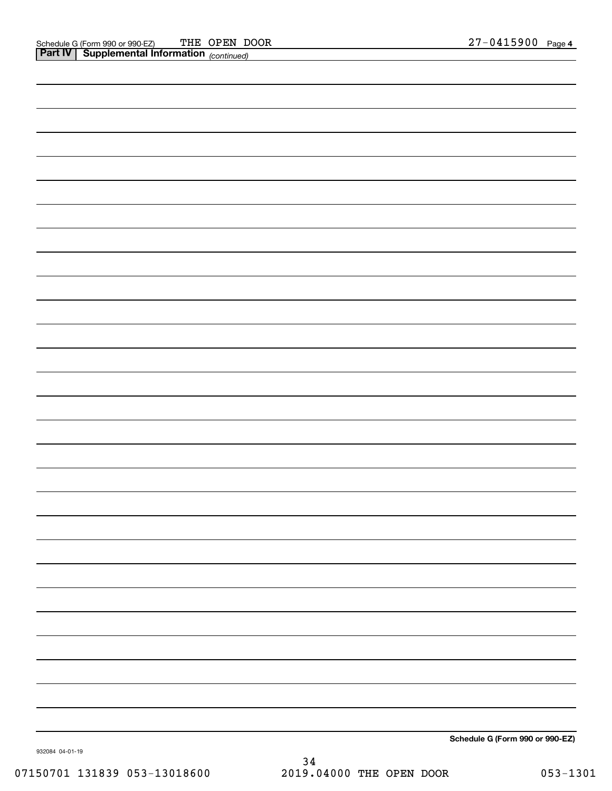| <b>Part IV</b> Supplemental Information (continued) |                                 |
|-----------------------------------------------------|---------------------------------|
|                                                     |                                 |
|                                                     |                                 |
|                                                     |                                 |
|                                                     |                                 |
|                                                     |                                 |
|                                                     |                                 |
|                                                     |                                 |
|                                                     |                                 |
|                                                     |                                 |
|                                                     |                                 |
|                                                     |                                 |
|                                                     |                                 |
|                                                     |                                 |
|                                                     |                                 |
|                                                     |                                 |
|                                                     |                                 |
|                                                     |                                 |
|                                                     |                                 |
|                                                     |                                 |
|                                                     |                                 |
|                                                     |                                 |
|                                                     |                                 |
|                                                     |                                 |
|                                                     |                                 |
|                                                     |                                 |
|                                                     |                                 |
|                                                     |                                 |
|                                                     |                                 |
|                                                     |                                 |
|                                                     |                                 |
|                                                     |                                 |
|                                                     |                                 |
|                                                     |                                 |
|                                                     |                                 |
|                                                     |                                 |
|                                                     |                                 |
|                                                     | Schedule G (Form 990 or 990-EZ) |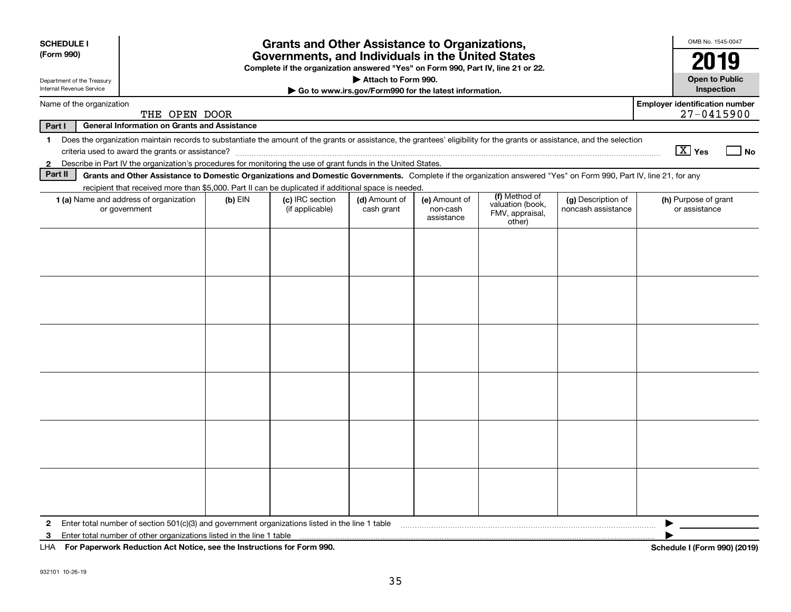| <b>SCHEDULE I</b>          |                                                                                                                                                                          |           | <b>Grants and Other Assistance to Organizations,</b>                                                                                  |                             |                                                       |                                               |                                          | OMB No. 1545-0047                                       |      |
|----------------------------|--------------------------------------------------------------------------------------------------------------------------------------------------------------------------|-----------|---------------------------------------------------------------------------------------------------------------------------------------|-----------------------------|-------------------------------------------------------|-----------------------------------------------|------------------------------------------|---------------------------------------------------------|------|
| (Form 990)                 |                                                                                                                                                                          |           | Governments, and Individuals in the United States<br>Complete if the organization answered "Yes" on Form 990, Part IV, line 21 or 22. |                             |                                                       |                                               |                                          | 2019                                                    |      |
| Department of the Treasury |                                                                                                                                                                          |           |                                                                                                                                       | Attach to Form 990.         |                                                       |                                               |                                          | <b>Open to Public</b>                                   |      |
| Internal Revenue Service   |                                                                                                                                                                          |           |                                                                                                                                       |                             | Go to www.irs.gov/Form990 for the latest information. |                                               |                                          | Inspection                                              |      |
| Name of the organization   | THE OPEN DOOR                                                                                                                                                            |           |                                                                                                                                       |                             |                                                       |                                               |                                          | <b>Employer identification number</b><br>$27 - 0415900$ |      |
| Part I                     | <b>General Information on Grants and Assistance</b>                                                                                                                      |           |                                                                                                                                       |                             |                                                       |                                               |                                          |                                                         |      |
| $\mathbf{1}$               | Does the organization maintain records to substantiate the amount of the grants or assistance, the grantees' eligibility for the grants or assistance, and the selection |           |                                                                                                                                       |                             |                                                       |                                               |                                          | $\boxed{\text{X}}$ Yes                                  | ⊥ No |
| $\mathbf{2}$               | Describe in Part IV the organization's procedures for monitoring the use of grant funds in the United States.                                                            |           |                                                                                                                                       |                             |                                                       |                                               |                                          |                                                         |      |
| Part II                    | Grants and Other Assistance to Domestic Organizations and Domestic Governments. Complete if the organization answered "Yes" on Form 990, Part IV, line 21, for any       |           |                                                                                                                                       |                             |                                                       |                                               |                                          |                                                         |      |
|                            | recipient that received more than \$5,000. Part II can be duplicated if additional space is needed.                                                                      |           |                                                                                                                                       |                             |                                                       | (f) Method of                                 |                                          |                                                         |      |
|                            | 1 (a) Name and address of organization<br>or government                                                                                                                  | $(b)$ EIN | (c) IRC section<br>(if applicable)                                                                                                    | (d) Amount of<br>cash grant | (e) Amount of<br>non-cash<br>assistance               | valuation (book,<br>FMV, appraisal,<br>other) | (g) Description of<br>noncash assistance | (h) Purpose of grant<br>or assistance                   |      |
|                            |                                                                                                                                                                          |           |                                                                                                                                       |                             |                                                       |                                               |                                          |                                                         |      |
|                            |                                                                                                                                                                          |           |                                                                                                                                       |                             |                                                       |                                               |                                          |                                                         |      |
|                            |                                                                                                                                                                          |           |                                                                                                                                       |                             |                                                       |                                               |                                          |                                                         |      |
|                            |                                                                                                                                                                          |           |                                                                                                                                       |                             |                                                       |                                               |                                          |                                                         |      |
|                            |                                                                                                                                                                          |           |                                                                                                                                       |                             |                                                       |                                               |                                          |                                                         |      |
|                            |                                                                                                                                                                          |           |                                                                                                                                       |                             |                                                       |                                               |                                          |                                                         |      |
|                            |                                                                                                                                                                          |           |                                                                                                                                       |                             |                                                       |                                               |                                          |                                                         |      |
|                            |                                                                                                                                                                          |           |                                                                                                                                       |                             |                                                       |                                               |                                          |                                                         |      |
|                            |                                                                                                                                                                          |           |                                                                                                                                       |                             |                                                       |                                               |                                          |                                                         |      |
|                            |                                                                                                                                                                          |           |                                                                                                                                       |                             |                                                       |                                               |                                          |                                                         |      |
|                            |                                                                                                                                                                          |           |                                                                                                                                       |                             |                                                       |                                               |                                          |                                                         |      |
|                            |                                                                                                                                                                          |           |                                                                                                                                       |                             |                                                       |                                               |                                          |                                                         |      |
|                            |                                                                                                                                                                          |           |                                                                                                                                       |                             |                                                       |                                               |                                          |                                                         |      |
|                            |                                                                                                                                                                          |           |                                                                                                                                       |                             |                                                       |                                               |                                          |                                                         |      |
|                            |                                                                                                                                                                          |           |                                                                                                                                       |                             |                                                       |                                               |                                          |                                                         |      |
| $\mathbf{2}$               | Enter total number of section 501(c)(3) and government organizations listed in the line 1 table                                                                          |           |                                                                                                                                       |                             |                                                       |                                               |                                          |                                                         |      |
| 3                          | Enter total number of other organizations listed in the line 1 table                                                                                                     |           |                                                                                                                                       |                             |                                                       |                                               |                                          |                                                         |      |
|                            | LHA For Paperwork Reduction Act Notice, see the Instructions for Form 990.                                                                                               |           |                                                                                                                                       |                             |                                                       |                                               |                                          | Schedule I (Form 990) (2019)                            |      |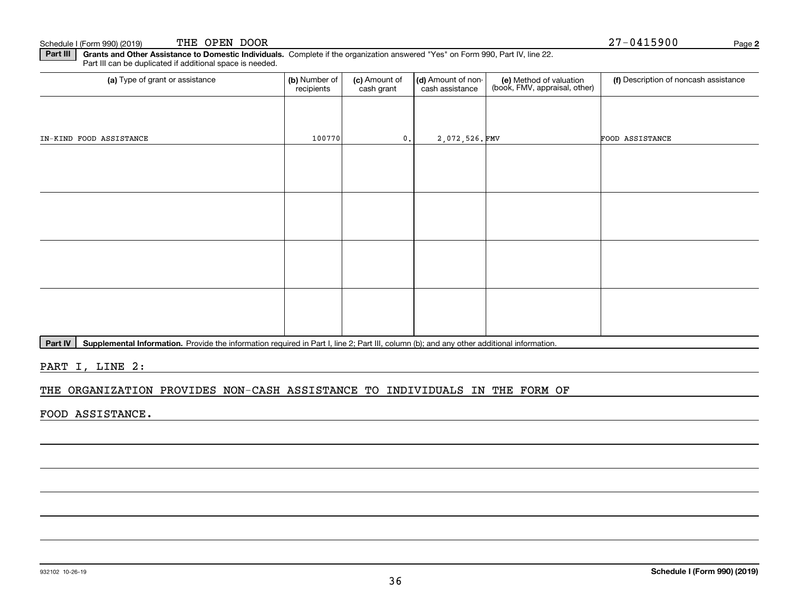**Part III** | Grants and Other Assistance to Domestic Individuals. Complete if the organization answered "Yes" on Form 990, Part IV, line 22. Part III can be duplicated if additional space is needed.

| (a) Type of grant or assistance | (b) Number of<br>recipients | (c) Amount of<br>cash grant | (d) Amount of non-<br>cash assistance | (e) Method of valuation<br>(book, FMV, appraisal, other) | (f) Description of noncash assistance |
|---------------------------------|-----------------------------|-----------------------------|---------------------------------------|----------------------------------------------------------|---------------------------------------|
|                                 |                             |                             |                                       |                                                          |                                       |
| IN-KIND FOOD ASSISTANCE         | 100770                      | 0.                          | 2,072,526.FMV                         |                                                          | FOOD ASSISTANCE                       |
|                                 |                             |                             |                                       |                                                          |                                       |
|                                 |                             |                             |                                       |                                                          |                                       |
|                                 |                             |                             |                                       |                                                          |                                       |
|                                 |                             |                             |                                       |                                                          |                                       |
|                                 |                             |                             |                                       |                                                          |                                       |
|                                 |                             |                             |                                       |                                                          |                                       |
|                                 |                             |                             |                                       |                                                          |                                       |
|                                 |                             |                             |                                       |                                                          |                                       |

Part IV | Supplemental Information. Provide the information required in Part I, line 2; Part III, column (b); and any other additional information.

PART I, LINE 2:

#### THE ORGANIZATION PROVIDES NON-CASH ASSISTANCE TO INDIVIDUALS IN THE FORM OF

FOOD ASSISTANCE.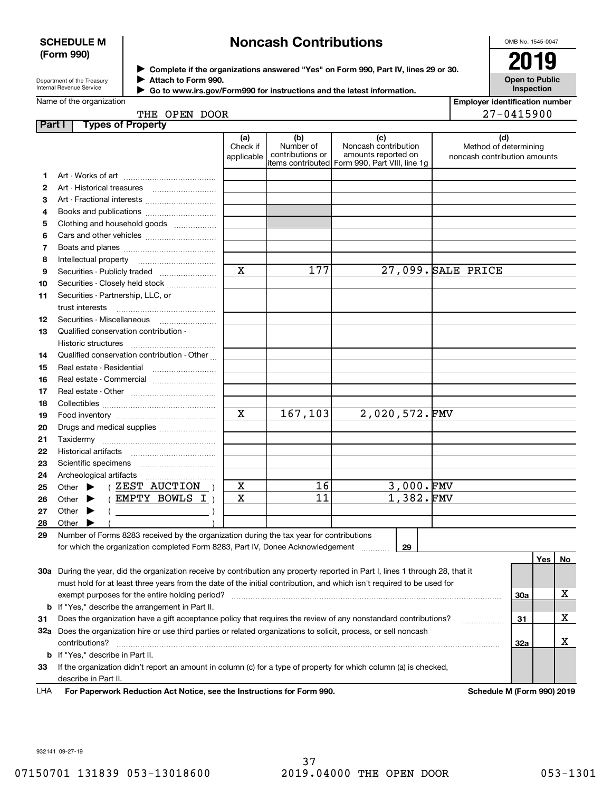#### **SCHEDULE M (Form 990)**

# **Noncash Contributions**

OMB No. 1545-0047

Department of the Treasury Internal Revenue Service

**Complete if the organizations answered "Yes" on Form 990, Part IV, lines 29 or 30.** <sup>J</sup>**2019 Attach to Form 990.** J

**Open to Public Inspection**

| Name of the organization |  |
|--------------------------|--|

 **Go to www.irs.gov/Form990 for instructions and the latest information.**  $\blacktriangleright$ 

| <b>Employer identification number</b> |
|---------------------------------------|
| $27 - 0415900$                        |

## THE OPEN DOOR

|    | <b>Types of Property</b><br>Part I                                                                                             |                               |                                      |                                                                                                      |                                                              |     |    |
|----|--------------------------------------------------------------------------------------------------------------------------------|-------------------------------|--------------------------------------|------------------------------------------------------------------------------------------------------|--------------------------------------------------------------|-----|----|
|    |                                                                                                                                | (a)<br>Check if<br>applicable | (b)<br>Number of<br>contributions or | (c)<br>Noncash contribution<br>amounts reported on<br>items contributed Form 990, Part VIII, line 1g | (d)<br>Method of determining<br>noncash contribution amounts |     |    |
| 1. |                                                                                                                                |                               |                                      |                                                                                                      |                                                              |     |    |
| 2  |                                                                                                                                |                               |                                      |                                                                                                      |                                                              |     |    |
| З  | Art - Fractional interests                                                                                                     |                               |                                      |                                                                                                      |                                                              |     |    |
| 4  | Books and publications                                                                                                         |                               |                                      |                                                                                                      |                                                              |     |    |
| 5  | Clothing and household goods                                                                                                   |                               |                                      |                                                                                                      |                                                              |     |    |
| 6  |                                                                                                                                |                               |                                      |                                                                                                      |                                                              |     |    |
| 7  |                                                                                                                                |                               |                                      |                                                                                                      |                                                              |     |    |
| 8  | Intellectual property                                                                                                          |                               |                                      |                                                                                                      |                                                              |     |    |
| 9  | Securities - Publicly traded                                                                                                   | $\mathbf x$                   | 177                                  |                                                                                                      | 27,099. SALE PRICE                                           |     |    |
| 10 | Securities - Closely held stock                                                                                                |                               |                                      |                                                                                                      |                                                              |     |    |
| 11 | Securities - Partnership, LLC, or                                                                                              |                               |                                      |                                                                                                      |                                                              |     |    |
|    | trust interests                                                                                                                |                               |                                      |                                                                                                      |                                                              |     |    |
| 12 | Securities - Miscellaneous                                                                                                     |                               |                                      |                                                                                                      |                                                              |     |    |
| 13 | Qualified conservation contribution -                                                                                          |                               |                                      |                                                                                                      |                                                              |     |    |
|    | Historic structures                                                                                                            |                               |                                      |                                                                                                      |                                                              |     |    |
| 14 | Qualified conservation contribution - Other                                                                                    |                               |                                      |                                                                                                      |                                                              |     |    |
| 15 | Real estate - Residential                                                                                                      |                               |                                      |                                                                                                      |                                                              |     |    |
| 16 | Real estate - Commercial                                                                                                       |                               |                                      |                                                                                                      |                                                              |     |    |
| 17 |                                                                                                                                |                               |                                      |                                                                                                      |                                                              |     |    |
| 18 |                                                                                                                                |                               |                                      |                                                                                                      |                                                              |     |    |
| 19 |                                                                                                                                | X                             | 167,103                              | $2,020,572.\n$ FMV                                                                                   |                                                              |     |    |
| 20 | Drugs and medical supplies                                                                                                     |                               |                                      |                                                                                                      |                                                              |     |    |
| 21 | Taxidermy                                                                                                                      |                               |                                      |                                                                                                      |                                                              |     |    |
| 22 |                                                                                                                                |                               |                                      |                                                                                                      |                                                              |     |    |
| 23 |                                                                                                                                |                               |                                      |                                                                                                      |                                                              |     |    |
| 24 | Archeological artifacts                                                                                                        |                               |                                      |                                                                                                      |                                                              |     |    |
| 25 | $($ ZEST AUCTION $)$<br>Other $\blacktriangleright$                                                                            | X                             | 16                                   | $3,000.$ FMV                                                                                         |                                                              |     |    |
| 26 | (EMPTY BOWLS I)<br>Other $\blacktriangleright$                                                                                 | X                             | 11                                   | 1,382.FMV                                                                                            |                                                              |     |    |
| 27 | Other<br>▸                                                                                                                     |                               |                                      |                                                                                                      |                                                              |     |    |
| 28 | Other                                                                                                                          |                               |                                      |                                                                                                      |                                                              |     |    |
| 29 | Number of Forms 8283 received by the organization during the tax year for contributions                                        |                               |                                      |                                                                                                      |                                                              |     |    |
|    | for which the organization completed Form 8283, Part IV, Donee Acknowledgement                                                 |                               |                                      | 29                                                                                                   |                                                              |     |    |
|    | 30a During the year, did the organization receive by contribution any property reported in Part I, lines 1 through 28, that it |                               |                                      |                                                                                                      |                                                              | Yes | No |
|    | must hold for at least three years from the date of the initial contribution, and which isn't required to be used for          |                               |                                      |                                                                                                      |                                                              |     |    |
|    | exempt purposes for the entire holding period?                                                                                 |                               |                                      |                                                                                                      |                                                              | 30a | х  |
|    | <b>b</b> If "Yes," describe the arrangement in Part II.                                                                        |                               |                                      |                                                                                                      |                                                              |     |    |
| 31 | Does the organization have a gift acceptance policy that requires the review of any nonstandard contributions?                 |                               |                                      |                                                                                                      |                                                              | 31  | х  |
|    | 32a Does the organization hire or use third parties or related organizations to solicit, process, or sell noncash              |                               |                                      |                                                                                                      |                                                              |     |    |
|    | contributions?                                                                                                                 |                               |                                      |                                                                                                      |                                                              | 32a | x  |
|    |                                                                                                                                |                               |                                      |                                                                                                      |                                                              |     |    |

**33**If the organization didn't report an amount in column (c) for a type of property for which column (a) is checked, describe in Part II.

**b** If "Yes," describe in Part II.

**For Paperwork Reduction Act Notice, see the Instructions for Form 990. Schedule M (Form 990) 2019** LHA

932141 09-27-19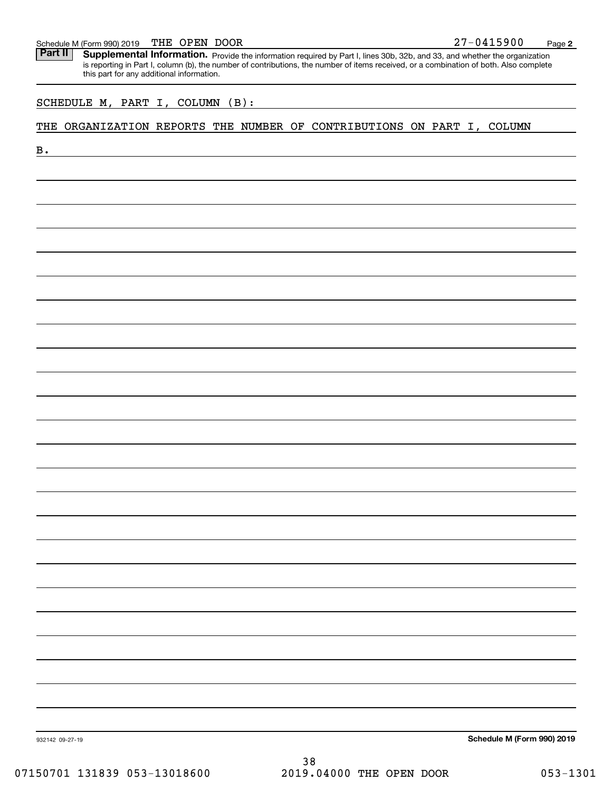#### Schedule M (Form 990) 2019 Page THE OPEN DOOR 27-0415900

Part II | Supplemental Information. Provide the information required by Part I, lines 30b, 32b, and 33, and whether the organization is reporting in Part I, column (b), the number of contributions, the number of items received, or a combination of both. Also complete this part for any additional information.

#### THE ORGANIZATION REPORTS THE NUMBER OF CONTRIBUTIONS ON PART I, COLUMN

| SCHEDULE M, PART I, COLUMN (B):<br>THE ORGANIZATION REPORTS THE NUMBER OF CONTRIBUTIONS ON PART I, COLUMN                          |  |  |                            |
|------------------------------------------------------------------------------------------------------------------------------------|--|--|----------------------------|
|                                                                                                                                    |  |  |                            |
| <b>B.</b><br><u> 1989 - Johann Harry Harry Harry Harry Harry Harry Harry Harry Harry Harry Harry Harry Harry Harry Harry Harry</u> |  |  |                            |
|                                                                                                                                    |  |  |                            |
|                                                                                                                                    |  |  |                            |
|                                                                                                                                    |  |  |                            |
|                                                                                                                                    |  |  |                            |
|                                                                                                                                    |  |  |                            |
|                                                                                                                                    |  |  |                            |
|                                                                                                                                    |  |  |                            |
|                                                                                                                                    |  |  |                            |
|                                                                                                                                    |  |  |                            |
|                                                                                                                                    |  |  |                            |
|                                                                                                                                    |  |  |                            |
|                                                                                                                                    |  |  |                            |
|                                                                                                                                    |  |  |                            |
|                                                                                                                                    |  |  |                            |
|                                                                                                                                    |  |  |                            |
|                                                                                                                                    |  |  |                            |
|                                                                                                                                    |  |  |                            |
|                                                                                                                                    |  |  |                            |
|                                                                                                                                    |  |  |                            |
|                                                                                                                                    |  |  |                            |
|                                                                                                                                    |  |  |                            |
|                                                                                                                                    |  |  |                            |
|                                                                                                                                    |  |  |                            |
|                                                                                                                                    |  |  |                            |
|                                                                                                                                    |  |  |                            |
|                                                                                                                                    |  |  |                            |
|                                                                                                                                    |  |  |                            |
|                                                                                                                                    |  |  |                            |
|                                                                                                                                    |  |  |                            |
|                                                                                                                                    |  |  |                            |
|                                                                                                                                    |  |  |                            |
|                                                                                                                                    |  |  |                            |
| 932142 09-27-19                                                                                                                    |  |  | Schedule M (Form 990) 2019 |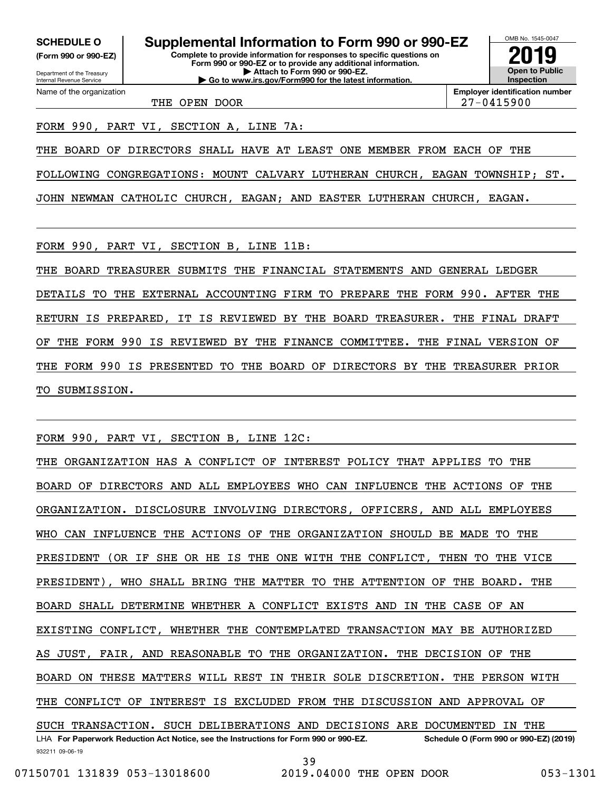**(Form 990 or 990-EZ)**

Department of the Treasury Internal Revenue Service Name of the organization

**Complete to provide information for responses to specific questions on Form 990 or 990-EZ or to provide any additional information. | Attach to Form 990 or 990-EZ. SCHEDULE O Supplemental Information to Form 990 or 990-EZ**

**| Go to www.irs.gov/Form990 for the latest information.**

**Open to Public Inspection2019**

OMB No. 1545-0047

THE OPEN DOOR 27-0415900

**Employer identification number**

FORM 990, PART VI, SECTION A, LINE 7A:

THE BOARD OF DIRECTORS SHALL HAVE AT LEAST ONE MEMBER FROM EACH OF THE

FOLLOWING CONGREGATIONS: MOUNT CALVARY LUTHERAN CHURCH, EAGAN TOWNSHIP; ST.

JOHN NEWMAN CATHOLIC CHURCH, EAGAN; AND EASTER LUTHERAN CHURCH, EAGAN.

FORM 990, PART VI, SECTION B, LINE 11B:

THE BOARD TREASURER SUBMITS THE FINANCIAL STATEMENTS AND GENERAL LEDGER DETAILS TO THE EXTERNAL ACCOUNTING FIRM TO PREPARE THE FORM 990. AFTER THE RETURN IS PREPARED, IT IS REVIEWED BY THE BOARD TREASURER. THE FINAL DRAFT OF THE FORM 990 IS REVIEWED BY THE FINANCE COMMITTEE. THE FINAL VERSION OF THE FORM 990 IS PRESENTED TO THE BOARD OF DIRECTORS BY THE TREASURER PRIOR TO SUBMISSION.

FORM 990, PART VI, SECTION B, LINE 12C:

932211 09-06-19 LHA For Paperwork Reduction Act Notice, see the Instructions for Form 990 or 990-EZ. Schedule O (Form 990 or 990-EZ) (2019) THE ORGANIZATION HAS A CONFLICT OF INTEREST POLICY THAT APPLIES TO THE BOARD OF DIRECTORS AND ALL EMPLOYEES WHO CAN INFLUENCE THE ACTIONS OF THE ORGANIZATION. DISCLOSURE INVOLVING DIRECTORS, OFFICERS, AND ALL EMPLOYEES WHO CAN INFLUENCE THE ACTIONS OF THE ORGANIZATION SHOULD BE MADE TO THE PRESIDENT (OR IF SHE OR HE IS THE ONE WITH THE CONFLICT, THEN TO THE VICE PRESIDENT), WHO SHALL BRING THE MATTER TO THE ATTENTION OF THE BOARD. THE BOARD SHALL DETERMINE WHETHER A CONFLICT EXISTS AND IN THE CASE OF AN EXISTING CONFLICT, WHETHER THE CONTEMPLATED TRANSACTION MAY BE AUTHORIZED AS JUST, FAIR, AND REASONABLE TO THE ORGANIZATION. THE DECISION OF THE BOARD ON THESE MATTERS WILL REST IN THEIR SOLE DISCRETION. THE PERSON WITH THE CONFLICT OF INTEREST IS EXCLUDED FROM THE DISCUSSION AND APPROVAL OF SUCH TRANSACTION. SUCH DELIBERATIONS AND DECISIONS ARE DOCUMENTED IN THE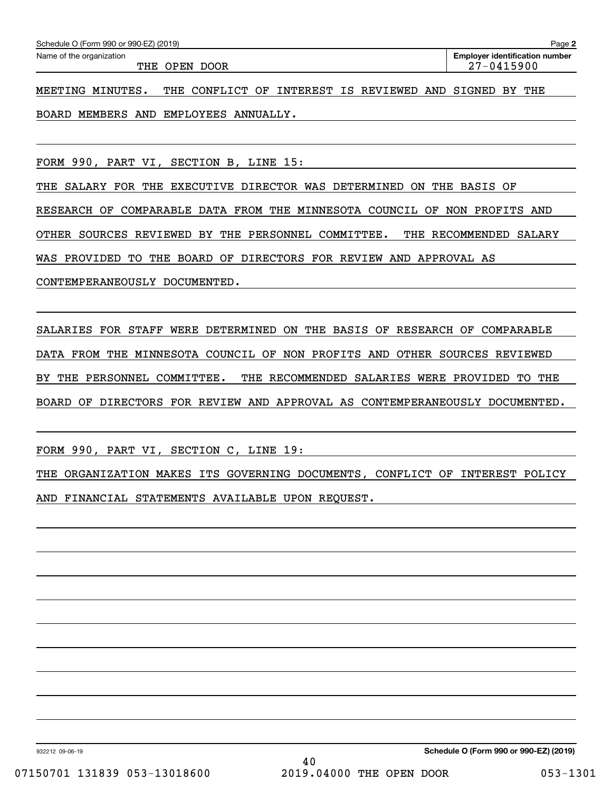| Schedule O (Form 990 or 990-EZ) (2019) | Paqe <b>∠</b>                         |
|----------------------------------------|---------------------------------------|
| Name of the organization               | <b>Employer identification number</b> |
| THE<br>OPEN DOOR                       | $27 - 0415900$                        |
|                                        |                                       |

MEETING MINUTES. THE CONFLICT OF INTEREST IS REVIEWED AND SIGNED BY THE BOARD MEMBERS AND EMPLOYEES ANNUALLY.

FORM 990, PART VI, SECTION B, LINE 15:

THE SALARY FOR THE EXECUTIVE DIRECTOR WAS DETERMINED ON THE BASIS OF RESEARCH OF COMPARABLE DATA FROM THE MINNESOTA COUNCIL OF NON PROFITS AND OTHER SOURCES REVIEWED BY THE PERSONNEL COMMITTEE. THE RECOMMENDED SALARY WAS PROVIDED TO THE BOARD OF DIRECTORS FOR REVIEW AND APPROVAL AS CONTEMPERANEOUSLY DOCUMENTED.

SALARIES FOR STAFF WERE DETERMINED ON THE BASIS OF RESEARCH OF COMPARABLE DATA FROM THE MINNESOTA COUNCIL OF NON PROFITS AND OTHER SOURCES REVIEWED BY THE PERSONNEL COMMITTEE. THE RECOMMENDED SALARIES WERE PROVIDED TO THE BOARD OF DIRECTORS FOR REVIEW AND APPROVAL AS CONTEMPERANEOUSLY DOCUMENTED.

FORM 990, PART VI, SECTION C, LINE 19:

THE ORGANIZATION MAKES ITS GOVERNING DOCUMENTS, CONFLICT OF INTEREST POLICY AND FINANCIAL STATEMENTS AVAILABLE UPON REQUEST.

932212 09-06-19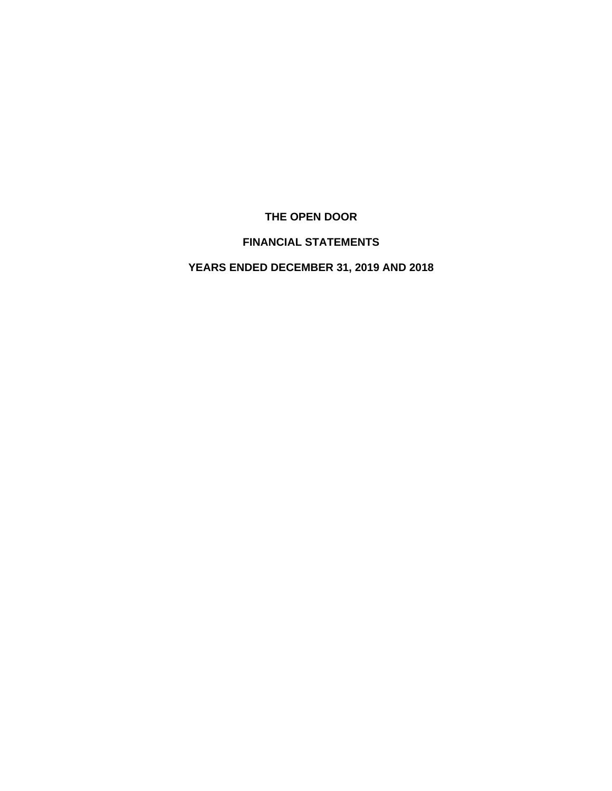# **THE OPEN DOOR**

# **FINANCIAL STATEMENTS**

# **YEARS ENDED DECEMBER 31, 2019 AND 2018**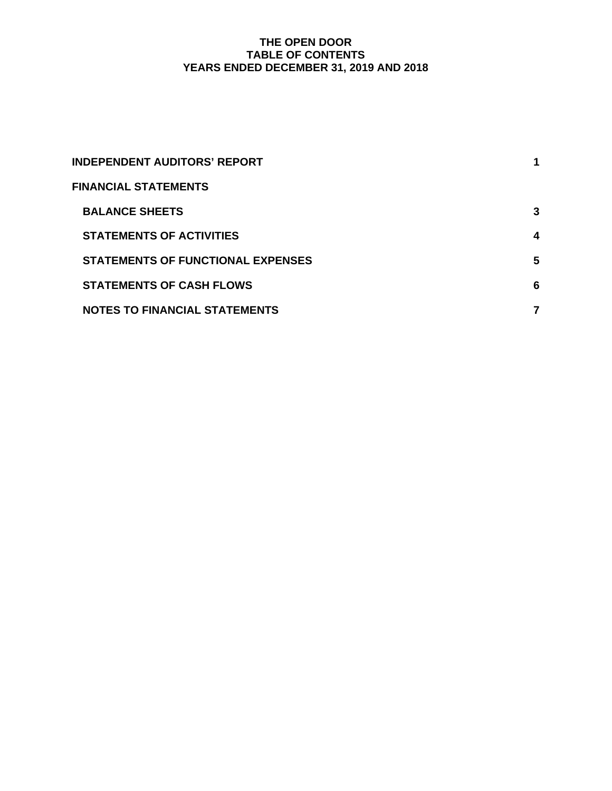## **THE OPEN DOOR TABLE OF CONTENTS YEARS ENDED DECEMBER 31, 2019 AND 2018**

| INDEPENDENT AUDITORS' REPORT         | 1 |
|--------------------------------------|---|
| <b>FINANCIAL STATEMENTS</b>          |   |
| <b>BALANCE SHEETS</b>                | 3 |
| <b>STATEMENTS OF ACTIVITIES</b>      | 4 |
| STATEMENTS OF FUNCTIONAL EXPENSES    | 5 |
| <b>STATEMENTS OF CASH FLOWS</b>      | 6 |
| <b>NOTES TO FINANCIAL STATEMENTS</b> |   |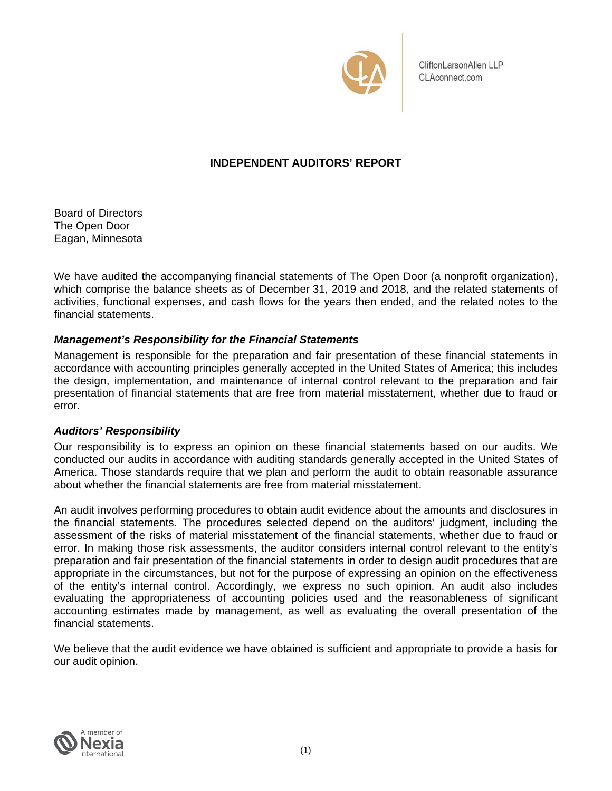

CliftonLarsonAllen LLP CLAconnect.com

## **INDEPENDENT AUDITORS' REPORT**

Board of Directors The Open Door Eagan, Minnesota

We have audited the accompanying financial statements of The Open Door (a nonprofit organization), which comprise the balance sheets as of December 31, 2019 and 2018, and the related statements of activities, functional expenses, and cash flows for the years then ended, and the related notes to the financial statements.

## *Management's Responsibility for the Financial Statements*

Management is responsible for the preparation and fair presentation of these financial statements in accordance with accounting principles generally accepted in the United States of America; this includes the design, implementation, and maintenance of internal control relevant to the preparation and fair presentation of financial statements that are free from material misstatement, whether due to fraud or error.

## *Auditors' Responsibility*

Our responsibility is to express an opinion on these financial statements based on our audits. We conducted our audits in accordance with auditing standards generally accepted in the United States of America. Those standards require that we plan and perform the audit to obtain reasonable assurance about whether the financial statements are free from material misstatement.

An audit involves performing procedures to obtain audit evidence about the amounts and disclosures in the financial statements. The procedures selected depend on the auditors' judgment, including the assessment of the risks of material misstatement of the financial statements, whether due to fraud or error. In making those risk assessments, the auditor considers internal control relevant to the entity's preparation and fair presentation of the financial statements in order to design audit procedures that are appropriate in the circumstances, but not for the purpose of expressing an opinion on the effectiveness of the entity's internal control. Accordingly, we express no such opinion. An audit also includes evaluating the appropriateness of accounting policies used and the reasonableness of significant accounting estimates made by management, as well as evaluating the overall presentation of the financial statements.

We believe that the audit evidence we have obtained is sufficient and appropriate to provide a basis for our audit opinion.

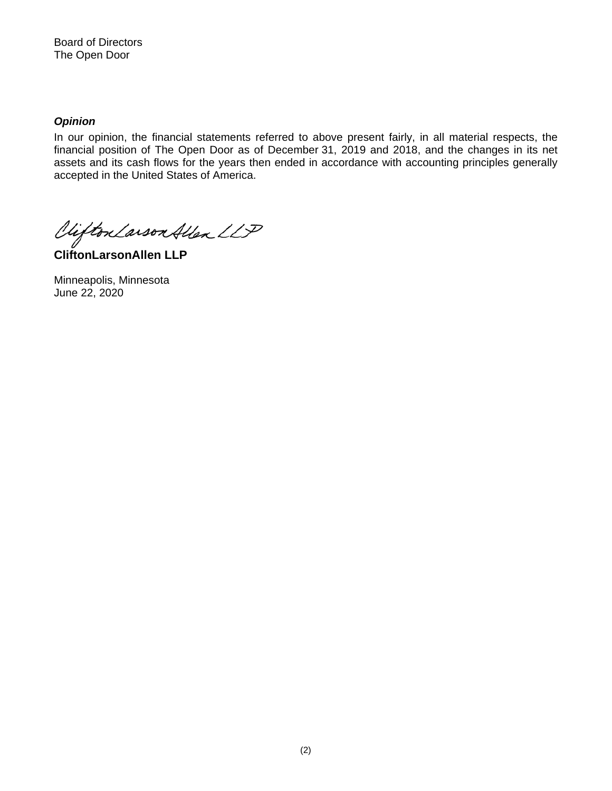Board of Directors The Open Door

### *Opinion*

In our opinion, the financial statements referred to above present fairly, in all material respects, the financial position of The Open Door as of December 31, 2019 and 2018, and the changes in its net assets and its cash flows for the years then ended in accordance with accounting principles generally accepted in the United States of America.

Viifton Larson Allen LLP

**CliftonLarsonAllen LLP** 

Minneapolis, Minnesota June 22, 2020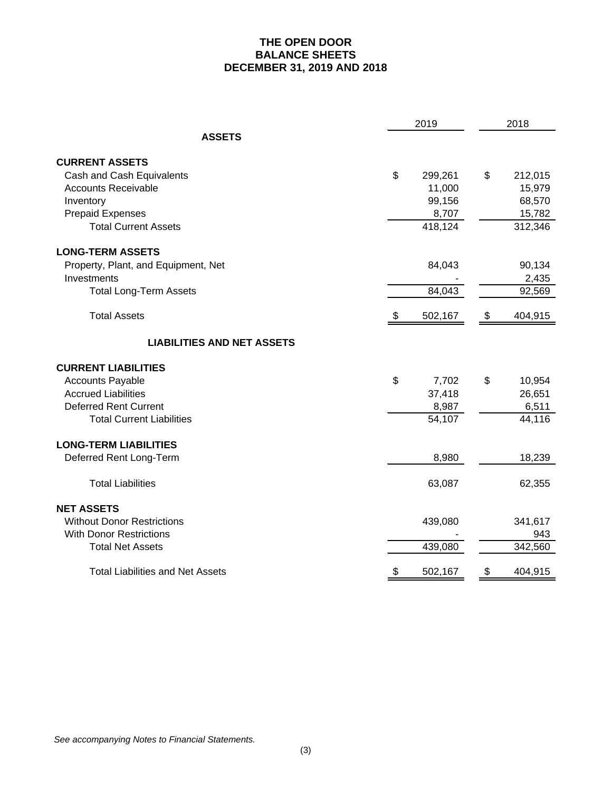## **THE OPEN DOOR BALANCE SHEETS DECEMBER 31, 2019 AND 2018**

|                                         |      |         | 2018          |         |
|-----------------------------------------|------|---------|---------------|---------|
| <b>ASSETS</b>                           |      |         |               |         |
| <b>CURRENT ASSETS</b>                   |      |         |               |         |
| Cash and Cash Equivalents               | \$   | 299,261 | \$            | 212,015 |
| <b>Accounts Receivable</b>              |      | 11,000  |               | 15,979  |
| Inventory                               |      | 99,156  |               | 68,570  |
| <b>Prepaid Expenses</b>                 |      | 8,707   |               | 15,782  |
| <b>Total Current Assets</b>             |      | 418,124 |               | 312,346 |
| <b>LONG-TERM ASSETS</b>                 |      |         |               |         |
| Property, Plant, and Equipment, Net     |      | 84,043  |               | 90,134  |
| Investments                             |      |         |               | 2,435   |
| <b>Total Long-Term Assets</b>           |      | 84,043  |               | 92,569  |
| <b>Total Assets</b>                     | - \$ | 502,167 | $\frac{1}{2}$ | 404,915 |
| <b>LIABILITIES AND NET ASSETS</b>       |      |         |               |         |
| <b>CURRENT LIABILITIES</b>              |      |         |               |         |
| <b>Accounts Payable</b>                 | \$   | 7,702   | \$            | 10,954  |
| <b>Accrued Liabilities</b>              |      | 37,418  |               | 26,651  |
| <b>Deferred Rent Current</b>            |      | 8,987   |               | 6,511   |
| <b>Total Current Liabilities</b>        |      | 54,107  |               | 44,116  |
| <b>LONG-TERM LIABILITIES</b>            |      |         |               |         |
| Deferred Rent Long-Term                 |      | 8,980   |               | 18,239  |
| <b>Total Liabilities</b>                |      | 63,087  |               | 62,355  |
| <b>NET ASSETS</b>                       |      |         |               |         |
| <b>Without Donor Restrictions</b>       |      | 439,080 |               | 341,617 |
| <b>With Donor Restrictions</b>          |      |         |               | 943     |
| <b>Total Net Assets</b>                 |      | 439,080 |               | 342,560 |
| <b>Total Liabilities and Net Assets</b> | \$   | 502,167 | \$            | 404,915 |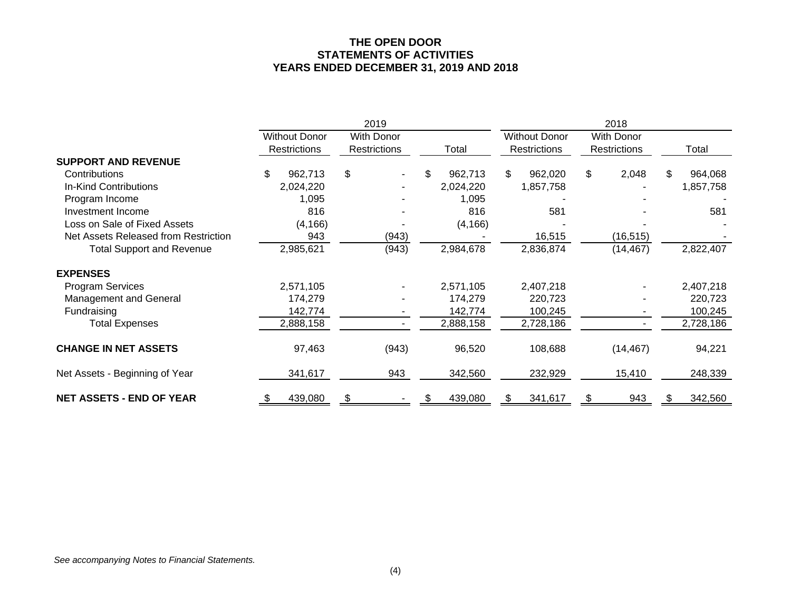#### **THE OPEN DOOR STATEMENTS OF ACTIVITIES YEARS ENDED DECEMBER 31, 2019 AND 2018**

|                                      |                      | 2019                |                |                      | 2018                |                |
|--------------------------------------|----------------------|---------------------|----------------|----------------------|---------------------|----------------|
|                                      | <b>Without Donor</b> | With Donor          |                | <b>Without Donor</b> | <b>With Donor</b>   |                |
|                                      | <b>Restrictions</b>  | <b>Restrictions</b> | Total          | <b>Restrictions</b>  | <b>Restrictions</b> | Total          |
| <b>SUPPORT AND REVENUE</b>           |                      |                     |                |                      |                     |                |
| Contributions                        | \$<br>962,713        | \$                  | 962,713<br>\$. | \$<br>962,020        | \$<br>2,048         | 964,068<br>\$. |
| In-Kind Contributions                | 2,024,220            |                     | 2,024,220      | 1,857,758            |                     | 1,857,758      |
| Program Income                       | 1,095                |                     | 1,095          |                      |                     |                |
| Investment Income                    | 816                  |                     | 816            | 581                  |                     | 581            |
| Loss on Sale of Fixed Assets         | (4, 166)             |                     | (4, 166)       |                      |                     |                |
| Net Assets Released from Restriction | 943                  | (943)               |                | 16,515               | (16, 515)           |                |
| <b>Total Support and Revenue</b>     | 2,985,621            | (943)               | 2,984,678      | 2,836,874            | (14, 467)           | 2,822,407      |
| <b>EXPENSES</b>                      |                      |                     |                |                      |                     |                |
| <b>Program Services</b>              | 2,571,105            |                     | 2,571,105      | 2,407,218            |                     | 2,407,218      |
| Management and General               | 174,279              |                     | 174,279        | 220,723              |                     | 220,723        |
| Fundraising                          | 142,774              |                     | 142,774        | 100,245              |                     | 100,245        |
| <b>Total Expenses</b>                | 2,888,158            |                     | 2,888,158      | 2,728,186            |                     | 2,728,186      |
| <b>CHANGE IN NET ASSETS</b>          | 97,463               | (943)               | 96,520         | 108,688              | (14, 467)           | 94,221         |
| Net Assets - Beginning of Year       | 341,617              | 943                 | 342,560        | 232,929              | 15,410              | 248,339        |
| <b>NET ASSETS - END OF YEAR</b>      | 439,080              |                     | 439,080        | 341,617              | 943                 | 342,560        |

*See accompanying Notes to Financial Statements.*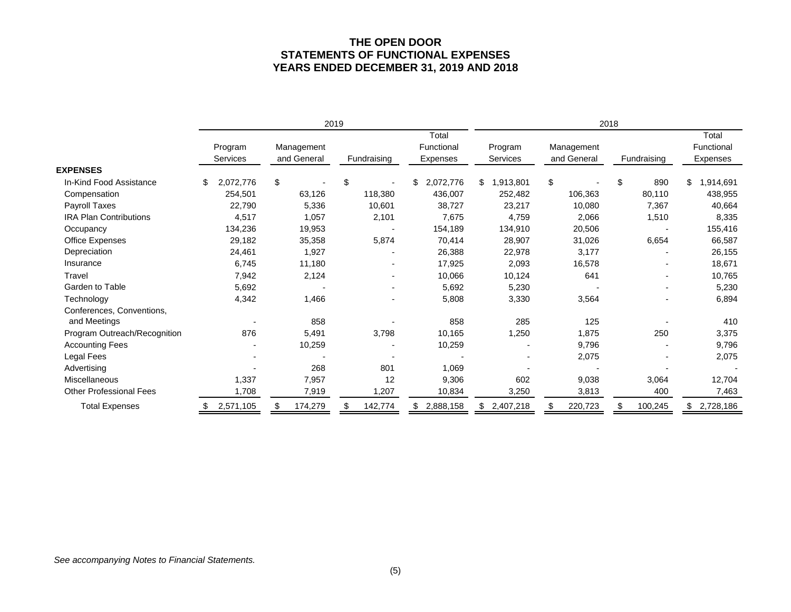#### **THE OPEN DOOR STATEMENTS OF FUNCTIONAL EXPENSES YEARS ENDED DECEMBER 31, 2019 AND 2018**

|                                | 2019 |                            |    |                           |    | 2018        |                                 |                     |    |                           |    |             |                                 |
|--------------------------------|------|----------------------------|----|---------------------------|----|-------------|---------------------------------|---------------------|----|---------------------------|----|-------------|---------------------------------|
|                                |      | Program<br><b>Services</b> |    | Management<br>and General |    | Fundraising | Total<br>Functional<br>Expenses | Program<br>Services |    | Management<br>and General |    | Fundraising | Total<br>Functional<br>Expenses |
| <b>EXPENSES</b>                |      |                            |    |                           |    |             |                                 |                     |    |                           |    |             |                                 |
| In-Kind Food Assistance        | S    | 2,072,776                  | \$ |                           | \$ |             | 2,072,776<br>\$                 | \$<br>1,913,801     | \$ |                           | \$ | 890         | \$<br>1,914,691                 |
| Compensation                   |      | 254,501                    |    | 63,126                    |    | 118,380     | 436,007                         | 252,482             |    | 106,363                   |    | 80,110      | 438,955                         |
| Payroll Taxes                  |      | 22,790                     |    | 5,336                     |    | 10,601      | 38,727                          | 23,217              |    | 10,080                    |    | 7,367       | 40,664                          |
| <b>IRA Plan Contributions</b>  |      | 4,517                      |    | 1,057                     |    | 2,101       | 7,675                           | 4,759               |    | 2,066                     |    | 1,510       | 8,335                           |
| Occupancy                      |      | 134,236                    |    | 19,953                    |    |             | 154,189                         | 134,910             |    | 20,506                    |    |             | 155,416                         |
| Office Expenses                |      | 29,182                     |    | 35,358                    |    | 5,874       | 70,414                          | 28,907              |    | 31,026                    |    | 6,654       | 66,587                          |
| Depreciation                   |      | 24,461                     |    | 1,927                     |    |             | 26,388                          | 22,978              |    | 3,177                     |    |             | 26,155                          |
| Insurance                      |      | 6,745                      |    | 11,180                    |    |             | 17,925                          | 2,093               |    | 16,578                    |    |             | 18,671                          |
| Travel                         |      | 7,942                      |    | 2,124                     |    |             | 10,066                          | 10,124              |    | 641                       |    |             | 10,765                          |
| Garden to Table                |      | 5,692                      |    |                           |    |             | 5,692                           | 5,230               |    |                           |    |             | 5,230                           |
| Technology                     |      | 4,342                      |    | 1,466                     |    |             | 5,808                           | 3,330               |    | 3,564                     |    |             | 6,894                           |
| Conferences, Conventions,      |      |                            |    |                           |    |             |                                 |                     |    |                           |    |             |                                 |
| and Meetings                   |      |                            |    | 858                       |    |             | 858                             | 285                 |    | 125                       |    |             | 410                             |
| Program Outreach/Recognition   |      | 876                        |    | 5,491                     |    | 3,798       | 10,165                          | 1,250               |    | 1,875                     |    | 250         | 3,375                           |
| <b>Accounting Fees</b>         |      |                            |    | 10,259                    |    |             | 10,259                          |                     |    | 9,796                     |    |             | 9,796                           |
| Legal Fees                     |      |                            |    |                           |    |             |                                 |                     |    | 2,075                     |    |             | 2,075                           |
| Advertising                    |      |                            |    | 268                       |    | 801         | 1,069                           |                     |    |                           |    |             |                                 |
| Miscellaneous                  |      | 1,337                      |    | 7,957                     |    | 12          | 9,306                           | 602                 |    | 9,038                     |    | 3,064       | 12,704                          |
| <b>Other Professional Fees</b> |      | 1,708                      |    | 7,919                     |    | 1,207       | 10,834                          | 3,250               |    | 3,813                     |    | 400         | 7,463                           |
| <b>Total Expenses</b>          |      | 2,571,105                  |    | 174,279                   |    | 142,774     | 2,888,158                       | \$<br>2,407,218     |    | 220,723                   |    | 100,245     | 2,728,186                       |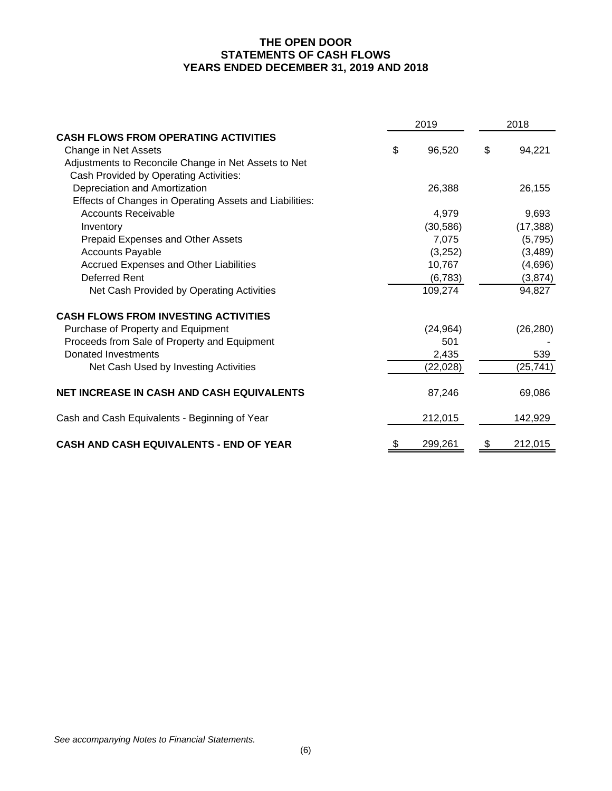## **THE OPEN DOOR STATEMENTS OF CASH FLOWS YEARS ENDED DECEMBER 31, 2019 AND 2018**

|                                                         | 2019          | 2018 |           |  |  |
|---------------------------------------------------------|---------------|------|-----------|--|--|
| <b>CASH FLOWS FROM OPERATING ACTIVITIES</b>             |               |      |           |  |  |
| Change in Net Assets                                    | \$<br>96,520  | \$   | 94,221    |  |  |
| Adjustments to Reconcile Change in Net Assets to Net    |               |      |           |  |  |
| Cash Provided by Operating Activities:                  |               |      |           |  |  |
| Depreciation and Amortization                           | 26,388        |      | 26,155    |  |  |
| Effects of Changes in Operating Assets and Liabilities: |               |      |           |  |  |
| <b>Accounts Receivable</b>                              | 4,979         |      | 9,693     |  |  |
| Inventory                                               | (30, 586)     |      | (17, 388) |  |  |
| Prepaid Expenses and Other Assets                       | 7,075         |      | (5,795)   |  |  |
| <b>Accounts Payable</b>                                 | (3,252)       |      | (3,489)   |  |  |
| Accrued Expenses and Other Liabilities                  | 10,767        |      | (4,696)   |  |  |
| <b>Deferred Rent</b>                                    | (6, 783)      |      | (3,874)   |  |  |
| Net Cash Provided by Operating Activities               | 109,274       |      | 94,827    |  |  |
| <b>CASH FLOWS FROM INVESTING ACTIVITIES</b>             |               |      |           |  |  |
| Purchase of Property and Equipment                      | (24, 964)     |      | (26, 280) |  |  |
| Proceeds from Sale of Property and Equipment            | 501           |      |           |  |  |
| Donated Investments                                     | 2,435         |      | 539       |  |  |
| Net Cash Used by Investing Activities                   | (22,028)      |      | (25, 741) |  |  |
| <b>NET INCREASE IN CASH AND CASH EQUIVALENTS</b>        | 87,246        |      | 69,086    |  |  |
| Cash and Cash Equivalents - Beginning of Year           | 212,015       |      | 142,929   |  |  |
| <b>CASH AND CASH EQUIVALENTS - END OF YEAR</b>          | \$<br>299,261 | \$   | 212,015   |  |  |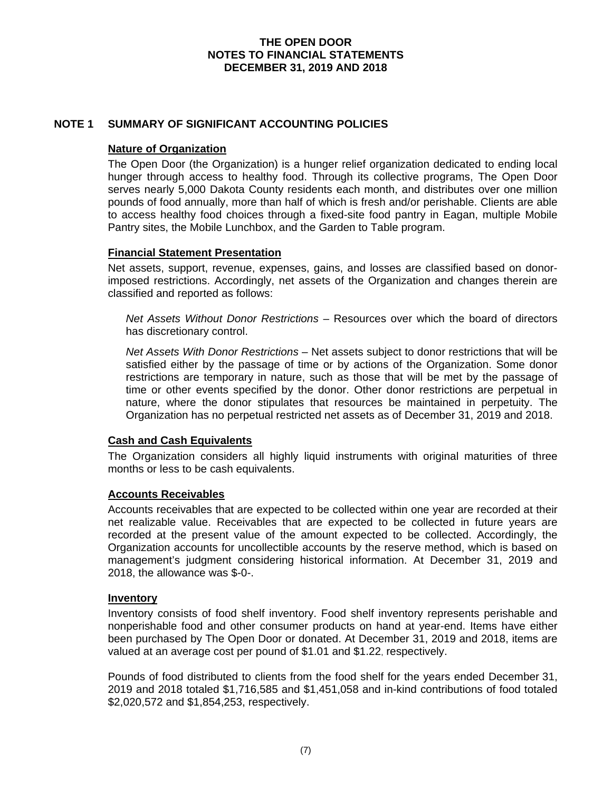## **NOTE 1 SUMMARY OF SIGNIFICANT ACCOUNTING POLICIES**

#### **Nature of Organization**

The Open Door (the Organization) is a hunger relief organization dedicated to ending local hunger through access to healthy food. Through its collective programs, The Open Door serves nearly 5,000 Dakota County residents each month, and distributes over one million pounds of food annually, more than half of which is fresh and/or perishable. Clients are able to access healthy food choices through a fixed-site food pantry in Eagan, multiple Mobile Pantry sites, the Mobile Lunchbox, and the Garden to Table program.

#### **Financial Statement Presentation**

Net assets, support, revenue, expenses, gains, and losses are classified based on donorimposed restrictions. Accordingly, net assets of the Organization and changes therein are classified and reported as follows:

*Net Assets Without Donor Restrictions* – Resources over which the board of directors has discretionary control.

*Net Assets With Donor Restrictions* – Net assets subject to donor restrictions that will be satisfied either by the passage of time or by actions of the Organization. Some donor restrictions are temporary in nature, such as those that will be met by the passage of time or other events specified by the donor. Other donor restrictions are perpetual in nature, where the donor stipulates that resources be maintained in perpetuity. The Organization has no perpetual restricted net assets as of December 31, 2019 and 2018.

#### **Cash and Cash Equivalents**

The Organization considers all highly liquid instruments with original maturities of three months or less to be cash equivalents.

#### **Accounts Receivables**

Accounts receivables that are expected to be collected within one year are recorded at their net realizable value. Receivables that are expected to be collected in future years are recorded at the present value of the amount expected to be collected. Accordingly, the Organization accounts for uncollectible accounts by the reserve method, which is based on management's judgment considering historical information. At December 31, 2019 and 2018, the allowance was \$-0-.

#### **Inventory**

Inventory consists of food shelf inventory. Food shelf inventory represents perishable and nonperishable food and other consumer products on hand at year-end. Items have either been purchased by The Open Door or donated. At December 31, 2019 and 2018, items are valued at an average cost per pound of \$1.01 and \$1.22, respectively.

Pounds of food distributed to clients from the food shelf for the years ended December 31, 2019 and 2018 totaled \$1,716,585 and \$1,451,058 and in-kind contributions of food totaled \$2,020,572 and \$1,854,253, respectively.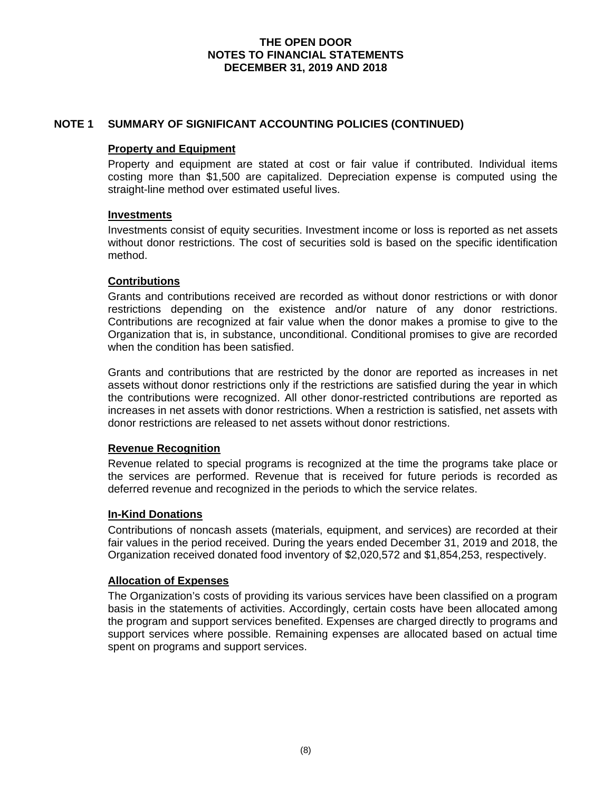## **NOTE 1 SUMMARY OF SIGNIFICANT ACCOUNTING POLICIES (CONTINUED)**

#### **Property and Equipment**

Property and equipment are stated at cost or fair value if contributed. Individual items costing more than \$1,500 are capitalized. Depreciation expense is computed using the straight-line method over estimated useful lives.

#### **Investments**

Investments consist of equity securities. Investment income or loss is reported as net assets without donor restrictions. The cost of securities sold is based on the specific identification method.

## **Contributions**

Grants and contributions received are recorded as without donor restrictions or with donor restrictions depending on the existence and/or nature of any donor restrictions. Contributions are recognized at fair value when the donor makes a promise to give to the Organization that is, in substance, unconditional. Conditional promises to give are recorded when the condition has been satisfied.

Grants and contributions that are restricted by the donor are reported as increases in net assets without donor restrictions only if the restrictions are satisfied during the year in which the contributions were recognized. All other donor-restricted contributions are reported as increases in net assets with donor restrictions. When a restriction is satisfied, net assets with donor restrictions are released to net assets without donor restrictions.

#### **Revenue Recognition**

Revenue related to special programs is recognized at the time the programs take place or the services are performed. Revenue that is received for future periods is recorded as deferred revenue and recognized in the periods to which the service relates.

#### **In-Kind Donations**

Contributions of noncash assets (materials, equipment, and services) are recorded at their fair values in the period received. During the years ended December 31, 2019 and 2018, the Organization received donated food inventory of \$2,020,572 and \$1,854,253, respectively.

#### **Allocation of Expenses**

The Organization's costs of providing its various services have been classified on a program basis in the statements of activities. Accordingly, certain costs have been allocated among the program and support services benefited. Expenses are charged directly to programs and support services where possible. Remaining expenses are allocated based on actual time spent on programs and support services.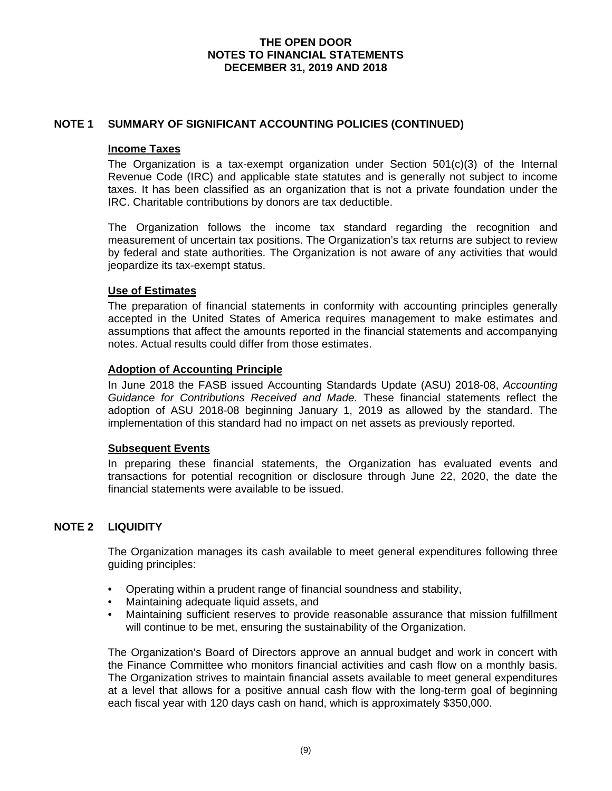## **NOTE 1 SUMMARY OF SIGNIFICANT ACCOUNTING POLICIES (CONTINUED)**

#### **Income Taxes**

The Organization is a tax-exempt organization under Section  $501(c)(3)$  of the Internal Revenue Code (IRC) and applicable state statutes and is generally not subject to income taxes. It has been classified as an organization that is not a private foundation under the IRC. Charitable contributions by donors are tax deductible.

The Organization follows the income tax standard regarding the recognition and measurement of uncertain tax positions. The Organization's tax returns are subject to review by federal and state authorities. The Organization is not aware of any activities that would jeopardize its tax-exempt status.

## **Use of Estimates**

The preparation of financial statements in conformity with accounting principles generally accepted in the United States of America requires management to make estimates and assumptions that affect the amounts reported in the financial statements and accompanying notes. Actual results could differ from those estimates.

#### **Adoption of Accounting Principle**

In June 2018 the FASB issued Accounting Standards Update (ASU) 2018-08, *Accounting Guidance for Contributions Received and Made.* These financial statements reflect the adoption of ASU 2018-08 beginning January 1, 2019 as allowed by the standard. The implementation of this standard had no impact on net assets as previously reported.

#### **Subsequent Events**

In preparing these financial statements, the Organization has evaluated events and transactions for potential recognition or disclosure through June 22, 2020, the date the financial statements were available to be issued.

## **NOTE 2 LIQUIDITY**

The Organization manages its cash available to meet general expenditures following three guiding principles:

- Operating within a prudent range of financial soundness and stability,
- Maintaining adequate liquid assets, and
- Maintaining sufficient reserves to provide reasonable assurance that mission fulfillment will continue to be met, ensuring the sustainability of the Organization.

The Organization's Board of Directors approve an annual budget and work in concert with the Finance Committee who monitors financial activities and cash flow on a monthly basis. The Organization strives to maintain financial assets available to meet general expenditures at a level that allows for a positive annual cash flow with the long-term goal of beginning each fiscal year with 120 days cash on hand, which is approximately \$350,000.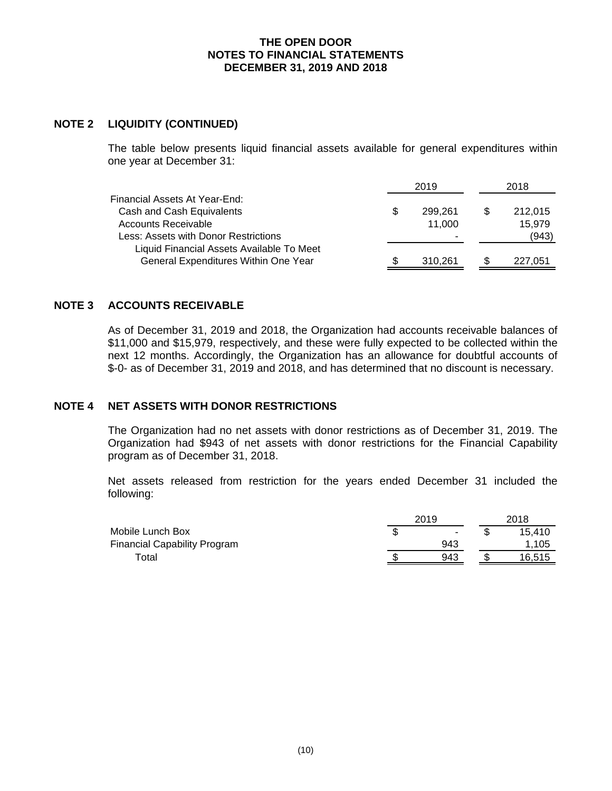#### **NOTE 2 LIQUIDITY (CONTINUED)**

The table below presents liquid financial assets available for general expenditures within one year at December 31:

|                                           |   | 2019    | 2018    |  |  |
|-------------------------------------------|---|---------|---------|--|--|
| Financial Assets At Year-End:             |   |         |         |  |  |
| Cash and Cash Equivalents                 | S | 299.261 | 212,015 |  |  |
| Accounts Receivable                       |   | 11.000  | 15.979  |  |  |
| Less: Assets with Donor Restrictions      |   |         | (943)   |  |  |
| Liquid Financial Assets Available To Meet |   |         |         |  |  |
| General Expenditures Within One Year      |   | 310,261 | 227.051 |  |  |

## **NOTE 3 ACCOUNTS RECEIVABLE**

As of December 31, 2019 and 2018, the Organization had accounts receivable balances of \$11,000 and \$15,979, respectively, and these were fully expected to be collected within the next 12 months. Accordingly, the Organization has an allowance for doubtful accounts of \$-0- as of December 31, 2019 and 2018, and has determined that no discount is necessary.

## **NOTE 4 NET ASSETS WITH DONOR RESTRICTIONS**

The Organization had no net assets with donor restrictions as of December 31, 2019. The Organization had \$943 of net assets with donor restrictions for the Financial Capability program as of December 31, 2018.

Net assets released from restriction for the years ended December 31 included the following:

|                                     |    | 2019 |  |        |  |
|-------------------------------------|----|------|--|--------|--|
| Mobile Lunch Box                    | ۰D | ۰    |  | 15.410 |  |
| <b>Financial Capability Program</b> |    | 943  |  | 1.105  |  |
| Total                               |    | 943  |  | 16,515 |  |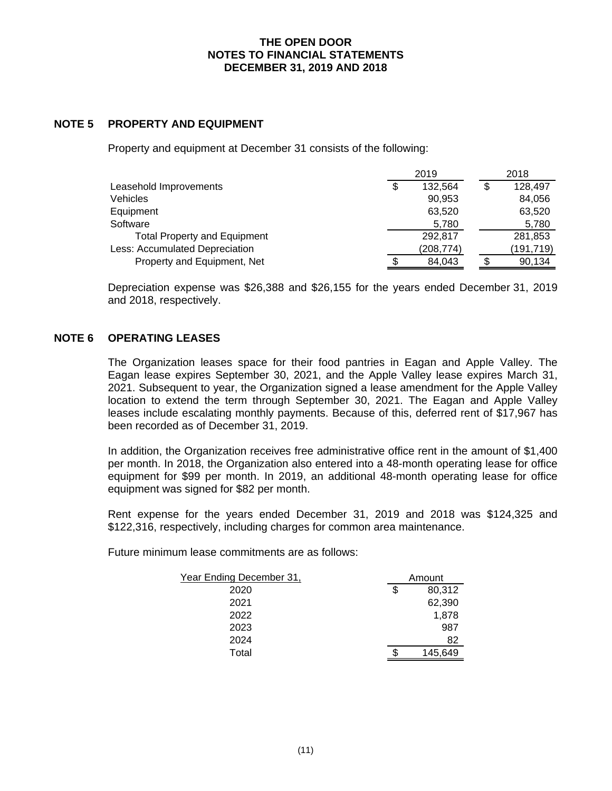## **NOTE 5 PROPERTY AND EQUIPMENT**

Property and equipment at December 31 consists of the following:

|                                     | 2019 |           | 2018       |  |
|-------------------------------------|------|-----------|------------|--|
| Leasehold Improvements              | \$   | 132,564   | 128,497    |  |
| <b>Vehicles</b>                     |      | 90,953    | 84,056     |  |
| Equipment                           |      | 63,520    | 63,520     |  |
| Software                            |      | 5,780     | 5,780      |  |
| <b>Total Property and Equipment</b> |      | 292.817   | 281,853    |  |
| Less: Accumulated Depreciation      |      | (208,774) | (191, 719) |  |
| Property and Equipment, Net         |      | 84,043    | 90,134     |  |

Depreciation expense was \$26,388 and \$26,155 for the years ended December 31, 2019 and 2018, respectively.

#### **NOTE 6 OPERATING LEASES**

The Organization leases space for their food pantries in Eagan and Apple Valley. The Eagan lease expires September 30, 2021, and the Apple Valley lease expires March 31, 2021. Subsequent to year, the Organization signed a lease amendment for the Apple Valley location to extend the term through September 30, 2021. The Eagan and Apple Valley leases include escalating monthly payments. Because of this, deferred rent of \$17,967 has been recorded as of December 31, 2019.

In addition, the Organization receives free administrative office rent in the amount of \$1,400 per month. In 2018, the Organization also entered into a 48-month operating lease for office equipment for \$99 per month. In 2019, an additional 48-month operating lease for office equipment was signed for \$82 per month.

Rent expense for the years ended December 31, 2019 and 2018 was \$124,325 and \$122,316, respectively, including charges for common area maintenance.

Future minimum lease commitments are as follows:

| <u>Year Ending December 31,</u> | Amount       |  |
|---------------------------------|--------------|--|
| 2020                            | \$<br>80,312 |  |
| 2021                            | 62,390       |  |
| 2022                            | 1,878        |  |
| 2023                            | 987          |  |
| 2024                            | 82           |  |
| Total                           | 145.649      |  |